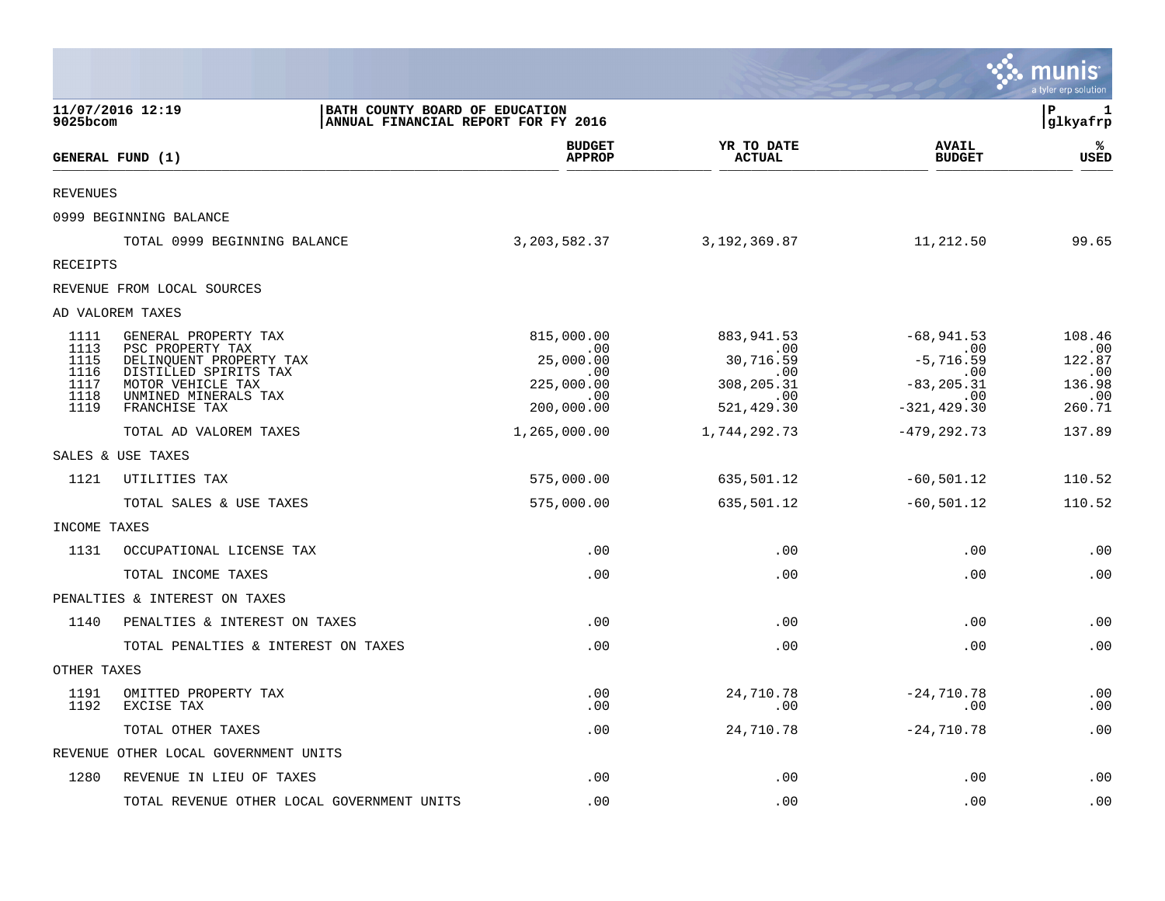|                 |                                                  |                                                                       |                                |                               | munis<br>a tyler erp solution |
|-----------------|--------------------------------------------------|-----------------------------------------------------------------------|--------------------------------|-------------------------------|-------------------------------|
| 9025bcom        | 11/07/2016 12:19                                 | BATH COUNTY BOARD OF EDUCATION<br>ANNUAL FINANCIAL REPORT FOR FY 2016 |                                |                               | Þ<br>1<br> glkyafrp           |
|                 | GENERAL FUND (1)                                 | <b>BUDGET</b><br><b>APPROP</b>                                        | YR TO DATE<br><b>ACTUAL</b>    | <b>AVAIL</b><br><b>BUDGET</b> | %ะ<br>USED                    |
| <b>REVENUES</b> |                                                  |                                                                       |                                |                               |                               |
|                 | 0999 BEGINNING BALANCE                           |                                                                       |                                |                               |                               |
|                 | TOTAL 0999 BEGINNING BALANCE                     | 3,203,582.37                                                          | 3,192,369.87                   | 11,212.50                     | 99.65                         |
| RECEIPTS        |                                                  |                                                                       |                                |                               |                               |
|                 | REVENUE FROM LOCAL SOURCES                       |                                                                       |                                |                               |                               |
|                 | AD VALOREM TAXES                                 |                                                                       |                                |                               |                               |
| 1111<br>1113    | GENERAL PROPERTY TAX<br>PSC PROPERTY TAX         | 815,000.00<br>$\cdot$ 00                                              | 883, 941.53<br>$\sim 00$       | $-68,941.53$<br>$\sim 00$     | 108.46<br>.00                 |
| 1115<br>1116    | DELINQUENT PROPERTY TAX<br>DISTILLED SPIRITS TAX | 25,000.00<br>.00                                                      | 30,716.59<br>$.00 \,$          | $-5,716.59$<br>$.00 \,$       | 122.87<br>.00                 |
| 1117<br>1118    | MOTOR VEHICLE TAX<br>UNMINED MINERALS TAX        | 225,000.00<br>.00                                                     | 308, 205.31<br>$\, \, . \, 00$ | $-83, 205.31$<br>$\sim$ .00   | 136.98<br>.00                 |
| 1119            | FRANCHISE TAX                                    | 200,000.00                                                            | 521, 429.30                    | $-321, 429.30$                | 260.71                        |
|                 | TOTAL AD VALOREM TAXES                           | 1,265,000.00                                                          | 1,744,292.73                   | $-479, 292.73$                | 137.89                        |
|                 | SALES & USE TAXES                                |                                                                       |                                |                               |                               |
| 1121            | UTILITIES TAX                                    | 575,000.00                                                            | 635,501.12                     | $-60,501.12$                  | 110.52                        |
|                 | TOTAL SALES & USE TAXES                          | 575,000.00                                                            | 635,501.12                     | $-60, 501.12$                 | 110.52                        |
| INCOME TAXES    |                                                  |                                                                       |                                |                               |                               |
| 1131            | OCCUPATIONAL LICENSE TAX                         | .00                                                                   | .00                            | .00                           | .00                           |
|                 | TOTAL INCOME TAXES                               | .00                                                                   | .00                            | .00                           | .00                           |
|                 | PENALTIES & INTEREST ON TAXES                    |                                                                       |                                |                               |                               |
| 1140            | PENALTIES & INTEREST ON TAXES                    | .00                                                                   | .00                            | .00                           | .00                           |
|                 | TOTAL PENALTIES & INTEREST ON TAXES              | .00                                                                   | .00                            | .00                           | .00                           |
| OTHER TAXES     |                                                  |                                                                       |                                |                               |                               |
| 1191<br>1192    | OMITTED PROPERTY TAX<br>EXCISE TAX               | .00<br>.00                                                            | 24,710.78<br>.00               | $-24,710.78$<br>.00           | .00<br>.00                    |
|                 | TOTAL OTHER TAXES                                | .00                                                                   | 24,710.78                      | $-24,710.78$                  | .00                           |
|                 | REVENUE OTHER LOCAL GOVERNMENT UNITS             |                                                                       |                                |                               |                               |
| 1280            | REVENUE IN LIEU OF TAXES                         | .00                                                                   | .00                            | .00                           | .00                           |
|                 | TOTAL REVENUE OTHER LOCAL GOVERNMENT UNITS       | .00                                                                   | .00                            | .00                           | .00                           |

 $\mathcal{L}^{\text{max}}$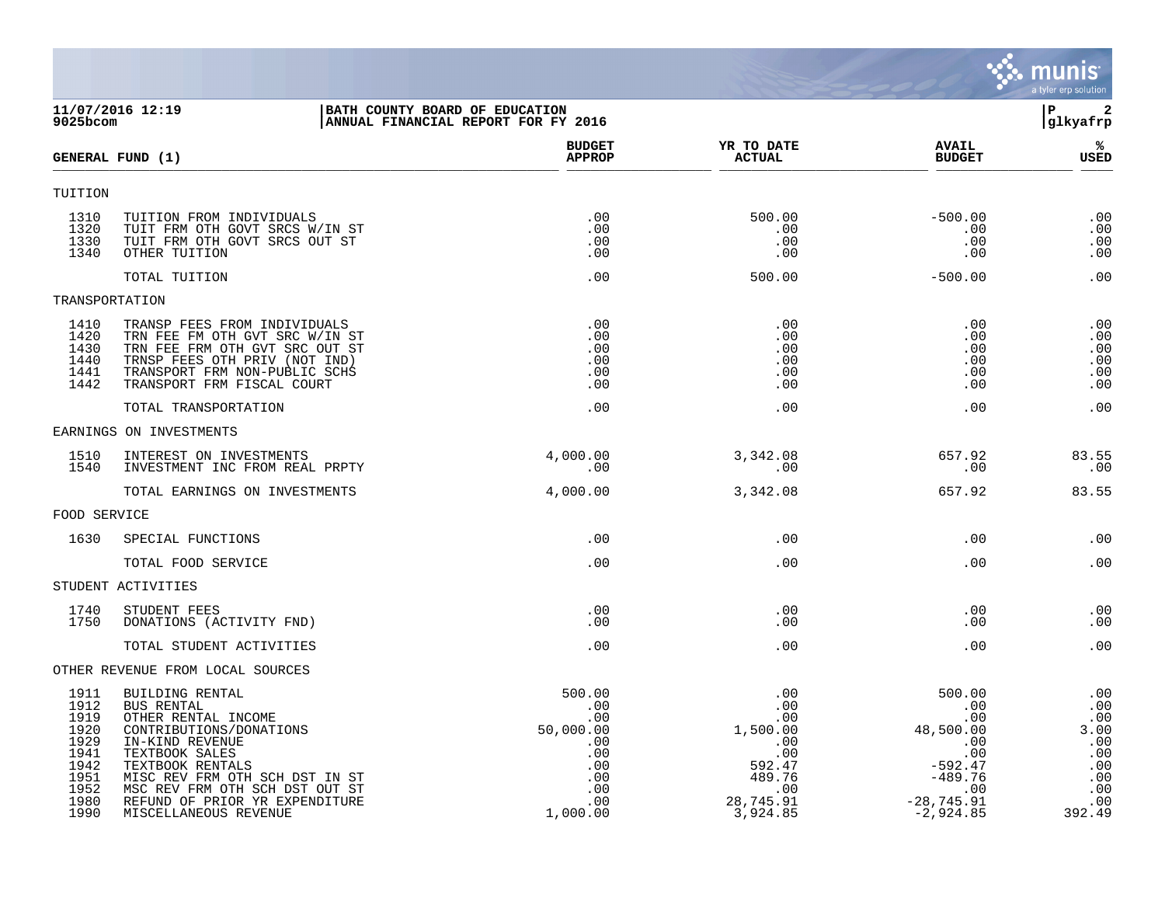|                                                                                      |                                                                                                                                                                                                                                                                         |                                                                                         |                                                                                                 |                                                                                                                        | munis<br>a tyler erp solution                                                 |
|--------------------------------------------------------------------------------------|-------------------------------------------------------------------------------------------------------------------------------------------------------------------------------------------------------------------------------------------------------------------------|-----------------------------------------------------------------------------------------|-------------------------------------------------------------------------------------------------|------------------------------------------------------------------------------------------------------------------------|-------------------------------------------------------------------------------|
| $9025$ bcom                                                                          | 11/07/2016 12:19                                                                                                                                                                                                                                                        | BATH COUNTY BOARD OF EDUCATION<br>ANNUAL FINANCIAL REPORT FOR FY 2016                   |                                                                                                 |                                                                                                                        | $\overline{\mathbf{2}}$<br>P<br>glkyafrp                                      |
|                                                                                      | GENERAL FUND (1)                                                                                                                                                                                                                                                        | <b>BUDGET</b><br><b>APPROP</b>                                                          | YR TO DATE<br><b>ACTUAL</b>                                                                     | <b>AVAIL</b><br><b>BUDGET</b>                                                                                          | %<br>USED                                                                     |
| TUITION                                                                              |                                                                                                                                                                                                                                                                         |                                                                                         |                                                                                                 |                                                                                                                        |                                                                               |
| 1310<br>1320<br>1330<br>1340                                                         | TUITION FROM INDIVIDUALS<br>TUIT FRM OTH GOVT SRCS W/IN ST<br>TUIT FRM OTH GOVT SRCS OUT ST<br>OTHER TUITION                                                                                                                                                            | .00<br>.00<br>.00<br>.00                                                                | 500.00<br>.00<br>.00<br>.00                                                                     | $-500.00$<br>.00<br>.00<br>.00                                                                                         | .00<br>.00<br>.00<br>.00                                                      |
|                                                                                      | TOTAL TUITION                                                                                                                                                                                                                                                           | .00                                                                                     | 500.00                                                                                          | $-500.00$                                                                                                              | .00                                                                           |
| TRANSPORTATION                                                                       |                                                                                                                                                                                                                                                                         |                                                                                         |                                                                                                 |                                                                                                                        |                                                                               |
| 1410<br>1420<br>1430<br>1440<br>1441<br>1442                                         | TRANSP FEES FROM INDIVIDUALS<br>TRN FEE FM OTH GVT SRC W/IN ST<br>TRN FEE FRM OTH GVT SRC OUT ST<br>TRNSP FEES OTH PRIV (NOT IND)<br>TRANSPORT FRM NON-PUBLIC SCHS<br>TRANSPORT FRM FISCAL COURT                                                                        | .00<br>.00<br>.00<br>.00<br>.00<br>.00                                                  | .00<br>.00<br>.00<br>.00<br>.00<br>.00                                                          | .00<br>.00<br>.00<br>.00<br>.00<br>.00                                                                                 | .00<br>.00<br>.00<br>.00<br>.00<br>.00                                        |
|                                                                                      | TOTAL TRANSPORTATION                                                                                                                                                                                                                                                    | .00                                                                                     | .00                                                                                             | .00                                                                                                                    | .00                                                                           |
|                                                                                      | EARNINGS ON INVESTMENTS                                                                                                                                                                                                                                                 |                                                                                         |                                                                                                 |                                                                                                                        |                                                                               |
| 1510<br>1540                                                                         | INTEREST ON INVESTMENTS<br>INVESTMENT INC FROM REAL PRPTY                                                                                                                                                                                                               | 4,000.00<br>.00                                                                         | 3,342.08<br>.00                                                                                 | 657.92<br>.00                                                                                                          | 83.55<br>.00                                                                  |
|                                                                                      | TOTAL EARNINGS ON INVESTMENTS                                                                                                                                                                                                                                           | 4,000.00                                                                                | 3,342.08                                                                                        | 657.92                                                                                                                 | 83.55                                                                         |
| FOOD SERVICE                                                                         |                                                                                                                                                                                                                                                                         |                                                                                         |                                                                                                 |                                                                                                                        |                                                                               |
| 1630                                                                                 | SPECIAL FUNCTIONS                                                                                                                                                                                                                                                       | .00                                                                                     | .00                                                                                             | $.00 \,$                                                                                                               | .00                                                                           |
|                                                                                      | TOTAL FOOD SERVICE                                                                                                                                                                                                                                                      | .00                                                                                     | .00                                                                                             | $.00 \,$                                                                                                               | .00                                                                           |
|                                                                                      | STUDENT ACTIVITIES                                                                                                                                                                                                                                                      |                                                                                         |                                                                                                 |                                                                                                                        |                                                                               |
| 1740<br>1750                                                                         | STUDENT FEES<br>DONATIONS (ACTIVITY FND)                                                                                                                                                                                                                                | .00<br>.00.                                                                             | .00<br>.00                                                                                      | .00<br>.00.                                                                                                            | .00<br>.00                                                                    |
|                                                                                      | TOTAL STUDENT ACTIVITIES                                                                                                                                                                                                                                                | .00                                                                                     | .00                                                                                             | $.00 \,$                                                                                                               | .00                                                                           |
|                                                                                      | OTHER REVENUE FROM LOCAL SOURCES                                                                                                                                                                                                                                        |                                                                                         |                                                                                                 |                                                                                                                        |                                                                               |
| 1911<br>1912<br>1919<br>1920<br>1929<br>1941<br>1942<br>1951<br>1952<br>1980<br>1990 | BUILDING RENTAL<br>BUS RENTAL<br>OTHER RENTAL INCOME<br>CONTRIBUTIONS/DONATIONS<br>IN-KIND REVENUE<br>TEXTBOOK SALES<br>TEXTBOOK RENTALS<br>MISC REV FRM OTH SCH DST IN ST<br>MSC REV FRM OTH SCH DST OUT ST<br>REFUND OF PRIOR YR EXPENDITURE<br>MISCELLANEOUS REVENUE | 500.00<br>.00<br>.00<br>50,000.00<br>.00<br>.00<br>.00<br>.00<br>.00<br>.00<br>1,000.00 | .00<br>.00<br>.00<br>1,500.00<br>.00<br>.00<br>592.47<br>489.76<br>.00<br>28,745.91<br>3,924.85 | 500.00<br>$\cdot$ 00<br>.00<br>48,500.00<br>.00<br>.00<br>$-592.47$<br>$-489.76$<br>.00<br>$-28,745.91$<br>$-2,924.85$ | .00<br>.00<br>.00<br>3.00<br>.00<br>.00<br>.00<br>.00<br>.00<br>.00<br>392.49 |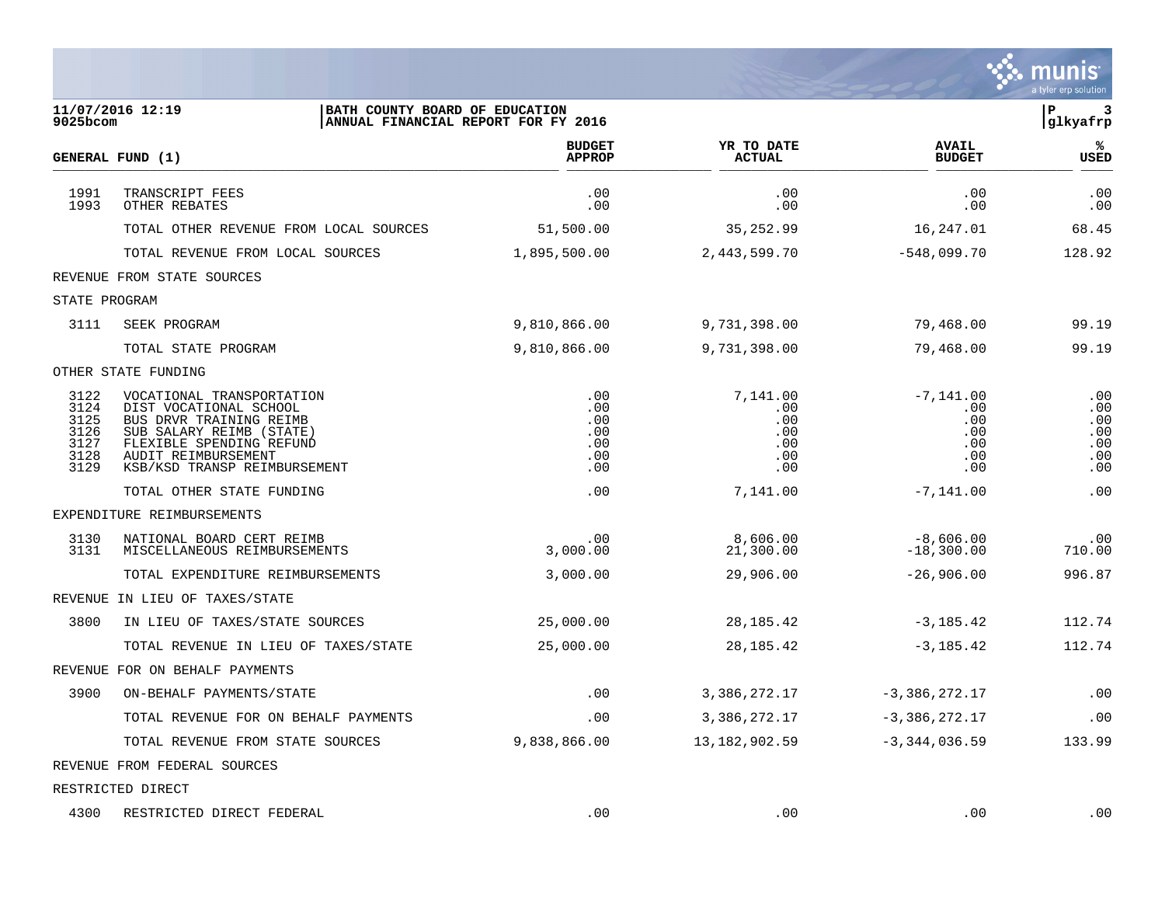|                                                      |                                                                                                                                                                                               |                                               |                                                    |                                                       | munis<br>a tyler erp solution                 |
|------------------------------------------------------|-----------------------------------------------------------------------------------------------------------------------------------------------------------------------------------------------|-----------------------------------------------|----------------------------------------------------|-------------------------------------------------------|-----------------------------------------------|
| 9025bcom                                             | 11/07/2016 12:19<br>BATH COUNTY BOARD OF EDUCATION<br>ANNUAL FINANCIAL REPORT FOR FY 2016                                                                                                     |                                               |                                                    |                                                       | ${\bf P}$<br>3<br>glkyafrp                    |
|                                                      | GENERAL FUND (1)                                                                                                                                                                              | <b>BUDGET</b><br><b>APPROP</b>                | YR TO DATE<br><b>ACTUAL</b>                        | <b>AVAIL</b><br><b>BUDGET</b>                         | ℁<br><b>USED</b>                              |
| 1991<br>1993                                         | TRANSCRIPT FEES<br>OTHER REBATES                                                                                                                                                              | .00<br>.00                                    | .00<br>.00                                         | .00<br>.00                                            | .00<br>.00                                    |
|                                                      | TOTAL OTHER REVENUE FROM LOCAL SOURCES                                                                                                                                                        | 51,500.00                                     | 35, 252.99                                         | 16,247.01                                             | 68.45                                         |
|                                                      | TOTAL REVENUE FROM LOCAL SOURCES                                                                                                                                                              | 1,895,500.00                                  | 2, 443, 599. 70                                    | $-548,099.70$                                         | 128.92                                        |
|                                                      | REVENUE FROM STATE SOURCES                                                                                                                                                                    |                                               |                                                    |                                                       |                                               |
| STATE PROGRAM                                        |                                                                                                                                                                                               |                                               |                                                    |                                                       |                                               |
| 3111                                                 | SEEK PROGRAM                                                                                                                                                                                  | 9,810,866.00                                  | 9,731,398.00                                       | 79,468.00                                             | 99.19                                         |
|                                                      | TOTAL STATE PROGRAM                                                                                                                                                                           | 9,810,866.00                                  | 9,731,398.00                                       | 79,468.00                                             | 99.19                                         |
|                                                      | OTHER STATE FUNDING                                                                                                                                                                           |                                               |                                                    |                                                       |                                               |
| 3122<br>3124<br>3125<br>3126<br>3127<br>3128<br>3129 | VOCATIONAL TRANSPORTATION<br>DIST VOCATIONAL SCHOOL<br>BUS DRVR TRAINING REIMB<br>SUB SALARY REIMB (STATE)<br>FLEXIBLE SPENDING REFUND<br>AUDIT REIMBURSEMENT<br>KSB/KSD TRANSP REIMBURSEMENT | .00<br>.00<br>.00<br>.00<br>.00<br>.00<br>.00 | 7,141.00<br>.00<br>.00<br>.00<br>.00<br>.00<br>.00 | $-7,141.00$<br>.00<br>.00<br>.00<br>.00<br>.00<br>.00 | .00<br>.00<br>.00<br>.00<br>.00<br>.00<br>.00 |
|                                                      | TOTAL OTHER STATE FUNDING                                                                                                                                                                     | .00                                           | 7,141.00                                           | $-7,141.00$                                           | .00                                           |
|                                                      | EXPENDITURE REIMBURSEMENTS                                                                                                                                                                    |                                               |                                                    |                                                       |                                               |
| 3130<br>3131                                         | NATIONAL BOARD CERT REIMB<br>MISCELLANEOUS REIMBURSEMENTS                                                                                                                                     | .00<br>3,000.00                               | 8,606.00<br>21,300.00                              | $-8,606.00$<br>$-18,300.00$                           | .00<br>710.00                                 |
|                                                      | TOTAL EXPENDITURE REIMBURSEMENTS                                                                                                                                                              | 3,000.00                                      | 29,906.00                                          | $-26,906.00$                                          | 996.87                                        |
|                                                      | REVENUE IN LIEU OF TAXES/STATE                                                                                                                                                                |                                               |                                                    |                                                       |                                               |
| 3800                                                 | IN LIEU OF TAXES/STATE SOURCES                                                                                                                                                                | 25,000.00                                     | 28, 185. 42                                        | $-3,185.42$                                           | 112.74                                        |
|                                                      | TOTAL REVENUE IN LIEU OF TAXES/STATE                                                                                                                                                          | 25,000.00                                     | 28, 185. 42                                        | $-3,185.42$                                           | 112.74                                        |
|                                                      | REVENUE FOR ON BEHALF PAYMENTS                                                                                                                                                                |                                               |                                                    |                                                       |                                               |
| 3900                                                 | ON-BEHALF PAYMENTS/STATE                                                                                                                                                                      | .00                                           | 3,386,272.17                                       | $-3,386,272.17$                                       | .00                                           |
|                                                      | TOTAL REVENUE FOR ON BEHALF PAYMENTS                                                                                                                                                          | .00                                           | 3,386,272.17                                       | $-3,386,272.17$                                       | .00                                           |
|                                                      | TOTAL REVENUE FROM STATE SOURCES                                                                                                                                                              | 9,838,866.00                                  | 13, 182, 902.59                                    | $-3, 344, 036.59$                                     | 133.99                                        |
|                                                      | REVENUE FROM FEDERAL SOURCES                                                                                                                                                                  |                                               |                                                    |                                                       |                                               |
|                                                      | RESTRICTED DIRECT                                                                                                                                                                             |                                               |                                                    |                                                       |                                               |
| 4300                                                 | RESTRICTED DIRECT FEDERAL                                                                                                                                                                     | .00                                           | .00                                                | .00                                                   | .00                                           |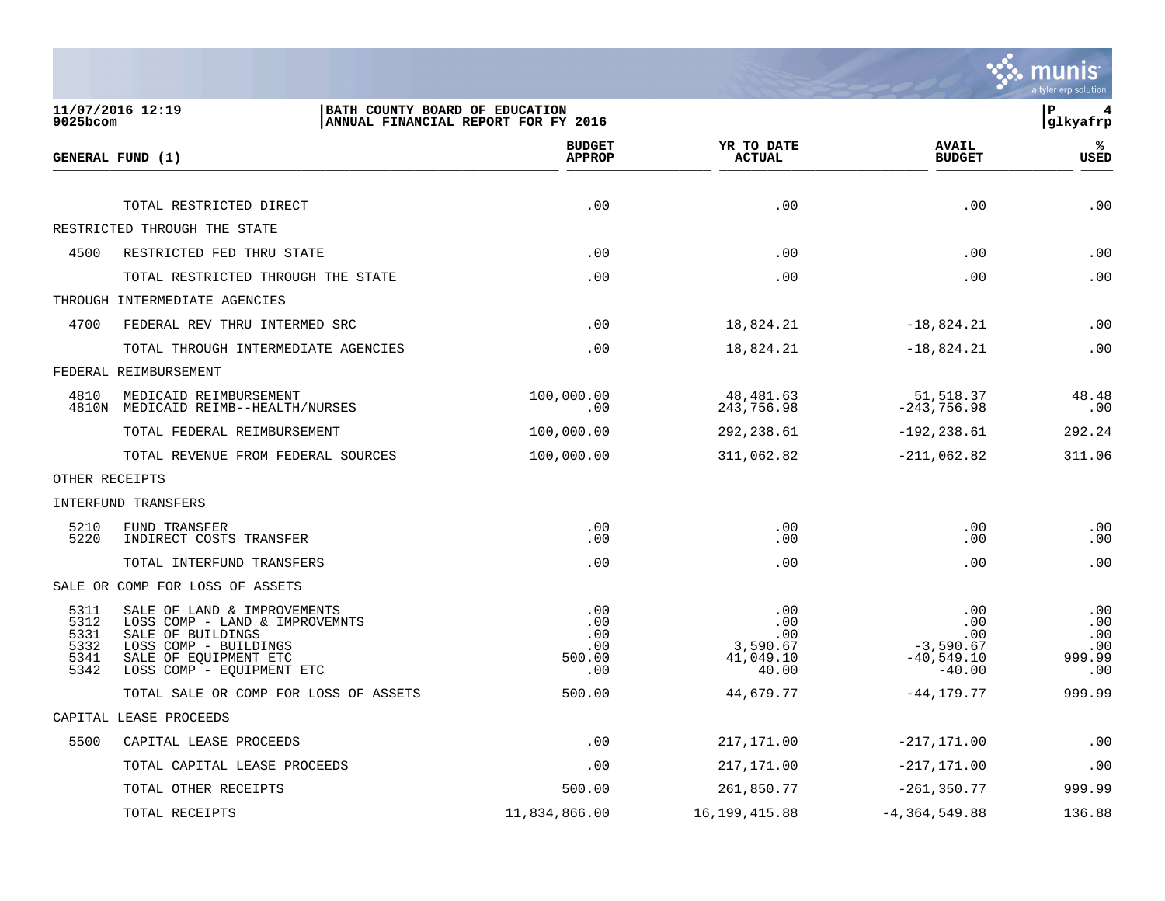

| $9025$ bcom                                  | 11/07/2016 12:19<br>BATH COUNTY BOARD OF EDUCATION                                                                                                                | ANNUAL FINANCIAL REPORT FOR FY 2016            |                                                     |                                                              | lР<br>4<br> glkyafrp                      |
|----------------------------------------------|-------------------------------------------------------------------------------------------------------------------------------------------------------------------|------------------------------------------------|-----------------------------------------------------|--------------------------------------------------------------|-------------------------------------------|
|                                              | GENERAL FUND (1)                                                                                                                                                  | <b>BUDGET</b><br><b>APPROP</b>                 | YR TO DATE<br><b>ACTUAL</b>                         | <b>AVAIL</b><br><b>BUDGET</b>                                | %ะ<br>USED                                |
|                                              | TOTAL RESTRICTED DIRECT                                                                                                                                           | .00                                            | .00                                                 | .00                                                          | .00                                       |
|                                              | RESTRICTED THROUGH THE STATE                                                                                                                                      |                                                |                                                     |                                                              |                                           |
| 4500                                         | RESTRICTED FED THRU STATE                                                                                                                                         | .00                                            | .00                                                 | .00                                                          | .00                                       |
|                                              | TOTAL RESTRICTED THROUGH THE STATE                                                                                                                                | .00                                            | .00                                                 | .00                                                          | .00                                       |
|                                              | THROUGH INTERMEDIATE AGENCIES                                                                                                                                     |                                                |                                                     |                                                              |                                           |
| 4700                                         | FEDERAL REV THRU INTERMED SRC                                                                                                                                     | .00                                            | 18,824.21                                           | $-18,824.21$                                                 | .00                                       |
|                                              | TOTAL THROUGH INTERMEDIATE AGENCIES                                                                                                                               | .00                                            | 18,824.21                                           | $-18,824.21$                                                 | .00                                       |
|                                              | FEDERAL REIMBURSEMENT                                                                                                                                             |                                                |                                                     |                                                              |                                           |
| 4810                                         | MEDICAID REIMBURSEMENT<br>4810N MEDICAID REIMB--HEALTH/NURSES                                                                                                     | 100,000.00<br>.00                              | 48,481.63<br>243,756.98                             | 51,518.37<br>$-243,756.98$                                   | 48.48<br>.00                              |
|                                              | TOTAL FEDERAL REIMBURSEMENT                                                                                                                                       | 100,000.00                                     | 292,238.61                                          | $-192, 238.61$                                               | 292.24                                    |
|                                              | TOTAL REVENUE FROM FEDERAL SOURCES                                                                                                                                | 100,000.00                                     | 311,062.82                                          | $-211,062.82$                                                | 311.06                                    |
|                                              | OTHER RECEIPTS                                                                                                                                                    |                                                |                                                     |                                                              |                                           |
|                                              | INTERFUND TRANSFERS                                                                                                                                               |                                                |                                                     |                                                              |                                           |
| 5210<br>5220                                 | FUND TRANSFER<br>INDIRECT COSTS TRANSFER                                                                                                                          | .00<br>.00                                     | .00<br>.00                                          | .00<br>.00                                                   | .00<br>.00                                |
|                                              | TOTAL INTERFUND TRANSFERS                                                                                                                                         | .00                                            | .00                                                 | .00                                                          | .00                                       |
|                                              | SALE OR COMP FOR LOSS OF ASSETS                                                                                                                                   |                                                |                                                     |                                                              |                                           |
| 5311<br>5312<br>5331<br>5332<br>5341<br>5342 | SALE OF LAND & IMPROVEMENTS<br>LOSS COMP - LAND & IMPROVEMNTS<br>SALE OF BUILDINGS<br>LOSS COMP - BUILDINGS<br>SALE OF EQUIPMENT ETC<br>LOSS COMP - EQUIPMENT ETC | .00<br>.00<br>$.00 \,$<br>.00<br>500.00<br>.00 | .00<br>.00<br>.00<br>3,590.67<br>41,049.10<br>40.00 | .00<br>.00<br>.00<br>$-3,590.67$<br>$-40,549.10$<br>$-40.00$ | .00<br>.00<br>.00<br>.00<br>999.99<br>.00 |
|                                              | TOTAL SALE OR COMP FOR LOSS OF ASSETS                                                                                                                             | 500.00                                         | 44,679.77                                           | $-44, 179.77$                                                | 999.99                                    |
|                                              | CAPITAL LEASE PROCEEDS                                                                                                                                            |                                                |                                                     |                                                              |                                           |
| 5500                                         | CAPITAL LEASE PROCEEDS                                                                                                                                            | .00                                            | 217,171.00                                          | $-217, 171.00$                                               | .00                                       |
|                                              | TOTAL CAPITAL LEASE PROCEEDS                                                                                                                                      | .00                                            | 217,171.00                                          | $-217, 171.00$                                               | .00                                       |
|                                              | TOTAL OTHER RECEIPTS                                                                                                                                              | 500.00                                         | 261,850.77                                          | $-261, 350.77$                                               | 999.99                                    |
|                                              | TOTAL RECEIPTS                                                                                                                                                    | 11,834,866.00                                  | 16, 199, 415.88                                     | $-4, 364, 549.88$                                            | 136.88                                    |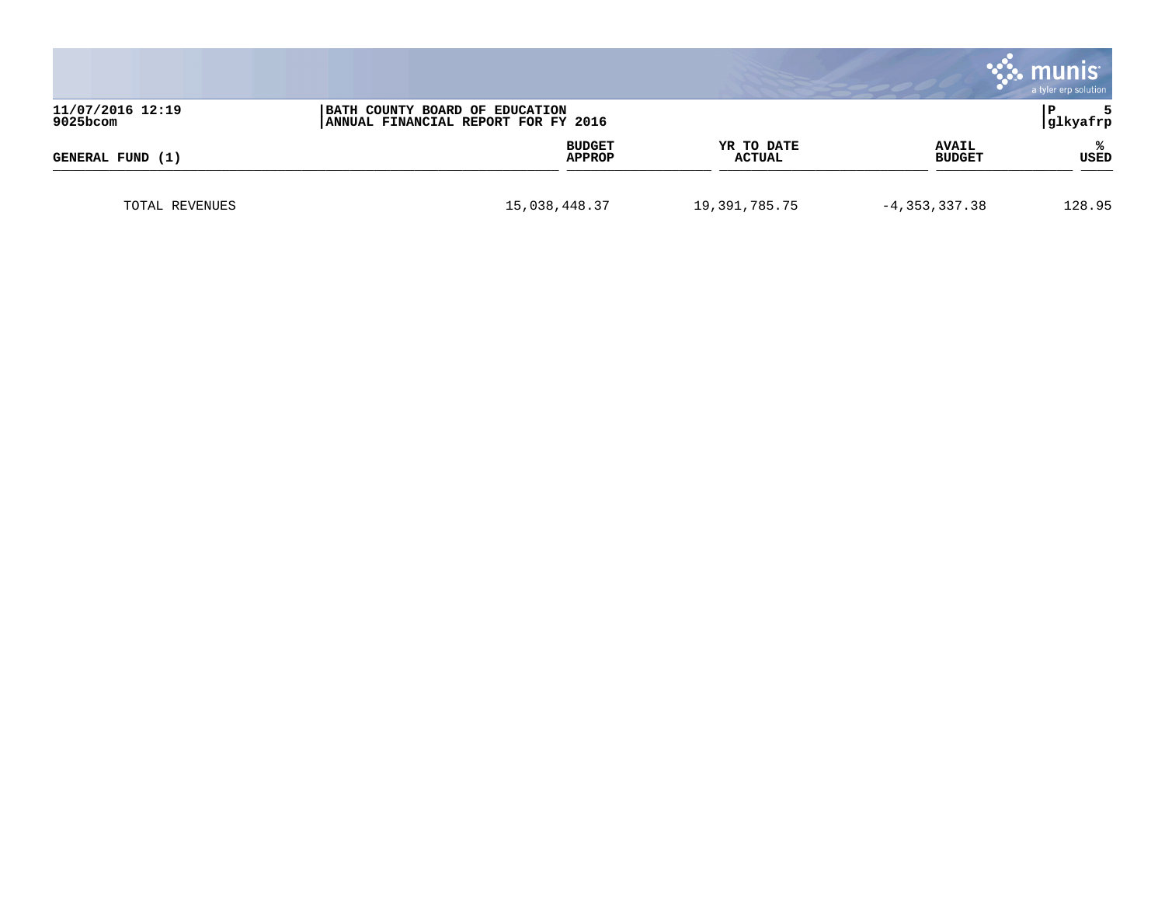|                              |                                                                       |                             |                               | <b>munis</b><br>a tyler erp solution |
|------------------------------|-----------------------------------------------------------------------|-----------------------------|-------------------------------|--------------------------------------|
| 11/07/2016 12:19<br>9025bcom | BATH COUNTY BOARD OF EDUCATION<br>ANNUAL FINANCIAL REPORT FOR FY 2016 |                             |                               | 5<br>P<br>glkyafrp                   |
| GENERAL FUND (1)             | <b>BUDGET</b><br><b>APPROP</b>                                        | YR TO DATE<br><b>ACTUAL</b> | <b>AVAIL</b><br><b>BUDGET</b> | ℁<br><b>USED</b>                     |
| TOTAL REVENUES               | 15,038,448.37                                                         | 19,391,785.75               | $-4, 353, 337.38$             | 128.95                               |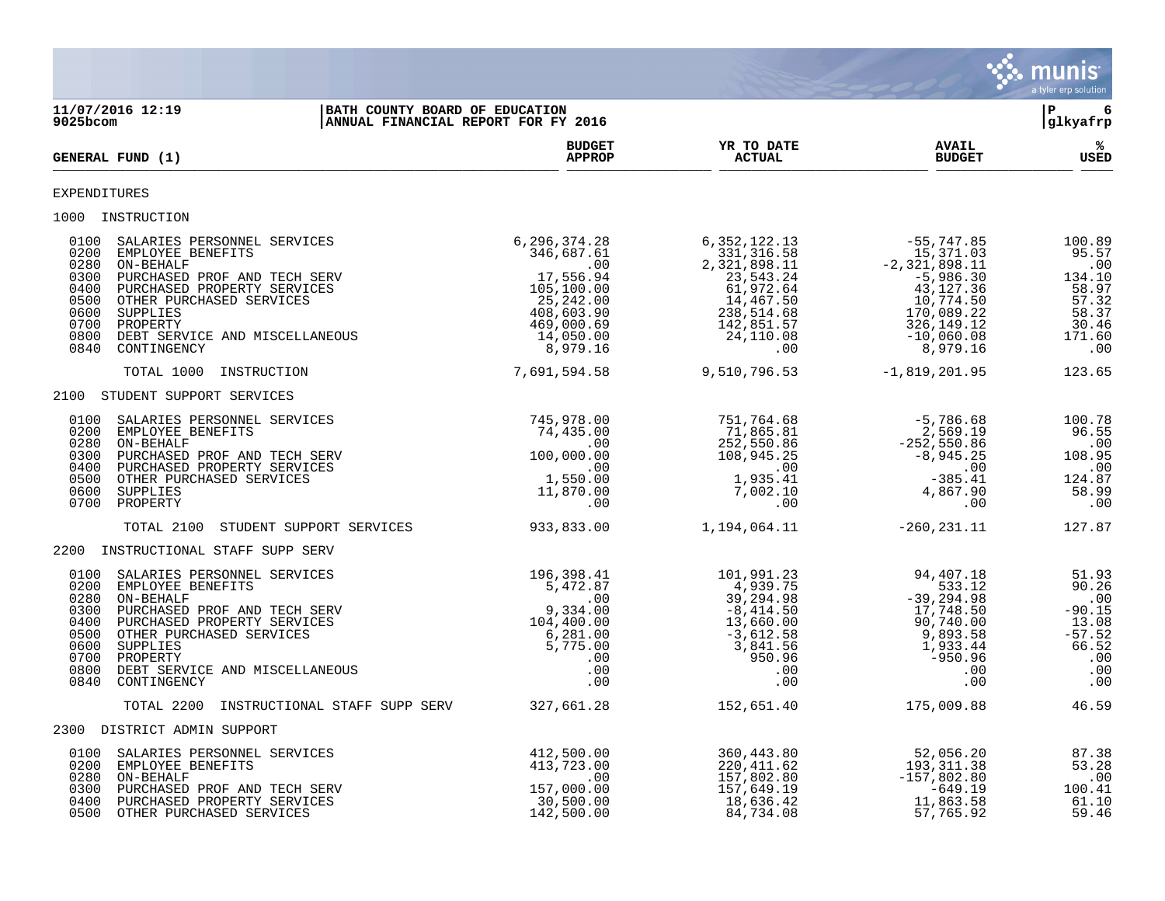|                                                                                                                                                                                                                                                                                                                   |                                                                                                                                                          |                                                                                                                                      |                                                                                                                                                 | <b>munis</b><br>a tyler erp solution                                                  |
|-------------------------------------------------------------------------------------------------------------------------------------------------------------------------------------------------------------------------------------------------------------------------------------------------------------------|----------------------------------------------------------------------------------------------------------------------------------------------------------|--------------------------------------------------------------------------------------------------------------------------------------|-------------------------------------------------------------------------------------------------------------------------------------------------|---------------------------------------------------------------------------------------|
| 11/07/2016 12:19<br>BATH COUNTY BOARD OF EDUCATION<br>$9025$ bcom                                                                                                                                                                                                                                                 | ANNUAL FINANCIAL REPORT FOR FY 2016                                                                                                                      |                                                                                                                                      |                                                                                                                                                 | lР<br>6<br>glkyafrp                                                                   |
| <b>GENERAL FUND (1)</b>                                                                                                                                                                                                                                                                                           | <b>BUDGET</b><br><b>APPROP</b>                                                                                                                           | YR TO DATE<br><b>ACTUAL</b>                                                                                                          | <b>AVAIL</b><br><b>BUDGET</b>                                                                                                                   | %ะ<br>USED                                                                            |
| EXPENDITURES                                                                                                                                                                                                                                                                                                      |                                                                                                                                                          |                                                                                                                                      |                                                                                                                                                 |                                                                                       |
| 1000 INSTRUCTION                                                                                                                                                                                                                                                                                                  |                                                                                                                                                          |                                                                                                                                      |                                                                                                                                                 |                                                                                       |
| 0100<br>SALARIES PERSONNEL SERVICES<br>0200<br>EMPLOYEE BENEFITS<br>0280<br>ON-BEHALF<br>0300<br>PURCHASED PROF AND TECH SERV<br>0400<br>PURCHASED PROPERTY SERVICES<br>0500<br>OTHER PURCHASED SERVICES<br>0600<br>SUPPLIES<br>0700<br>PROPERTY<br>0800<br>DEBT SERVICE AND MISCELLANEOUS<br>0840<br>CONTINGENCY | 6,296,374.28<br>346,687.61<br>$\overline{\phantom{0}}$ .00<br>17,556.94<br>105,100.00<br>25, 242.00<br>408,603.90<br>469,000.69<br>14,050.00<br>8,979.16 | 6, 352, 122. 13<br>331,316.58<br>2,321,898.11<br>23,543.24<br>61,972.64<br>14,467.50<br>238,514.68<br>142,851.57<br>24,110.08<br>.00 | $-55,747.85$<br>15,371.03<br>$-2, 321, 898.11$<br>$-5,986.30$<br>43,127.36<br>10,774.50<br>170,089.22<br>326,149.12<br>$-10,060.08$<br>8,979.16 | 100.89<br>95.57<br>.00<br>134.10<br>58.97<br>57.32<br>58.37<br>30.46<br>171.60<br>.00 |
| INSTRUCTION<br>TOTAL 1000                                                                                                                                                                                                                                                                                         | 7,691,594.58                                                                                                                                             | 9,510,796.53                                                                                                                         | $-1,819,201.95$                                                                                                                                 | 123.65                                                                                |
| 2100 STUDENT SUPPORT SERVICES                                                                                                                                                                                                                                                                                     |                                                                                                                                                          |                                                                                                                                      |                                                                                                                                                 |                                                                                       |
| 0100<br>SALARIES PERSONNEL SERVICES<br>0200<br>EMPLOYEE BENEFITS<br>ON-BEHALF<br>0280<br>0300<br>PURCHASED PROF AND TECH SERV<br>0400<br>PURCHASED PROPERTY SERVICES<br>0500<br>OTHER PURCHASED SERVICES<br>0600<br>SUPPLIES<br>0700<br>PROPERTY                                                                  | 745,978.00<br>74,435.00<br>.00<br>100,000.00<br>$\overline{\phantom{0}}$ .00<br>1,550.00<br>11,870.00<br>.00                                             | 751,764.68<br>71,865.81<br>252,550.86<br>108,945.25<br>$\overline{\phantom{0}}$ .00<br>1,935.41<br>7,002.10<br>.00                   | $-5,786.68$<br>2,569.19<br>$-252, 550.86$<br>$-8,945.25$<br>.00<br>$-385.41$<br>4,867.90<br>$.00 \,$                                            | 100.78<br>96.55<br>.00<br>108.95<br>$\ldots$<br>124.87<br>58.99<br>.00                |
| STUDENT SUPPORT SERVICES<br>TOTAL 2100                                                                                                                                                                                                                                                                            | 933,833.00                                                                                                                                               | 1,194,064.11                                                                                                                         | $-260, 231.11$                                                                                                                                  | 127.87                                                                                |
| 2200 INSTRUCTIONAL STAFF SUPP SERV                                                                                                                                                                                                                                                                                |                                                                                                                                                          |                                                                                                                                      |                                                                                                                                                 |                                                                                       |
| SALARIES PERSONNEL SERVICES<br>0100<br>0200<br>EMPLOYEE BENEFITS<br>0280<br>ON-BEHALF<br>0300<br>PURCHASED PROF AND TECH SERV<br>0400<br>PURCHASED PROPERTY SERVICES<br>0500<br>OTHER PURCHASED SERVICES<br>0600<br>SUPPLIES<br>0700<br>PROPERTY<br>0800<br>DEBT SERVICE AND MISCELLANEOUS<br>0840<br>CONTINGENCY | 196,398.41<br>5,472.87<br>.00<br>9,334.00<br>104,400.00<br>6,281.00<br>5,775.00<br>$.00 \,$<br>.00<br>.00                                                | 101,991.23<br>4,939.75<br>39,294.98<br>$-8,414.50$<br>13,660.00<br>$-3,612.58$<br>3,841.56<br>950.96<br>.00<br>.00                   | 94,407.18<br>533.12<br>$-39, 294.98$<br>17,748.50<br>90,740.00<br>9,893.58<br>1,933.44<br>$-950.96$<br>$.00 \,$<br>.00                          | 51.93<br>90.26<br>.00<br>$-90.15$<br>13.08<br>$-57.52$<br>66.52<br>.00<br>.00<br>.00  |
| INSTRUCTIONAL STAFF SUPP SERV<br>TOTAL 2200                                                                                                                                                                                                                                                                       | 327,661.28                                                                                                                                               | 152,651.40                                                                                                                           | 175,009.88                                                                                                                                      | 46.59                                                                                 |
| 2300 DISTRICT ADMIN SUPPORT                                                                                                                                                                                                                                                                                       |                                                                                                                                                          |                                                                                                                                      |                                                                                                                                                 |                                                                                       |
| SALARIES PERSONNEL SERVICES<br>0100<br>0200 EMPLOYEE BENEFITS<br>0280 ON-BEHALF<br>0300 PURCHASED PROF AND TECH SERV<br>0400 PURCHASED PROPERTY SERVICES<br>0500 OTHER PURCHASED SERVICES                                                                                                                         | 412,500.00<br>413,723.00<br>.00<br>157,000.00<br>30,500.00<br>142,500.00                                                                                 | 360,443.80<br>220, 411.62<br>157,802.80<br>157,649.19<br>18,636.42<br>84,734.08                                                      | 52,056.20<br>193, 311.38<br>$-157,802.80$<br>$-649.19$<br>11,863.58<br>57,765.92                                                                | 87.38<br>53.28<br>.00<br>100.41<br>61.10<br>59.46                                     |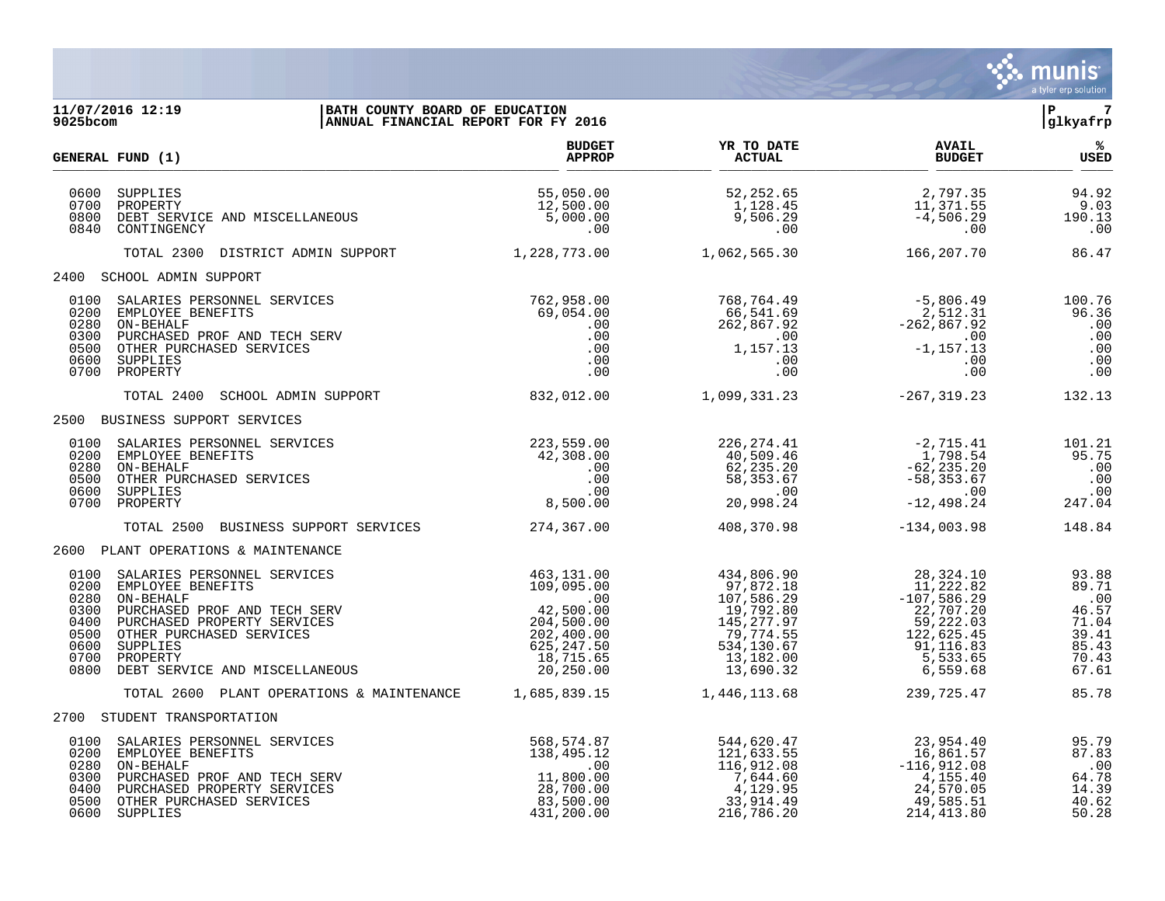

| 9025bcom                                                             | 11/07/2016 12:19<br>BATH COUNTY BOARD OF EDUCATION<br>ANNUAL FINANCIAL REPORT FOR FY 2016                                                                                                                          |                                                                                                                                                              |                                                                                                                                                                      |                                                                                                                                                                                                      | ÌР.<br>$\overline{7}$<br>glkyafrp                                           |
|----------------------------------------------------------------------|--------------------------------------------------------------------------------------------------------------------------------------------------------------------------------------------------------------------|--------------------------------------------------------------------------------------------------------------------------------------------------------------|----------------------------------------------------------------------------------------------------------------------------------------------------------------------|------------------------------------------------------------------------------------------------------------------------------------------------------------------------------------------------------|-----------------------------------------------------------------------------|
|                                                                      | GENERAL FUND (1)                                                                                                                                                                                                   | <b>BUDGET</b><br><b>APPROP</b>                                                                                                                               | YR TO DATE<br><b>ACTUAL</b>                                                                                                                                          | <b>AVAIL</b><br><b>BUDGET</b>                                                                                                                                                                        | ಿಕ<br>USED                                                                  |
| 0600<br>0700<br>0800<br>0840                                         | SUPPLIES<br>PROPERTY<br>DEBT SERVICE AND MISCELLANEOUS<br>CONTINGENCY                                                                                                                                              | 55,050.00<br>12,500.00<br>5,000.00<br>.00                                                                                                                    | 52,252.65<br>$1,128.45$<br>9,506.29<br>00                                                                                                                            | 2,797.35<br>11,371.55<br>$-4,506.29$<br>.00                                                                                                                                                          | 94.92<br>9.03<br>190.13<br>.00                                              |
|                                                                      | TOTAL 2300 DISTRICT ADMIN SUPPORT                                                                                                                                                                                  | 1,228,773.00                                                                                                                                                 | 1,062,565.30                                                                                                                                                         | 166,207.70                                                                                                                                                                                           | 86.47                                                                       |
|                                                                      | 2400 SCHOOL ADMIN SUPPORT                                                                                                                                                                                          |                                                                                                                                                              |                                                                                                                                                                      |                                                                                                                                                                                                      |                                                                             |
| 0200<br>0280<br>0300<br>0600                                         | 0100 SALARIES PERSONNEL SERVICES<br>EMPLOYEE BENEFITS<br>ON-BEHALF<br>PURCHASED PROF AND TECH SERV<br>0500 OTHER PURCHASED SERVICES<br>SUPPLIES<br>0700 PROPERTY                                                   | 762,958.00<br>$054.00$<br>$00$<br>$00$<br>$00$<br>$00$<br>$00$<br>69,054.00<br>.00                                                                           | 768, 764.49<br>66, 541.69<br>262, 867.92<br>-262, 867.92<br>-1, 157.13<br>-00<br>-1, 157.13<br>-00<br>$66, 52$<br>$262, 867.92$<br>$00$<br>$1, 157.13$<br>$00$<br>00 | .00                                                                                                                                                                                                  | 100.76<br>96.36<br>.00<br>.00<br>.00<br>.00<br>.00                          |
|                                                                      | TOTAL 2400 SCHOOL ADMIN SUPPORT                                                                                                                                                                                    |                                                                                                                                                              | 832,012.00    1,099,331.23    -267,319.23                                                                                                                            |                                                                                                                                                                                                      | 132.13                                                                      |
|                                                                      | 2500 BUSINESS SUPPORT SERVICES                                                                                                                                                                                     |                                                                                                                                                              |                                                                                                                                                                      |                                                                                                                                                                                                      |                                                                             |
| 0100<br>0200<br>0280<br>0500<br>0600<br>0700                         | SALARIES PERSONNEL SERVICES<br>EMPLOYEE BENEFITS<br>ON-BEHALF<br>OTHER PURCHASED SERVICES<br>SUPPLIES<br>PROPERTY                                                                                                  | 223,559.00<br>42,308.00<br>.00<br>.00<br>.00<br>8,500.00                                                                                                     | 226, 274.41<br>$226, 274.41$<br>$40, 509.46$<br>$62, 235.20$<br>$58, 353.67$<br>$00$<br>$20, 998.24$                                                                 | -2,715.41<br>1,798.54<br>$-62, 235.20$<br>$-58, 353.67$<br>$-12,498.24$                                                                                                                              | 101.21<br>95.75<br>.00<br>.00<br>.00<br>247.04                              |
|                                                                      | TOTAL 2500 BUSINESS SUPPORT SERVICES 274,367.00                                                                                                                                                                    |                                                                                                                                                              | 408,370.98                                                                                                                                                           | $-134,003.98$                                                                                                                                                                                        | 148.84                                                                      |
|                                                                      | 2600 PLANT OPERATIONS & MAINTENANCE                                                                                                                                                                                |                                                                                                                                                              |                                                                                                                                                                      |                                                                                                                                                                                                      |                                                                             |
| 0100<br>0200<br>0280<br>0300<br>0400<br>0500<br>0600<br>0700<br>0800 | SALARIES PERSONNEL SERVICES<br>EMPLOYEE BENEFITS<br>ON-BEHALF<br>PURCHASED PROF AND TECH SERV<br>PURCHASED PROPERTY SERVICES<br>OTHER PURCHASED SERVICES<br>SUPPLIES<br>PROPERTY<br>DEBT SERVICE AND MISCELLANEOUS | 463,131.00<br>$463, 131.00$<br>$109, 095.00$<br>$42, 500.00$<br>$204, 500.00$<br>$202, 400.00$<br>$625, 247.50$<br>$18, 715.65$<br>$20, 250.00$<br>42,500.00 | 434, 806.90<br>97, 872.18<br>107, 586.29<br>19, 792.80<br>145, 277.97<br>79, 774.55<br>534, 130.67<br>13,182.00<br>13,690.32                                         | $\begin{array}{r} 28\,, 324\,.\, 10 \\ 11\,, 222\,.\, 82 \\ -107\,, 586\,.\, 29 \\ 22\,, 707\,.\, 20 \\ 59\,, 222\,.\, 03 \\ 122\,, 625\,.\, 45 \,.\end{array}$<br>91,116.83<br>5,533.65<br>6,559.68 | 93.88<br>89.71<br>.00<br>46.57<br>71.04<br>39.41<br>85.43<br>70.43<br>67.61 |
|                                                                      | TOTAL 2600 PLANT OPERATIONS & MAINTENANCE 1,685,839.15                                                                                                                                                             |                                                                                                                                                              | 1,446,113.68                                                                                                                                                         | 239,725.47                                                                                                                                                                                           | 85.78                                                                       |
|                                                                      | 2700 STUDENT TRANSPORTATION                                                                                                                                                                                        |                                                                                                                                                              |                                                                                                                                                                      |                                                                                                                                                                                                      |                                                                             |
| 0100<br>0200<br>0280<br>0300<br>0400<br>0500                         | SALARIES PERSONNEL SERVICES<br>EMPLOYEE BENEFITS<br>ON-BEHALF<br>PURCHASED PROF AND TECH SERV<br>PURCHASED PROPERTY SERVICES<br>OTHER PURCHASED SERVICES<br>0600 SUPPLIES                                          | 568,574.87<br>138,495.12<br>.00<br>11,800.00<br>28,700.00<br>83,500.00<br>431,200.00                                                                         | 544,620.47<br>544,620.47<br>121,633.55<br>116,912.08<br>7,644.60<br>33,914.49<br>216,786.20                                                                          | 23,954.40<br>16,861.57<br>$-116,912.08$<br>4,155.40<br>24,570.05<br>49,585.51<br>214, 413.80                                                                                                         | 95.79<br>87.83<br>.00<br>64.78<br>14.39<br>40.62<br>50.28                   |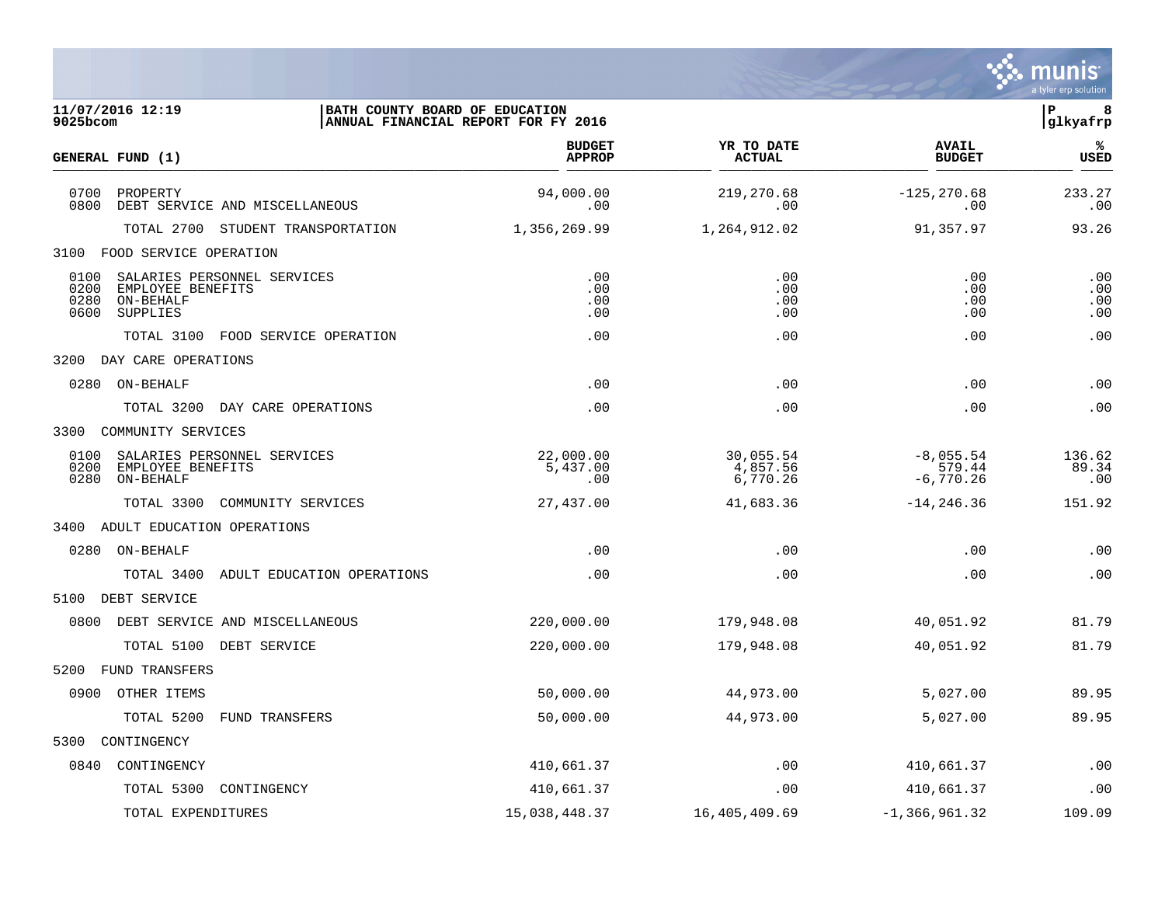

| 11/07/2016 12:19<br>9025bcom                                                                              | BATH COUNTY BOARD OF EDUCATION<br>ANNUAL FINANCIAL REPORT FOR FY 2016 |                                   |                                      | lР<br>8<br> glkyafrp     |
|-----------------------------------------------------------------------------------------------------------|-----------------------------------------------------------------------|-----------------------------------|--------------------------------------|--------------------------|
| GENERAL FUND (1)                                                                                          | <b>BUDGET</b><br><b>APPROP</b>                                        | YR TO DATE<br>ACTUAL              | <b>AVAIL</b><br><b>BUDGET</b>        | %ร<br><b>USED</b>        |
| 0700<br>PROPERTY<br>0800<br>DEBT SERVICE AND MISCELLANEOUS                                                | 94,000.00<br>.00                                                      | 219,270.68<br>.00                 | $-125, 270.68$<br>.00                | 233.27<br>.00            |
| TOTAL 2700 STUDENT TRANSPORTATION                                                                         | 1,356,269.99                                                          | 1,264,912.02                      | 91,357.97                            | 93.26                    |
| 3100 FOOD SERVICE OPERATION                                                                               |                                                                       |                                   |                                      |                          |
| SALARIES PERSONNEL SERVICES<br>0100<br>0200<br>EMPLOYEE BENEFITS<br>0280<br>ON-BEHALF<br>SUPPLIES<br>0600 | .00<br>.00<br>.00<br>.00                                              | .00<br>.00<br>.00<br>.00          | .00<br>.00<br>.00<br>.00             | .00<br>.00<br>.00<br>.00 |
| TOTAL 3100 FOOD SERVICE OPERATION                                                                         | .00                                                                   | .00                               | .00                                  | .00                      |
| 3200 DAY CARE OPERATIONS                                                                                  |                                                                       |                                   |                                      |                          |
| 0280 ON-BEHALF                                                                                            | .00                                                                   | .00                               | .00                                  | .00                      |
| TOTAL 3200 DAY CARE OPERATIONS                                                                            | .00                                                                   | .00                               | .00                                  | .00                      |
| COMMUNITY SERVICES<br>3300                                                                                |                                                                       |                                   |                                      |                          |
| 0100<br>SALARIES PERSONNEL SERVICES<br>0200<br>EMPLOYEE BENEFITS<br>ON-BEHALF<br>0280                     | 22,000.00<br>5,437.00<br>.00                                          | 30,055.54<br>4,857.56<br>6,770.26 | $-8,055.54$<br>579.44<br>$-6,770.26$ | 136.62<br>89.34<br>.00   |
| TOTAL 3300<br>COMMUNITY SERVICES                                                                          | 27,437.00                                                             | 41,683.36                         | $-14, 246.36$                        | 151.92                   |
| 3400 ADULT EDUCATION OPERATIONS                                                                           |                                                                       |                                   |                                      |                          |
| 0280 ON-BEHALF                                                                                            | .00                                                                   | .00                               | .00                                  | .00                      |
| TOTAL 3400<br>ADULT EDUCATION OPERATIONS                                                                  | .00                                                                   | .00                               | .00                                  | .00                      |
| 5100 DEBT SERVICE                                                                                         |                                                                       |                                   |                                      |                          |
| 0800<br>DEBT SERVICE AND MISCELLANEOUS                                                                    | 220,000.00                                                            | 179,948.08                        | 40,051.92                            | 81.79                    |
| TOTAL 5100 DEBT SERVICE                                                                                   | 220,000.00                                                            | 179,948.08                        | 40,051.92                            | 81.79                    |
| FUND TRANSFERS<br>5200                                                                                    |                                                                       |                                   |                                      |                          |
| 0900 OTHER ITEMS                                                                                          | 50,000.00                                                             | 44,973.00                         | 5,027.00                             | 89.95                    |
| TOTAL 5200<br><b>FUND TRANSFERS</b>                                                                       | 50,000.00                                                             | 44,973.00                         | 5,027.00                             | 89.95                    |
| 5300<br>CONTINGENCY                                                                                       |                                                                       |                                   |                                      |                          |
| 0840<br>CONTINGENCY                                                                                       | 410,661.37                                                            | .00                               | 410,661.37                           | .00                      |
| TOTAL 5300<br>CONTINGENCY                                                                                 | 410,661.37                                                            | .00                               | 410,661.37                           | .00                      |
| TOTAL EXPENDITURES                                                                                        | 15,038,448.37                                                         | 16,405,409.69                     | $-1, 366, 961.32$                    | 109.09                   |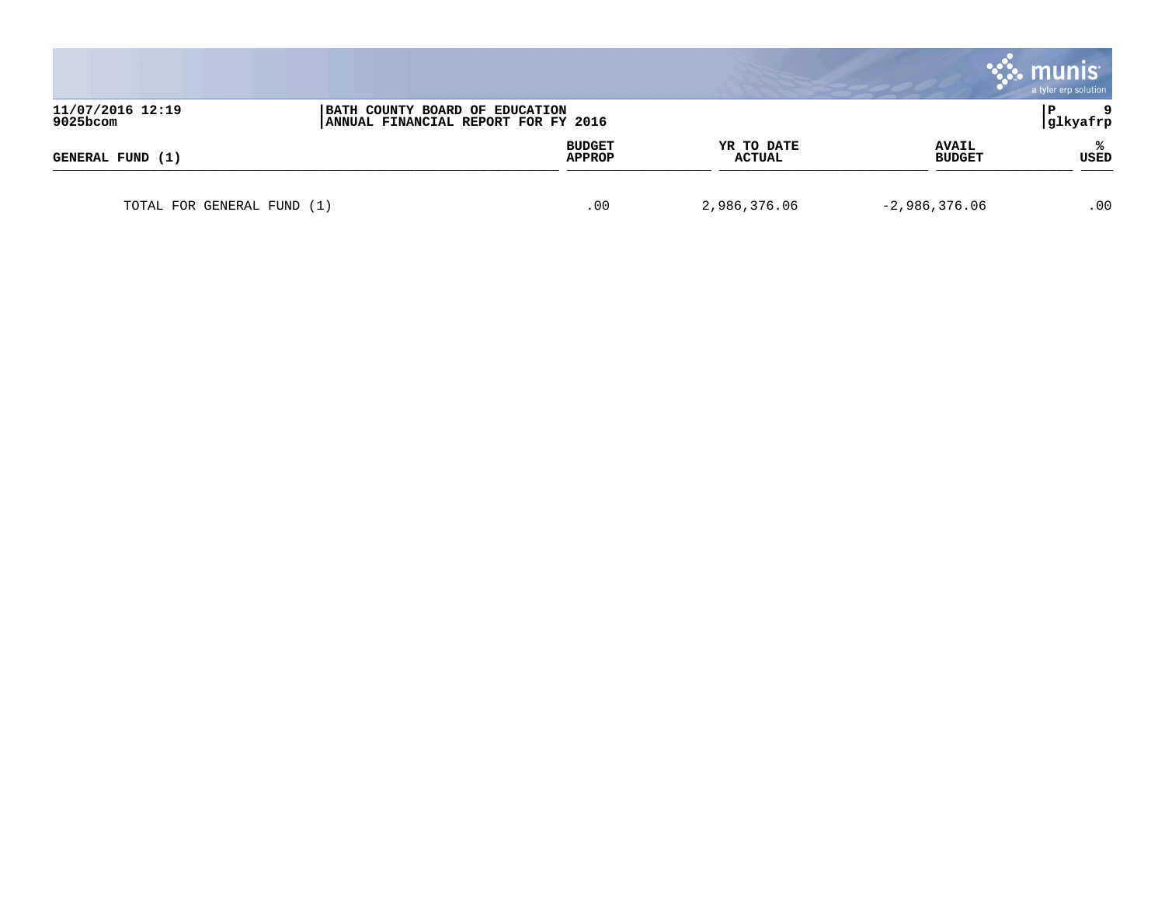|                              |                                                                       |                         |                             |                               | munis<br>a tyler erp solution |
|------------------------------|-----------------------------------------------------------------------|-------------------------|-----------------------------|-------------------------------|-------------------------------|
| 11/07/2016 12:19<br>9025bcom | BATH COUNTY BOARD OF EDUCATION<br>ANNUAL FINANCIAL REPORT FOR FY 2016 |                         |                             |                               | -9<br> glkyafrp               |
| GENERAL FUND (1)             |                                                                       | <b>BUDGET</b><br>APPROP | YR TO DATE<br><b>ACTUAL</b> | <b>AVAIL</b><br><b>BUDGET</b> | ℁<br>USED                     |
| TOTAL FOR GENERAL FUND (1)   |                                                                       | .00                     | 2,986,376.06                | $-2,986,376.06$               | .00                           |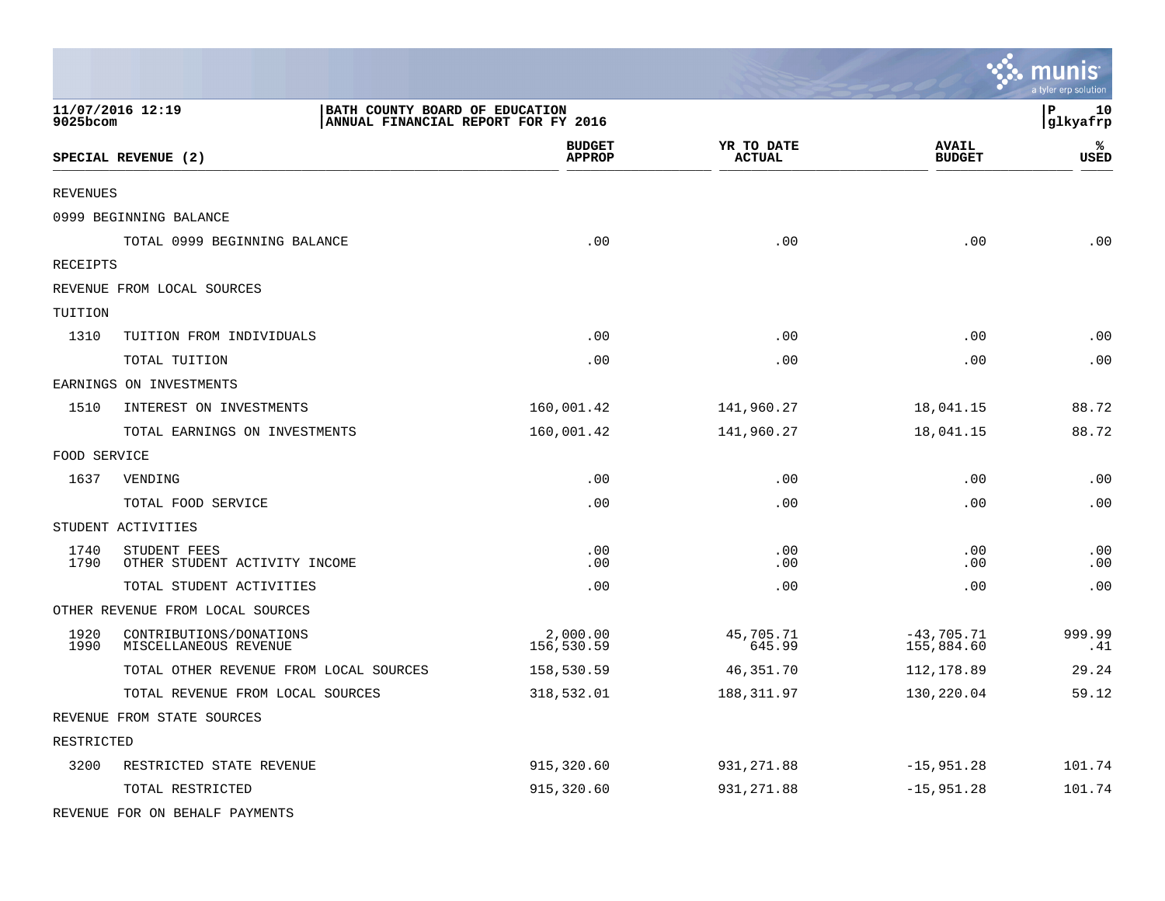|              |                                                                                           |                                |                             |                               | a tyler erp solution |
|--------------|-------------------------------------------------------------------------------------------|--------------------------------|-----------------------------|-------------------------------|----------------------|
| 9025bcom     | 11/07/2016 12:19<br>BATH COUNTY BOARD OF EDUCATION<br>ANNUAL FINANCIAL REPORT FOR FY 2016 |                                |                             |                               | P<br>10<br>glkyafrp  |
|              | SPECIAL REVENUE (2)                                                                       | <b>BUDGET</b><br><b>APPROP</b> | YR TO DATE<br><b>ACTUAL</b> | <b>AVAIL</b><br><b>BUDGET</b> | ℁<br>USED            |
| REVENUES     |                                                                                           |                                |                             |                               |                      |
|              | 0999 BEGINNING BALANCE                                                                    |                                |                             |                               |                      |
|              | TOTAL 0999 BEGINNING BALANCE                                                              | .00                            | .00                         | .00                           | .00                  |
| RECEIPTS     |                                                                                           |                                |                             |                               |                      |
|              | REVENUE FROM LOCAL SOURCES                                                                |                                |                             |                               |                      |
| TUITION      |                                                                                           |                                |                             |                               |                      |
| 1310         | TUITION FROM INDIVIDUALS                                                                  | .00                            | .00                         | .00                           | .00                  |
|              | TOTAL TUITION                                                                             | .00                            | .00                         | .00                           | .00                  |
|              | EARNINGS ON INVESTMENTS                                                                   |                                |                             |                               |                      |
| 1510         | INTEREST ON INVESTMENTS                                                                   | 160,001.42                     | 141,960.27                  | 18,041.15                     | 88.72                |
|              | TOTAL EARNINGS ON INVESTMENTS                                                             | 160,001.42                     | 141,960.27                  | 18,041.15                     | 88.72                |
| FOOD SERVICE |                                                                                           |                                |                             |                               |                      |
| 1637         | VENDING                                                                                   | .00                            | .00                         | .00                           | .00                  |
|              | TOTAL FOOD SERVICE                                                                        | .00                            | .00                         | .00                           | .00                  |
|              | STUDENT ACTIVITIES                                                                        |                                |                             |                               |                      |
| 1740<br>1790 | STUDENT FEES<br>OTHER STUDENT ACTIVITY INCOME                                             | .00<br>.00                     | .00<br>.00                  | .00<br>.00                    | .00<br>.00           |
|              | TOTAL STUDENT ACTIVITIES                                                                  | .00                            | .00                         | .00                           | .00                  |
|              | OTHER REVENUE FROM LOCAL SOURCES                                                          |                                |                             |                               |                      |
| 1920<br>1990 | CONTRIBUTIONS/DONATIONS<br>MISCELLANEOUS REVENUE                                          | 2,000.00<br>156,530.59         | 45,705.71<br>645.99         | $-43,705.71$<br>155,884.60    | 999.99<br>.41        |
|              | TOTAL OTHER REVENUE FROM LOCAL SOURCES                                                    | 158,530.59                     | 46,351.70                   | 112,178.89                    | 29.24                |
|              | TOTAL REVENUE FROM LOCAL SOURCES                                                          | 318,532.01                     | 188,311.97                  | 130,220.04                    | 59.12                |
|              | REVENUE FROM STATE SOURCES                                                                |                                |                             |                               |                      |
| RESTRICTED   |                                                                                           |                                |                             |                               |                      |
| 3200         | RESTRICTED STATE REVENUE                                                                  | 915, 320.60                    | 931, 271.88                 | $-15,951.28$                  | 101.74               |
|              | TOTAL RESTRICTED                                                                          | 915,320.60                     | 931, 271.88                 | $-15,951.28$                  | 101.74               |
|              | REVENUE FOR ON BEHALF PAYMENTS                                                            |                                |                             |                               |                      |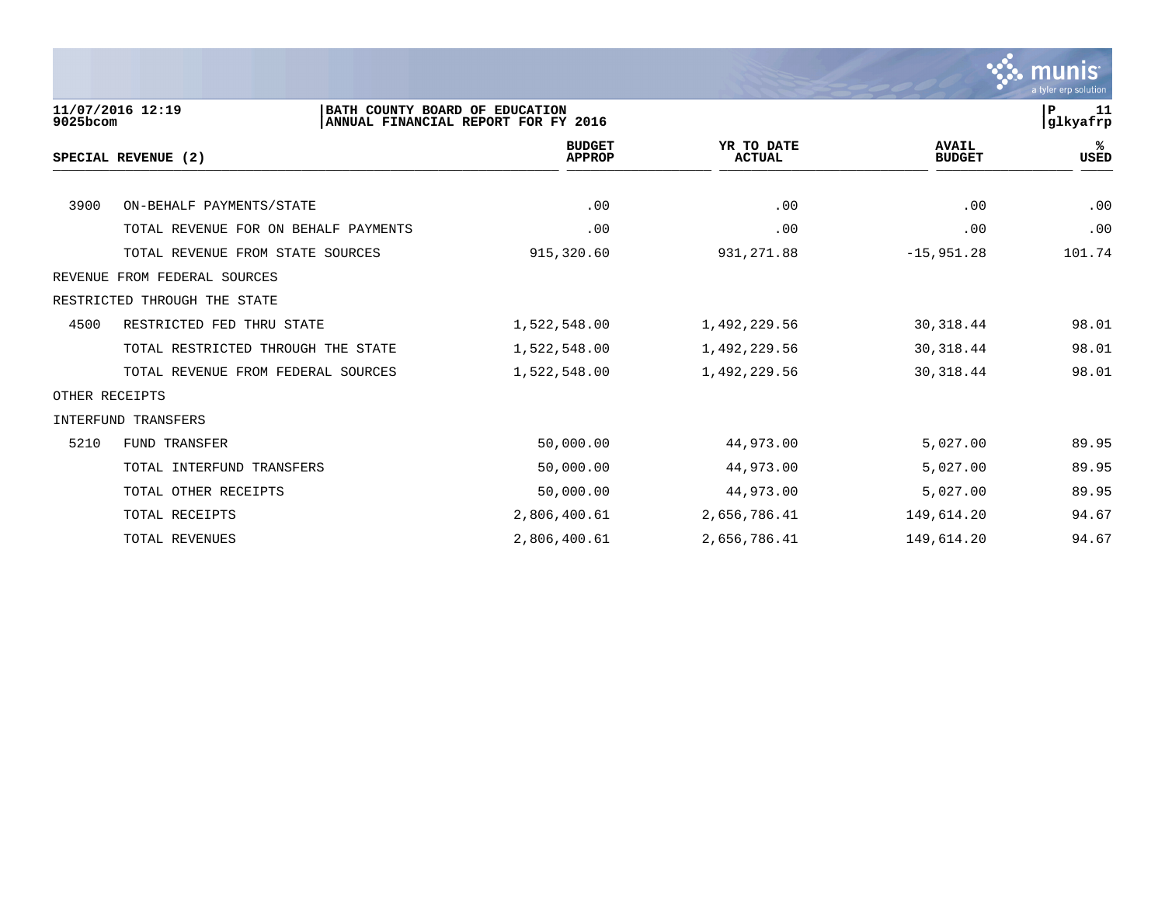

| 9025bcom       | 11/07/2016 12:19<br>BATH COUNTY BOARD OF EDUCATION | ANNUAL FINANCIAL REPORT FOR FY 2016 |                             |                               | 11<br>P<br>glkyafrp |
|----------------|----------------------------------------------------|-------------------------------------|-----------------------------|-------------------------------|---------------------|
|                | SPECIAL REVENUE (2)                                | <b>BUDGET</b><br><b>APPROP</b>      | YR TO DATE<br><b>ACTUAL</b> | <b>AVAIL</b><br><b>BUDGET</b> | ℁<br><b>USED</b>    |
|                |                                                    |                                     |                             |                               |                     |
| 3900           | ON-BEHALF PAYMENTS/STATE                           | .00                                 | .00                         | .00                           | .00                 |
|                | TOTAL REVENUE FOR ON BEHALF PAYMENTS               | .00                                 | .00                         | .00                           | .00                 |
|                | TOTAL REVENUE FROM STATE SOURCES                   | 915,320.60                          | 931, 271.88                 | $-15,951.28$                  | 101.74              |
| REVENUE        | FROM FEDERAL SOURCES                               |                                     |                             |                               |                     |
|                | RESTRICTED THROUGH THE STATE                       |                                     |                             |                               |                     |
| 4500           | RESTRICTED FED THRU STATE                          | 1,522,548.00                        | 1,492,229.56                | 30,318.44                     | 98.01               |
|                | TOTAL RESTRICTED THROUGH THE STATE                 | 1,522,548.00                        | 1,492,229.56                | 30, 318.44                    | 98.01               |
|                | TOTAL REVENUE FROM FEDERAL SOURCES                 | 1,522,548.00                        | 1,492,229.56                | 30, 318.44                    | 98.01               |
| OTHER RECEIPTS |                                                    |                                     |                             |                               |                     |
|                | INTERFUND TRANSFERS                                |                                     |                             |                               |                     |
| 5210           | <b>FUND TRANSFER</b>                               | 50,000.00                           | 44,973.00                   | 5,027.00                      | 89.95               |
|                | TOTAL INTERFUND TRANSFERS                          | 50,000.00                           | 44,973.00                   | 5,027.00                      | 89.95               |
|                | TOTAL OTHER RECEIPTS                               | 50,000.00                           | 44,973.00                   | 5,027.00                      | 89.95               |
|                | TOTAL RECEIPTS                                     | 2,806,400.61                        | 2,656,786.41                | 149,614.20                    | 94.67               |
|                | TOTAL REVENUES                                     | 2,806,400.61                        | 2,656,786.41                | 149,614.20                    | 94.67               |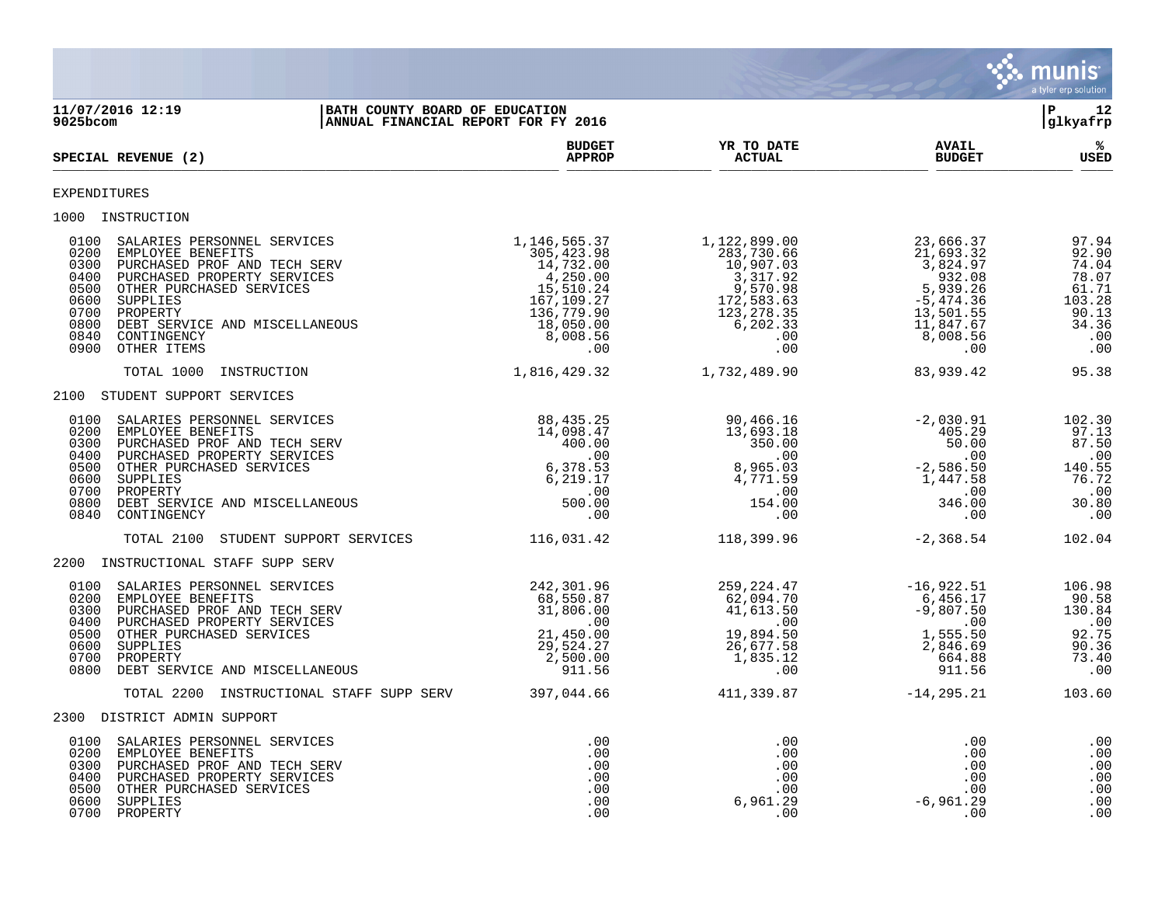

**11/07/2016 12:19 |BATH COUNTY BOARD OF EDUCATION |P 12 ANNUAL FINANCIAL REPORT FOR FY 2016 BUDGET YR TO DATE AVAIL %**  $\blacksquare$  **APPROP ACTUAL REVENUE (2) BUDGET**  $\frac{\text{AFR} + \text{R}}{\text{AFR}}$ EXPENDITURES 1000 INSTRUCTION<br>
0100 SALARIES PERSONNEL SERVICES<br>
0200 EMPLOYEE BENEFITS<br>
0300 PURCHASED PROF AND TECH SERV<br>
0400 PURCHASED PROPERTY SERVICES<br>
0500 OTHER PURCHASED SERVICES 0100 SALARIES PERSONNEL SERVICES 1,146,565.37 1,122,899.00 23,666.37 97.94 0200 EMPLOYEE BENEFITS 305,423.98 283,730.66 21,693.32 92.90 0300 PURCHASED PROF AND TECH SERV 14,732.00 14,732.00 10,907.03 3,824.97 3,824.97 74.04 0400 PURCHASED PROPERTY SERVICES 4,250.00 3,317.92 932.08 78.07 0500 OTHER PURCHASED SERVICES 61.71 (15,510.24 9,570.98 5,939.26 61.71 0600 SUPPLIES 167,109.27 172,583.63 -5,474.36 103.28 0700 PROPERTY 136,779.90 123,278.35 13,501.55 90.13 0800 DEBT SERVICE AND MISCELLANEOUS 18,050.00 6,202.33 11,847.67 34.36 0840 CONTINGENCY 8,008.56 .00 8,008.56 .00 0900 OTHER ITEMS .00 .00 .00 .00 TOTAL 1000 INSTRUCTION 1,816,429.32 1,732,489.90 83,939.42 95.38 2100 STUDENT SUPPORT SERVICES 0100 SALARIES PERSONNEL SERVICES 88,435.25 90,466.16 -2,030.91 102.30 0200 EMPLOYEE BENEFITS 67.13 (1998.47 13,693.18 405.29 97.13 0300 PURCHASED PROF AND TECH SERV 400.00 350.00 50.00 87.50 0400 PURCHASED PROPERTY SERVICES .00 .00 .00 .00 0500 OTHER PURCHASED SERVICES 6,378.53 8,965.03 -2,586.50 140.55 0600 SUPPLIES 6,219.17 4,771.59 1,447.58 76.72 0700 PROPERTY .00 .00 .00 .00 0800 DEBT SERVICE AND MISCELLANEOUS 500.00 154.00 346.00 30.80 0840 CONTINGENCY .00 .00 .00 .00 TOTAL 2100 STUDENT SUPPORT SERVICES 116,031.42 118,399.96 -2,368.54 102.04 2200 INSTRUCTIONAL STAFF SUPP SERV 0100 SALARIES PERSONNEL SERVICES (242,301.96 259,224.47 - 16,922.51 106.98 0200 EMPLOYEE BENEFITS 68,550.87 62,094.70 6,456.17 90.58 0300 PURCHASED PROF AND TECH SERV 31,806.00 41,613.50 -9,807.50 130.84 0400 PURCHASED PROPERTY SERVICES .00 .00 .00 .00 0500 OTHER PURCHASED SERVICES 21,450.00 19,894.50 1,555.50 92.75 0600 SUPPLIES 29,524.27 26,677.58 2,846.69 90.36 0700 PROPERTY 2,500.00 1,835.12 664.88 73.40 0800 DEBT SERVICE AND MISCELLANEOUS 911.56 .00 911.56 .00 TOTAL 2200 INSTRUCTIONAL STAFF SUPP SERV 397,044.66 411,339.87 -14,295.21 103.60 2300 DISTRICT ADMIN SUPPORT 0100 SALARIES PERSONNEL SERVICES .00 .00 .00 .00 0200 EMPLOYEE BENEFITS .00 .00 .00 .00 0300 PURCHASED PROF AND TECH SERV .00 .00 .00 .00 0400 PURCHASED PROPERTY SERVICES .00 .00 .00 .00 0500 OTHER PURCHASED SERVICES .00 .00 .00 .00 0600 SUPPLIES .00 6,961.29 -6,961.29 .00 0700 PROPERTY .00 .00 .00 .00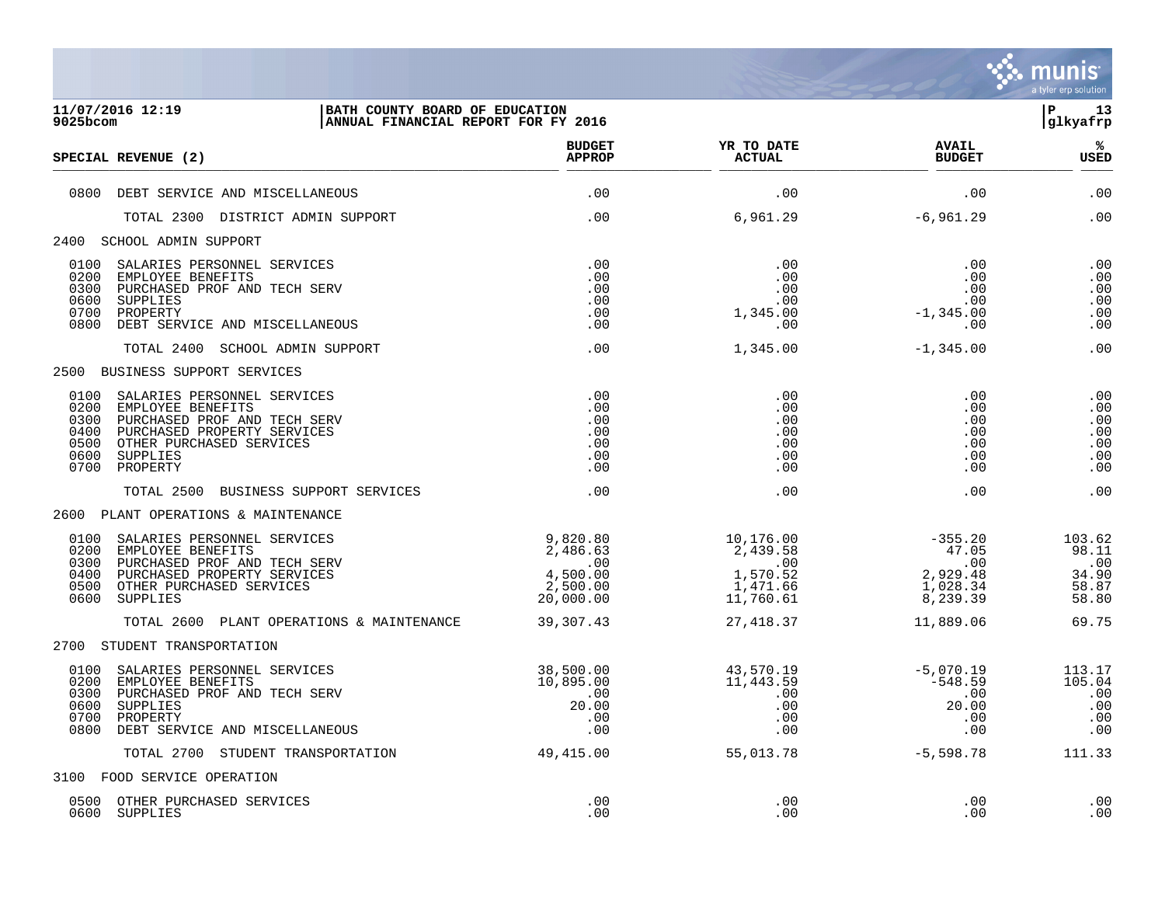

| 9025bcom                                             | 11/07/2016 12:19<br>BATH COUNTY BOARD OF EDUCATION<br>ANNUAL FINANCIAL REPORT FOR FY 2016                                                                           |                                                                                           |                                                                   |                                                               | l P<br>13<br>glkyafrp                             |
|------------------------------------------------------|---------------------------------------------------------------------------------------------------------------------------------------------------------------------|-------------------------------------------------------------------------------------------|-------------------------------------------------------------------|---------------------------------------------------------------|---------------------------------------------------|
|                                                      | SPECIAL REVENUE (2)                                                                                                                                                 | <b>BUDGET</b><br><b>APPROP</b>                                                            | YR TO DATE<br><b>ACTUAL</b>                                       | <b>AVAIL</b><br><b>BUDGET</b>                                 | %ร<br><b>USED</b>                                 |
|                                                      | 0800 DEBT SERVICE AND MISCELLANEOUS                                                                                                                                 | .00                                                                                       | .00                                                               | .00                                                           | .00                                               |
|                                                      | TOTAL 2300 DISTRICT ADMIN SUPPORT                                                                                                                                   | .00                                                                                       | 6,961.29                                                          | $-6,961.29$                                                   | .00                                               |
|                                                      | 2400 SCHOOL ADMIN SUPPORT                                                                                                                                           |                                                                                           |                                                                   |                                                               |                                                   |
| 0200<br>0300<br>0600<br>0700<br>0800                 | 0100 SALARIES PERSONNEL SERVICES<br>EMPLOYEE BENEFITS<br>PURCHASED PROF AND TECH SERV<br>SUPPLIES<br>PROPERTY<br>DEBT SERVICE AND MISCELLANEOUS                     | .00<br>.00<br>.00<br>.00<br>.00<br>.00                                                    | .00<br>.00<br>.00<br>.00<br>1,345.00<br>.00                       | .00<br>.00<br>.00<br>.00<br>$-1, 345.00$<br>.00               | .00<br>.00<br>.00<br>.00<br>.00<br>.00            |
|                                                      | TOTAL 2400 SCHOOL ADMIN SUPPORT                                                                                                                                     | .00                                                                                       | 1,345.00                                                          | $-1,345.00$                                                   | .00                                               |
|                                                      | 2500 BUSINESS SUPPORT SERVICES                                                                                                                                      |                                                                                           |                                                                   |                                                               |                                                   |
| 0100<br>0200<br>0300<br>0400<br>0500<br>0600<br>0700 | SALARIES PERSONNEL SERVICES<br>EMPLOYEE BENEFITS<br>PURCHASED PROF AND TECH SERV<br>PURCHASED PROPERTY SERVICES<br>OTHER PURCHASED SERVICES<br>SUPPLIES<br>PROPERTY | .00<br>.00<br>.00<br>.00<br>.00<br>.00<br>.00                                             | .00<br>.00<br>.00<br>.00<br>.00<br>.00<br>.00                     | .00<br>.00<br>.00<br>.00<br>.00<br>.00<br>.00                 | .00<br>.00<br>.00<br>.00<br>.00<br>.00<br>.00     |
|                                                      | TOTAL 2500 BUSINESS SUPPORT SERVICES                                                                                                                                | .00                                                                                       | .00                                                               | .00                                                           | .00                                               |
|                                                      | 2600 PLANT OPERATIONS & MAINTENANCE                                                                                                                                 |                                                                                           |                                                                   |                                                               |                                                   |
| 0100<br>0200<br>0300<br>0400<br>0500<br>0600         | SALARIES PERSONNEL SERVICES<br>EMPLOYEE BENEFITS<br>PURCHASED PROF AND TECH SERV<br>PURCHASED PROPERTY SERVICES<br>OTHER PURCHASED SERVICES<br>SUPPLIES             | 9,820.80<br>2,486.63<br>$\overline{\phantom{0}}$ .00<br>4,500.00<br>2,500.00<br>20,000.00 | 10,176.00<br>2,439.58<br>.00<br>1,570.52<br>1,471.66<br>11,760.61 | $-355.20$<br>47.05<br>.00<br>2,929.48<br>1,028.34<br>8,239.39 | 103.62<br>98.11<br>.00<br>34.90<br>58.87<br>58.80 |
|                                                      | TOTAL 2600 PLANT OPERATIONS & MAINTENANCE                                                                                                                           | 39,307.43                                                                                 | 27,418.37                                                         | 11,889.06                                                     | 69.75                                             |
|                                                      | 2700 STUDENT TRANSPORTATION                                                                                                                                         |                                                                                           |                                                                   |                                                               |                                                   |
| 0200<br>0300<br>0600<br>0700<br>0800                 | 0100 SALARIES PERSONNEL SERVICES<br>EMPLOYEE BENEFITS<br>PURCHASED PROF AND TECH SERV<br>SUPPLIES<br>PROPERTY<br>DEBT SERVICE AND MISCELLANEOUS                     | 38,500.00<br>10,895.00<br>.00<br>20.00<br>.00<br>.00                                      | 43,570.19<br>11,443.59<br>.00<br>.00<br>.00<br>.00                | $-5,070.19$<br>-548.59<br>.00<br>20.00<br>.00<br>.00          | 113.17<br>105.04<br>.00<br>.00<br>.00<br>.00      |
|                                                      | TOTAL 2700 STUDENT TRANSPORTATION                                                                                                                                   | 49,415.00                                                                                 | 55,013.78                                                         | -5,598.78                                                     | 111.33                                            |
|                                                      | 3100 FOOD SERVICE OPERATION                                                                                                                                         |                                                                                           |                                                                   |                                                               |                                                   |
| 0600                                                 | 0500 OTHER PURCHASED SERVICES<br>SUPPLIES                                                                                                                           | .00<br>.00                                                                                | .00<br>.00                                                        | .00<br>.00                                                    | .00<br>.00                                        |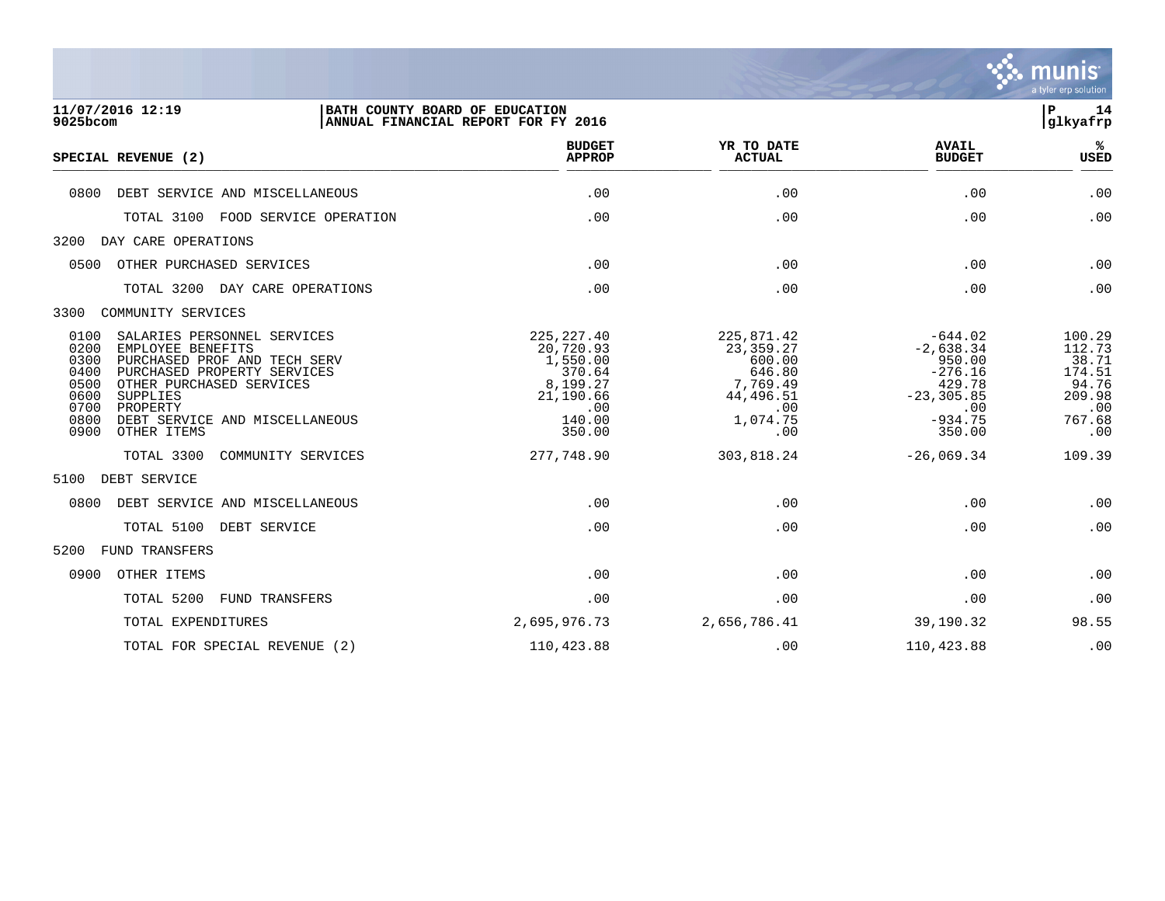

| 11/07/2016 12:19<br>9025bcom                                                                                                                                                                                                                                                                        | BATH COUNTY BOARD OF EDUCATION<br>ANNUAL FINANCIAL REPORT FOR FY 2016                              |                                                                                                  |                                                                                                          | 14<br>ΙP<br>glkyafrp                                                           |
|-----------------------------------------------------------------------------------------------------------------------------------------------------------------------------------------------------------------------------------------------------------------------------------------------------|----------------------------------------------------------------------------------------------------|--------------------------------------------------------------------------------------------------|----------------------------------------------------------------------------------------------------------|--------------------------------------------------------------------------------|
| SPECIAL REVENUE (2)                                                                                                                                                                                                                                                                                 | <b>BUDGET</b><br><b>APPROP</b>                                                                     | YR TO DATE<br><b>ACTUAL</b>                                                                      | <b>AVAIL</b><br><b>BUDGET</b>                                                                            | ℁<br><b>USED</b>                                                               |
| 0800<br>DEBT SERVICE AND MISCELLANEOUS                                                                                                                                                                                                                                                              | .00                                                                                                | .00                                                                                              | .00                                                                                                      | .00                                                                            |
| TOTAL 3100<br>FOOD SERVICE OPERATION                                                                                                                                                                                                                                                                | .00                                                                                                | .00                                                                                              | .00                                                                                                      | .00                                                                            |
| 3200<br>DAY CARE OPERATIONS                                                                                                                                                                                                                                                                         |                                                                                                    |                                                                                                  |                                                                                                          |                                                                                |
| OTHER PURCHASED SERVICES<br>0500                                                                                                                                                                                                                                                                    | .00                                                                                                | .00                                                                                              | .00                                                                                                      | .00                                                                            |
| TOTAL 3200<br>DAY CARE OPERATIONS                                                                                                                                                                                                                                                                   | .00                                                                                                | .00                                                                                              | .00                                                                                                      | .00                                                                            |
| 3300<br>COMMUNITY SERVICES                                                                                                                                                                                                                                                                          |                                                                                                    |                                                                                                  |                                                                                                          |                                                                                |
| 0100<br>SALARIES PERSONNEL SERVICES<br>0200<br>EMPLOYEE BENEFITS<br>0300<br>PURCHASED PROF AND TECH SERV<br>0400<br>PURCHASED PROPERTY SERVICES<br>0500<br>OTHER PURCHASED SERVICES<br>0600<br><b>SUPPLIES</b><br>0700<br>PROPERTY<br>0800<br>DEBT SERVICE AND MISCELLANEOUS<br>0900<br>OTHER ITEMS | 225, 227.40<br>20,720.93<br>1,550.00<br>370.64<br>8,199.27<br>21,190.66<br>.00<br>140.00<br>350.00 | 225,871.42<br>23, 359. 27<br>600.00<br>646.80<br>7,769.49<br>44,496.51<br>.00<br>1,074.75<br>.00 | $-644.02$<br>$-2,638.34$<br>950.00<br>$-276.16$<br>429.78<br>$-23, 305.85$<br>.00<br>$-934.75$<br>350.00 | 100.29<br>112.73<br>38.71<br>174.51<br>94.76<br>209.98<br>.00<br>767.68<br>.00 |
| TOTAL 3300<br>COMMUNITY SERVICES                                                                                                                                                                                                                                                                    | 277,748.90                                                                                         | 303,818.24                                                                                       | $-26,069.34$                                                                                             | 109.39                                                                         |
| 5100<br>DEBT SERVICE                                                                                                                                                                                                                                                                                |                                                                                                    |                                                                                                  |                                                                                                          |                                                                                |
| 0800<br>DEBT SERVICE AND MISCELLANEOUS                                                                                                                                                                                                                                                              | .00                                                                                                | .00                                                                                              | .00                                                                                                      | .00                                                                            |
| TOTAL 5100<br>DEBT SERVICE                                                                                                                                                                                                                                                                          | .00                                                                                                | .00                                                                                              | .00                                                                                                      | .00                                                                            |
| 5200<br>FUND TRANSFERS                                                                                                                                                                                                                                                                              |                                                                                                    |                                                                                                  |                                                                                                          |                                                                                |
| 0900<br>OTHER ITEMS                                                                                                                                                                                                                                                                                 | .00                                                                                                | .00                                                                                              | .00                                                                                                      | .00                                                                            |
| TOTAL 5200<br><b>FUND TRANSFERS</b>                                                                                                                                                                                                                                                                 | .00                                                                                                | .00                                                                                              | .00                                                                                                      | .00                                                                            |
| TOTAL EXPENDITURES                                                                                                                                                                                                                                                                                  | 2,695,976.73                                                                                       | 2,656,786.41                                                                                     | 39,190.32                                                                                                | 98.55                                                                          |

TOTAL FOR SPECIAL REVENUE (2)  $110,423.88$  .00  $110,423.88$  .00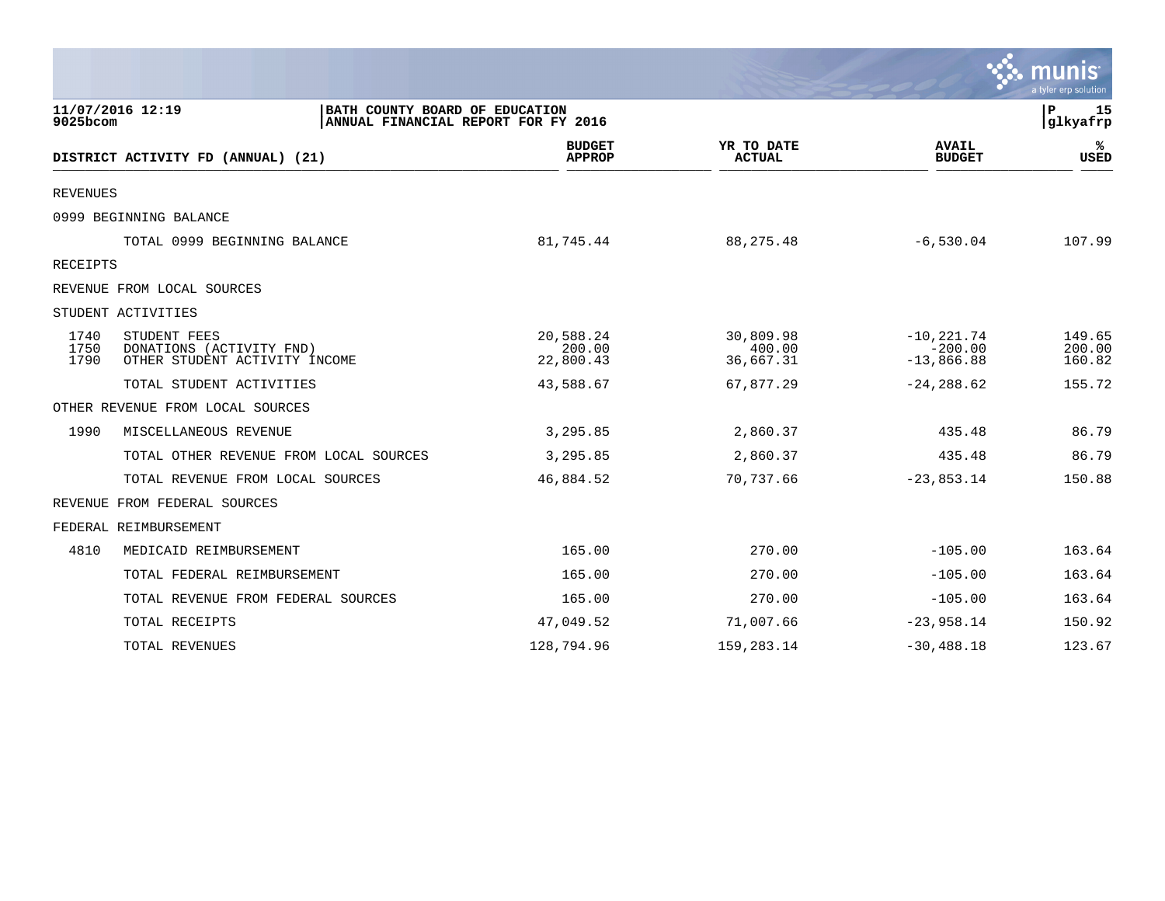|                      |                                                                                           |                                  |                                  |                                            | munis<br>a tyler erp solution  |
|----------------------|-------------------------------------------------------------------------------------------|----------------------------------|----------------------------------|--------------------------------------------|--------------------------------|
| 9025bcom             | 11/07/2016 12:19<br>BATH COUNTY BOARD OF EDUCATION<br>ANNUAL FINANCIAL REPORT FOR FY 2016 |                                  |                                  |                                            | $\mathbf{P}$<br>15<br>glkyafrp |
|                      | DISTRICT ACTIVITY FD (ANNUAL) (21)                                                        | <b>BUDGET</b><br><b>APPROP</b>   | YR TO DATE<br><b>ACTUAL</b>      | <b>AVAIL</b><br><b>BUDGET</b>              | ℁<br>USED                      |
| <b>REVENUES</b>      |                                                                                           |                                  |                                  |                                            |                                |
|                      | 0999 BEGINNING BALANCE                                                                    |                                  |                                  |                                            |                                |
|                      | TOTAL 0999 BEGINNING BALANCE                                                              | 81,745.44                        | 88, 275. 48                      | $-6,530.04$                                | 107.99                         |
| RECEIPTS             |                                                                                           |                                  |                                  |                                            |                                |
|                      | REVENUE FROM LOCAL SOURCES                                                                |                                  |                                  |                                            |                                |
|                      | STUDENT ACTIVITIES                                                                        |                                  |                                  |                                            |                                |
| 1740<br>1750<br>1790 | STUDENT FEES<br>DONATIONS (ACTIVITY FND)<br>OTHER STUDENT ACTIVITY INCOME                 | 20,588.24<br>200.00<br>22,800.43 | 30,809.98<br>400.00<br>36,667.31 | $-10, 221.74$<br>$-200.00$<br>$-13,866.88$ | 149.65<br>200.00<br>160.82     |
|                      | TOTAL STUDENT ACTIVITIES                                                                  | 43,588.67                        | 67,877.29                        | $-24, 288.62$                              | 155.72                         |
|                      | OTHER REVENUE FROM LOCAL SOURCES                                                          |                                  |                                  |                                            |                                |
| 1990                 | MISCELLANEOUS REVENUE                                                                     | 3,295.85                         | 2,860.37                         | 435.48                                     | 86.79                          |
|                      | TOTAL OTHER REVENUE FROM LOCAL SOURCES                                                    | 3,295.85                         | 2,860.37                         | 435.48                                     | 86.79                          |
|                      | TOTAL REVENUE FROM LOCAL SOURCES                                                          | 46,884.52                        | 70,737.66                        | $-23,853.14$                               | 150.88                         |
|                      | REVENUE FROM FEDERAL SOURCES                                                              |                                  |                                  |                                            |                                |
|                      | FEDERAL REIMBURSEMENT                                                                     |                                  |                                  |                                            |                                |
| 4810                 | MEDICAID REIMBURSEMENT                                                                    | 165.00                           | 270.00                           | $-105.00$                                  | 163.64                         |
|                      | TOTAL FEDERAL REIMBURSEMENT                                                               | 165.00                           | 270.00                           | $-105.00$                                  | 163.64                         |
|                      | TOTAL REVENUE FROM FEDERAL SOURCES                                                        | 165.00                           | 270.00                           | $-105.00$                                  | 163.64                         |
|                      | TOTAL RECEIPTS                                                                            | 47,049.52                        | 71,007.66                        | $-23,958.14$                               | 150.92                         |
|                      | TOTAL REVENUES                                                                            | 128,794.96                       | 159, 283. 14                     | $-30, 488.18$                              | 123.67                         |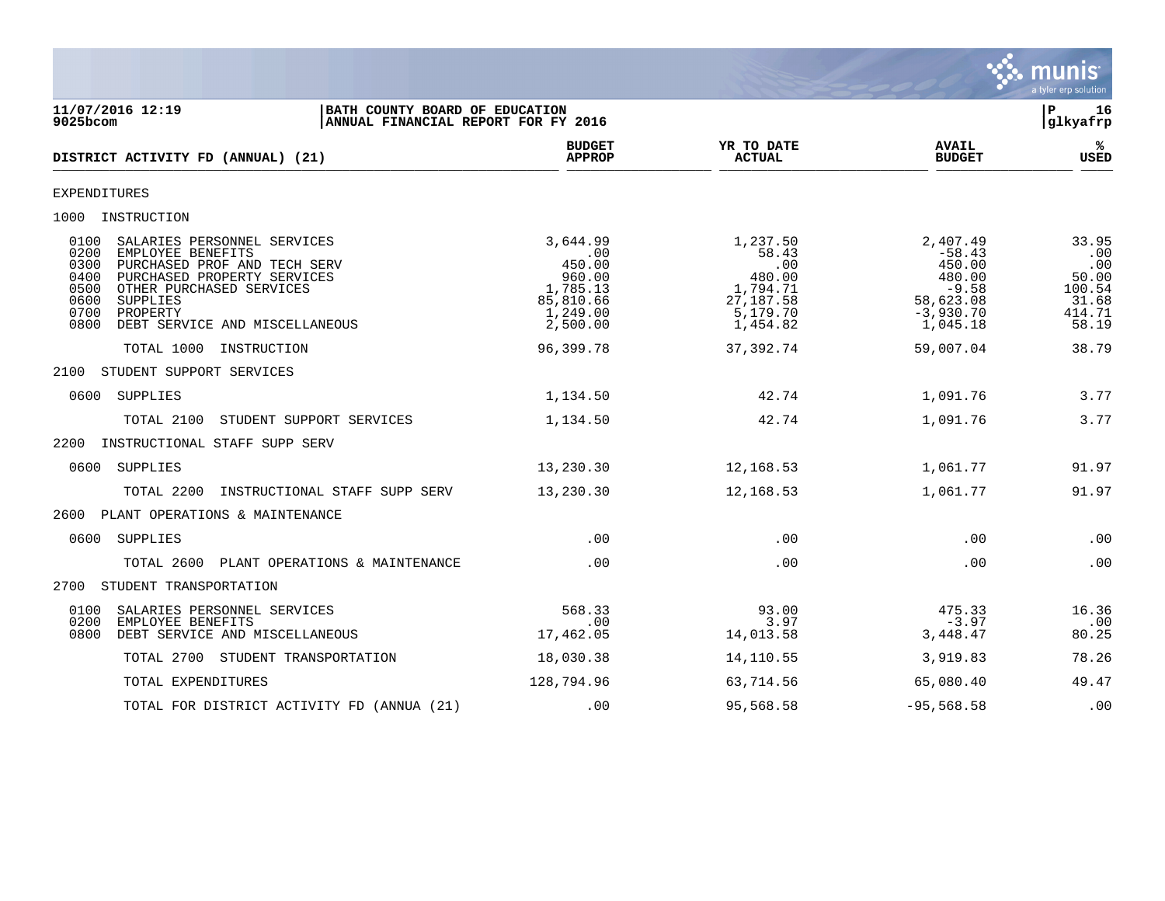

11/07/2016 12:19 **| BATH COUNTY BOARD OF EDUCATION**<br>9025bcom **| ANNUAL FINANCIAL REPORT FOR FY 2016 | SANAL BEEL ASSESS** ANNUAL FINANCIAL REPORT FOR FY 2016 **BUDGET YR TO DATE AVAIL %**  $DISTRICT ACTIVITY FD (ANNUAL) (21)$  $\frac{MFACF}{MFACF}$  . Actival  $\frac{MFACF}{MFACF}$  . Actival  $\frac{MFACF}{MFACF}$  . Actival  $\frac{MFACF}{MFACF}$  . Actival  $\frac{MFACF}{MFACF}$ EXPENDITURES 1000 INSTRUCTION 0100 SALARIES PERSONNEL SERVICES 3,644.99 1,237.50 2,407.49 33.95 0200 EMPLOYEE BENEFITS .00 58.43 -58.43 .00 0300 PURCHASED PROF AND TECH SERV 450.00 .00 450.00 .00 0400 PURCHASED PROPERTY SERVICES 960.00 480.00 480.00 50.00 0500 OTHER PURCHASED SERVICES 1,785.13 1,794.71 -9.58 100.54 0600 SUPPLIES 85,810.66 27,187.58 58,623.08 31.68 0700 PROPERTY 1,249.00 5,179.70 -3,930.70 414.71 0800 DEBT SERVICE AND MISCELLANEOUS  $2,500.00$  1,454.82 1,045.18 58.19 TOTAL 1000 INSTRUCTION 96,399.78 37,392.74 59,007.04 38.79 2100 STUDENT SUPPORT SERVICES 0600 SUPPLIES 1,134.50 42.74 1,091.76 3.77 TOTAL 2100 STUDENT SUPPORT SERVICES 1,134.50 42.74 1,091.76 3.77 2200 INSTRUCTIONAL STAFF SUPP SERV 0600 SUPPLIES 13,230.30 12,168.53 1,061.77 91.97 TOTAL 2200 INSTRUCTIONAL STAFF SUPP SERV 13,230.30 12,168.53 1,061.77 91.97 2600 PLANT OPERATIONS & MAINTENANCE 0600 SUPPLIES .00 .00 .00 .00 TOTAL 2600 PLANT OPERATIONS & MAINTENANCE .00 .00 .00 .00 2700 STUDENT TRANSPORTATION 0100 SALARIES PERSONNEL SERVICES 568.33 93.00 475.33 16.36 0200 EMPLOYEE BENEFITS .00 3.97 -3.97 .00 0800 DEBT SERVICE AND MISCELLANEOUS TOTAL 2700 STUDENT TRANSPORTATION 18,030.38 14,110.55 3,919.83 78.26 TOTAL EXPENDITURES 128,794.96 63,714.56 65,080.40 49.47 TOTAL FOR DISTRICT ACTIVITY FD (ANNUA (21) .00 .00 95,568.58 -95,568.58 .00 .00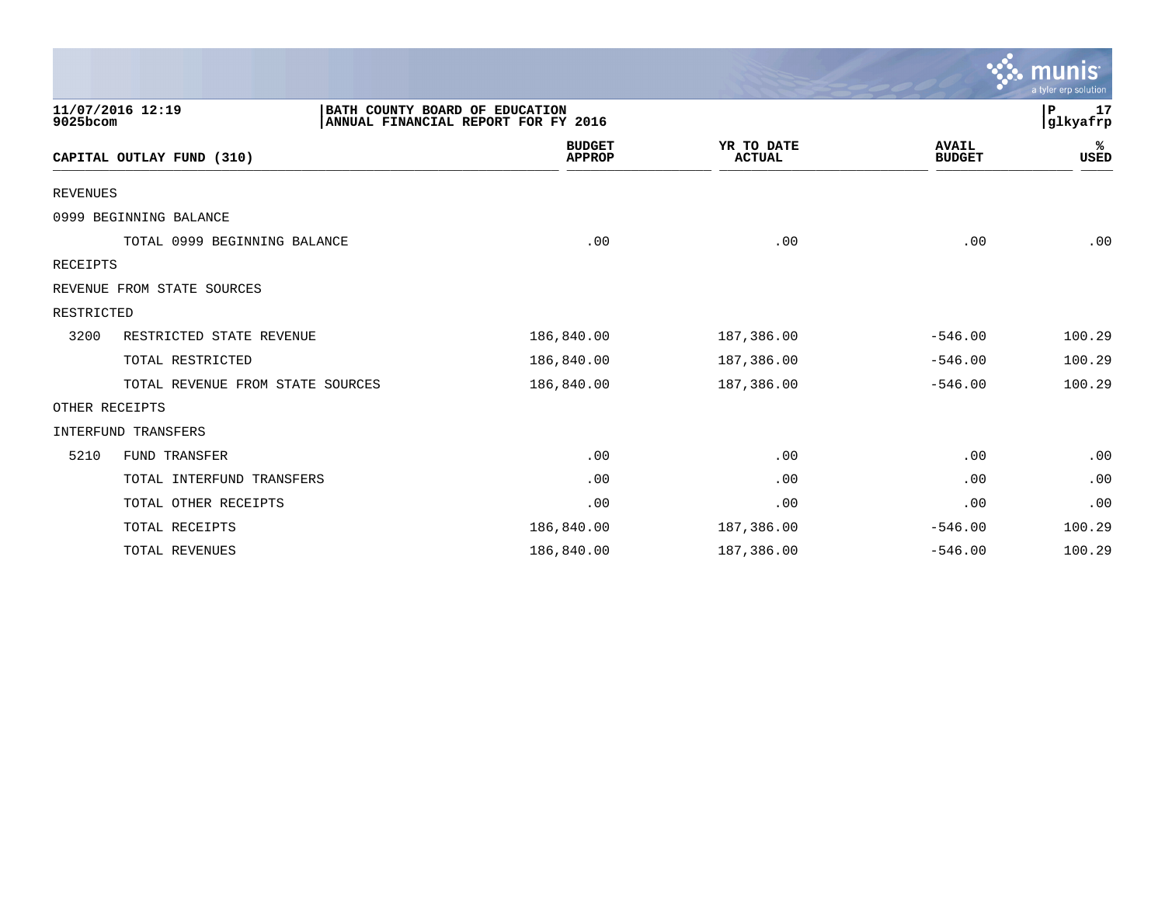|                 |                                                    |                                     |                             |                               | munis<br>a tyler erp solution |
|-----------------|----------------------------------------------------|-------------------------------------|-----------------------------|-------------------------------|-------------------------------|
| 9025bcom        | 11/07/2016 12:19<br>BATH COUNTY BOARD OF EDUCATION | ANNUAL FINANCIAL REPORT FOR FY 2016 |                             |                               | 17<br>P<br> glkyafrp          |
|                 | CAPITAL OUTLAY FUND (310)                          | <b>BUDGET</b><br><b>APPROP</b>      | YR TO DATE<br><b>ACTUAL</b> | <b>AVAIL</b><br><b>BUDGET</b> | ℁<br>USED                     |
| <b>REVENUES</b> |                                                    |                                     |                             |                               |                               |
|                 | 0999 BEGINNING BALANCE                             |                                     |                             |                               |                               |
|                 | TOTAL 0999 BEGINNING BALANCE                       | .00                                 | .00                         | .00                           | .00                           |
| <b>RECEIPTS</b> |                                                    |                                     |                             |                               |                               |
|                 | REVENUE FROM STATE SOURCES                         |                                     |                             |                               |                               |
| RESTRICTED      |                                                    |                                     |                             |                               |                               |
| 3200            | RESTRICTED STATE REVENUE                           | 186,840.00                          | 187,386.00                  | $-546.00$                     | 100.29                        |
|                 | TOTAL RESTRICTED                                   | 186,840.00                          | 187,386.00                  | $-546.00$                     | 100.29                        |
|                 | TOTAL REVENUE FROM STATE SOURCES                   | 186,840.00                          | 187,386.00                  | $-546.00$                     | 100.29                        |
|                 | OTHER RECEIPTS                                     |                                     |                             |                               |                               |
|                 | INTERFUND TRANSFERS                                |                                     |                             |                               |                               |
| 5210            | FUND TRANSFER                                      | .00                                 | .00                         | .00                           | .00                           |
|                 | TOTAL INTERFUND TRANSFERS                          | .00                                 | .00                         | .00                           | .00                           |
|                 | TOTAL OTHER RECEIPTS                               | .00                                 | .00                         | .00                           | .00                           |
|                 | TOTAL RECEIPTS                                     | 186,840.00                          | 187,386.00                  | $-546.00$                     | 100.29                        |
|                 | TOTAL REVENUES                                     | 186,840.00                          | 187,386.00                  | $-546.00$                     | 100.29                        |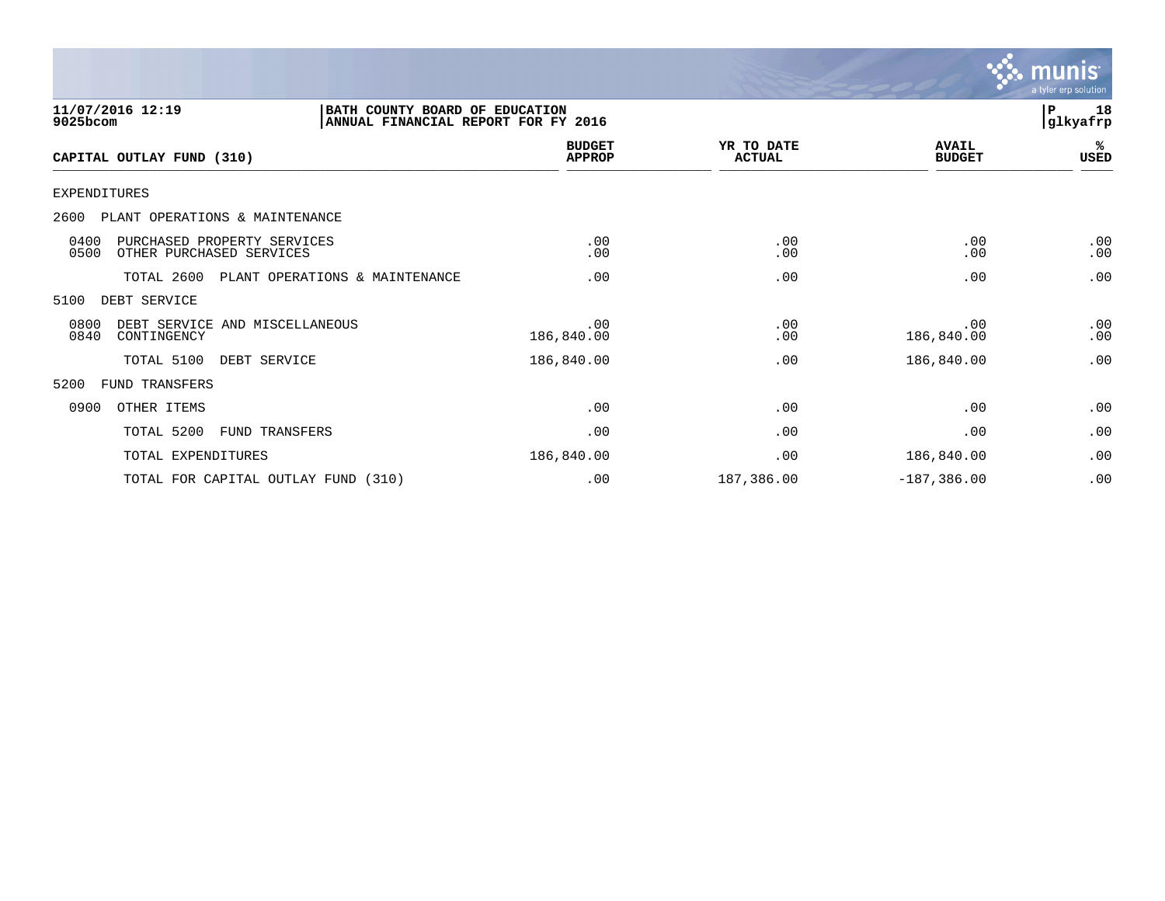

| 11/07/2016 12:19<br>9025bcom                                            | BATH COUNTY BOARD OF EDUCATION<br>ANNUAL FINANCIAL REPORT FOR FY 2016 |                                |                             |                               | 18<br>$\mathbf{P}$<br> glkyafrp |
|-------------------------------------------------------------------------|-----------------------------------------------------------------------|--------------------------------|-----------------------------|-------------------------------|---------------------------------|
| CAPITAL OUTLAY FUND (310)                                               |                                                                       | <b>BUDGET</b><br><b>APPROP</b> | YR TO DATE<br><b>ACTUAL</b> | <b>AVAIL</b><br><b>BUDGET</b> | %ะ<br>USED                      |
| <b>EXPENDITURES</b>                                                     |                                                                       |                                |                             |                               |                                 |
| 2600<br>PLANT OPERATIONS & MAINTENANCE                                  |                                                                       |                                |                             |                               |                                 |
| 0400<br>PURCHASED PROPERTY SERVICES<br>0500<br>OTHER PURCHASED SERVICES |                                                                       | .00<br>.00                     | .00<br>.00                  | .00<br>.00                    | .00<br>.00                      |
| TOTAL 2600                                                              | PLANT OPERATIONS & MAINTENANCE                                        | .00                            | .00                         | .00                           | .00                             |
| 5100<br>DEBT SERVICE                                                    |                                                                       |                                |                             |                               |                                 |
| 0800<br>DEBT SERVICE AND MISCELLANEOUS<br>0840<br>CONTINGENCY           |                                                                       | .00<br>186,840.00              | .00<br>.00                  | .00<br>186,840.00             | .00<br>.00                      |
| TOTAL 5100                                                              | DEBT SERVICE                                                          | 186,840.00                     | .00                         | 186,840.00                    | .00                             |
| 5200<br>FUND TRANSFERS                                                  |                                                                       |                                |                             |                               |                                 |
| 0900<br>OTHER ITEMS                                                     |                                                                       | .00                            | .00                         | .00                           | .00                             |
| TOTAL 5200                                                              | FUND TRANSFERS                                                        | .00                            | .00                         | .00                           | .00                             |
| TOTAL EXPENDITURES                                                      |                                                                       | 186,840.00                     | .00                         | 186,840.00                    | .00                             |
| TOTAL FOR CAPITAL OUTLAY FUND (310)                                     |                                                                       | .00                            | 187,386.00                  | $-187, 386.00$                | .00                             |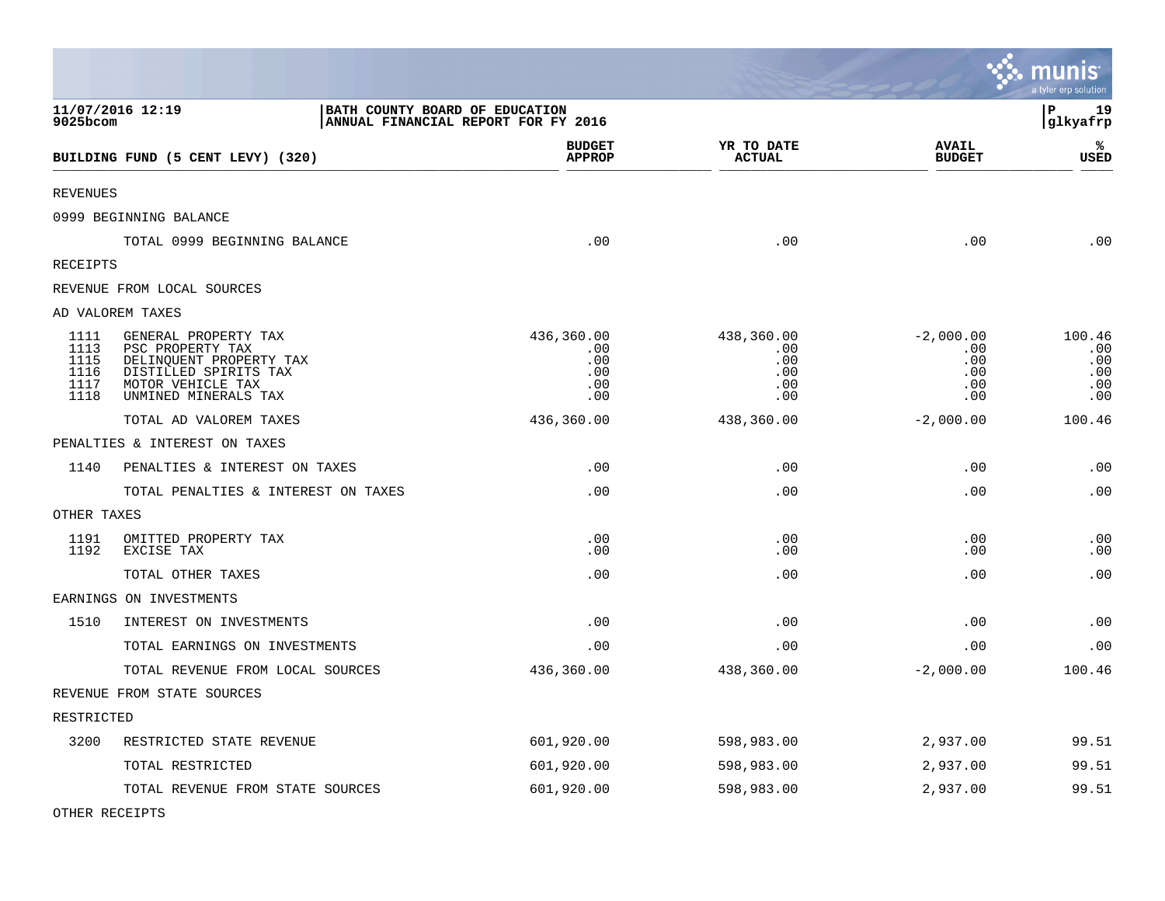|                                              |                                                                                                                                           |                                                                       |                                               |                                                | munis<br>a tyler erp solution             |
|----------------------------------------------|-------------------------------------------------------------------------------------------------------------------------------------------|-----------------------------------------------------------------------|-----------------------------------------------|------------------------------------------------|-------------------------------------------|
| 9025bcom                                     | 11/07/2016 12:19                                                                                                                          | BATH COUNTY BOARD OF EDUCATION<br>ANNUAL FINANCIAL REPORT FOR FY 2016 |                                               |                                                | l P<br>19<br> glkyafrp                    |
|                                              | BUILDING FUND (5 CENT LEVY) (320)                                                                                                         | <b>BUDGET</b><br><b>APPROP</b>                                        | YR TO DATE<br><b>ACTUAL</b>                   | <b>AVAIL</b><br><b>BUDGET</b>                  | %<br>USED                                 |
| REVENUES                                     |                                                                                                                                           |                                                                       |                                               |                                                |                                           |
|                                              | 0999 BEGINNING BALANCE                                                                                                                    |                                                                       |                                               |                                                |                                           |
|                                              | TOTAL 0999 BEGINNING BALANCE                                                                                                              | .00                                                                   | .00                                           | .00                                            | .00                                       |
| RECEIPTS                                     |                                                                                                                                           |                                                                       |                                               |                                                |                                           |
|                                              | REVENUE FROM LOCAL SOURCES                                                                                                                |                                                                       |                                               |                                                |                                           |
|                                              | AD VALOREM TAXES                                                                                                                          |                                                                       |                                               |                                                |                                           |
| 1111<br>1113<br>1115<br>1116<br>1117<br>1118 | GENERAL PROPERTY TAX<br>PSC PROPERTY TAX<br>DELINQUENT PROPERTY TAX<br>DISTILLED SPIRITS TAX<br>MOTOR VEHICLE TAX<br>UNMINED MINERALS TAX | 436,360.00<br>.00<br>.00<br>.00<br>.00<br>.00                         | 438,360.00<br>.00<br>.00<br>.00<br>.00<br>.00 | $-2,000.00$<br>.00<br>.00<br>.00<br>.00<br>.00 | 100.46<br>.00<br>.00<br>.00<br>.00<br>.00 |
|                                              | TOTAL AD VALOREM TAXES                                                                                                                    | 436,360.00                                                            | 438,360.00                                    | $-2,000.00$                                    | 100.46                                    |
|                                              | PENALTIES & INTEREST ON TAXES                                                                                                             |                                                                       |                                               |                                                |                                           |
| 1140                                         | PENALTIES & INTEREST ON TAXES                                                                                                             | .00                                                                   | .00                                           | .00                                            | .00                                       |
|                                              | TOTAL PENALTIES & INTEREST ON TAXES                                                                                                       | .00                                                                   | .00                                           | .00                                            | .00                                       |
| OTHER TAXES                                  |                                                                                                                                           |                                                                       |                                               |                                                |                                           |
| 1191<br>1192                                 | OMITTED PROPERTY TAX<br>EXCISE TAX                                                                                                        | .00<br>.00                                                            | .00<br>.00                                    | .00<br>.00                                     | .00<br>.00                                |
|                                              | TOTAL OTHER TAXES                                                                                                                         | .00                                                                   | .00                                           | .00                                            | .00                                       |
|                                              | EARNINGS ON INVESTMENTS                                                                                                                   |                                                                       |                                               |                                                |                                           |
| 1510                                         | INTEREST ON INVESTMENTS                                                                                                                   | .00                                                                   | .00                                           | .00                                            | .00                                       |
|                                              | TOTAL EARNINGS ON INVESTMENTS                                                                                                             | .00                                                                   | .00                                           | .00                                            | .00                                       |
|                                              | TOTAL REVENUE FROM LOCAL SOURCES                                                                                                          | 436,360.00                                                            | 438,360.00                                    | $-2,000.00$                                    | 100.46                                    |
|                                              | REVENUE FROM STATE SOURCES                                                                                                                |                                                                       |                                               |                                                |                                           |
| RESTRICTED                                   |                                                                                                                                           |                                                                       |                                               |                                                |                                           |
| 3200                                         | RESTRICTED STATE REVENUE                                                                                                                  | 601,920.00                                                            | 598,983.00                                    | 2,937.00                                       | 99.51                                     |
|                                              | TOTAL RESTRICTED                                                                                                                          | 601,920.00                                                            | 598,983.00                                    | 2,937.00                                       | 99.51                                     |
|                                              | TOTAL REVENUE FROM STATE SOURCES                                                                                                          | 601,920.00                                                            | 598,983.00                                    | 2,937.00                                       | 99.51                                     |

**Contract Contract Contract Contract** 

OTHER RECEIPTS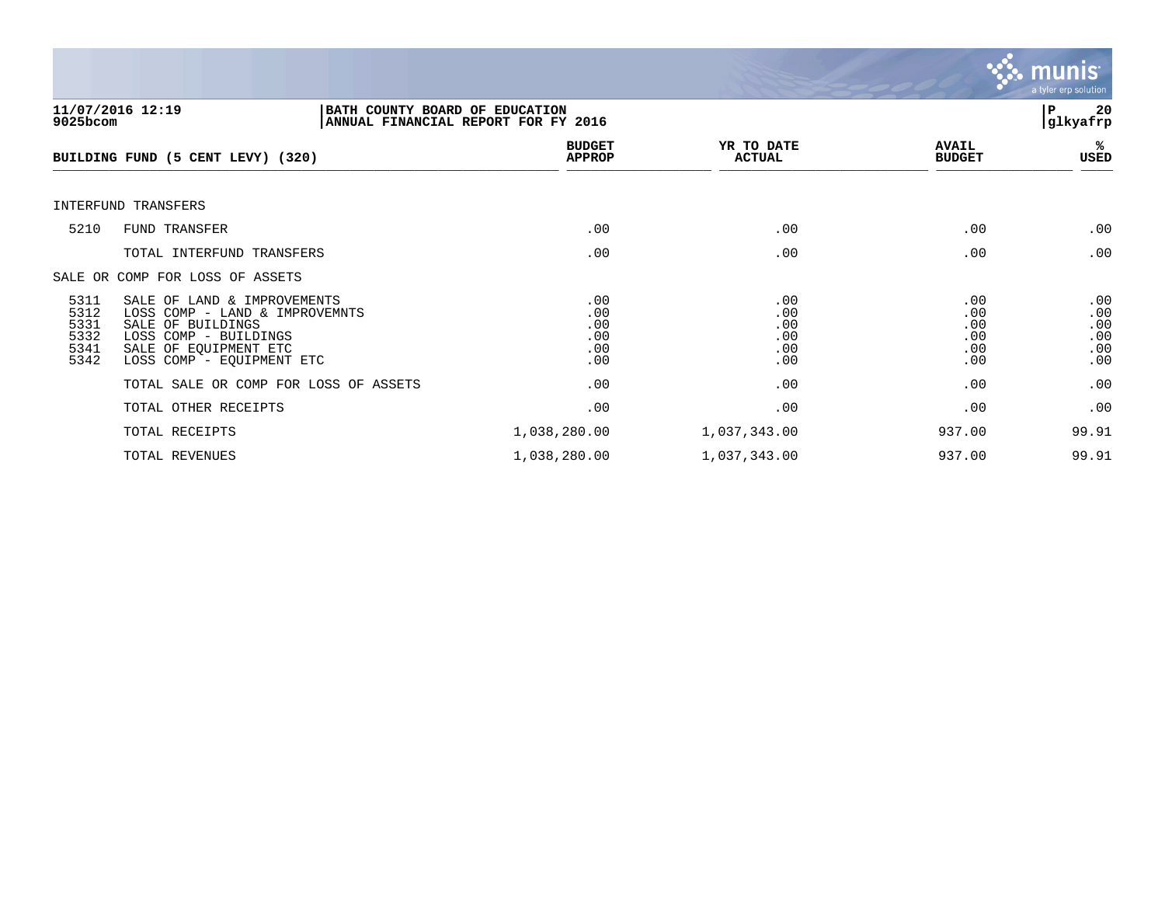

| 9025bcom                                     | 11/07/2016 12:19<br>BATH COUNTY BOARD OF EDUCATION<br>ANNUAL FINANCIAL REPORT FOR FY 2016                                                                         |                                        |                                        |                                        | 20<br>P<br> glkyafrp                   |
|----------------------------------------------|-------------------------------------------------------------------------------------------------------------------------------------------------------------------|----------------------------------------|----------------------------------------|----------------------------------------|----------------------------------------|
|                                              | BUILDING FUND (5 CENT LEVY) (320)                                                                                                                                 | <b>BUDGET</b><br><b>APPROP</b>         | YR TO DATE<br><b>ACTUAL</b>            | <b>AVAIL</b><br><b>BUDGET</b>          | %ะ<br>USED                             |
|                                              | INTERFUND TRANSFERS                                                                                                                                               |                                        |                                        |                                        |                                        |
| 5210                                         | FUND TRANSFER                                                                                                                                                     | .00                                    | .00                                    | .00                                    | .00                                    |
|                                              | TOTAL INTERFUND TRANSFERS                                                                                                                                         | .00                                    | .00                                    | .00                                    | .00                                    |
|                                              | SALE OR COMP FOR LOSS OF ASSETS                                                                                                                                   |                                        |                                        |                                        |                                        |
| 5311<br>5312<br>5331<br>5332<br>5341<br>5342 | SALE OF LAND & IMPROVEMENTS<br>LOSS COMP - LAND & IMPROVEMNTS<br>SALE OF BUILDINGS<br>LOSS COMP - BUILDINGS<br>SALE OF EQUIPMENT ETC<br>LOSS COMP - EQUIPMENT ETC | .00<br>.00<br>.00<br>.00<br>.00<br>.00 | .00<br>.00<br>.00<br>.00<br>.00<br>.00 | .00<br>.00<br>.00<br>.00<br>.00<br>.00 | .00<br>.00<br>.00<br>.00<br>.00<br>.00 |
|                                              | TOTAL SALE OR COMP FOR LOSS OF ASSETS                                                                                                                             | .00                                    | .00                                    | .00                                    | .00                                    |
|                                              | TOTAL OTHER RECEIPTS                                                                                                                                              | .00                                    | .00                                    | .00                                    | .00                                    |
|                                              | TOTAL RECEIPTS                                                                                                                                                    | 1,038,280.00                           | 1,037,343.00                           | 937.00                                 | 99.91                                  |
|                                              | TOTAL REVENUES                                                                                                                                                    | 1,038,280.00                           | 1,037,343.00                           | 937.00                                 | 99.91                                  |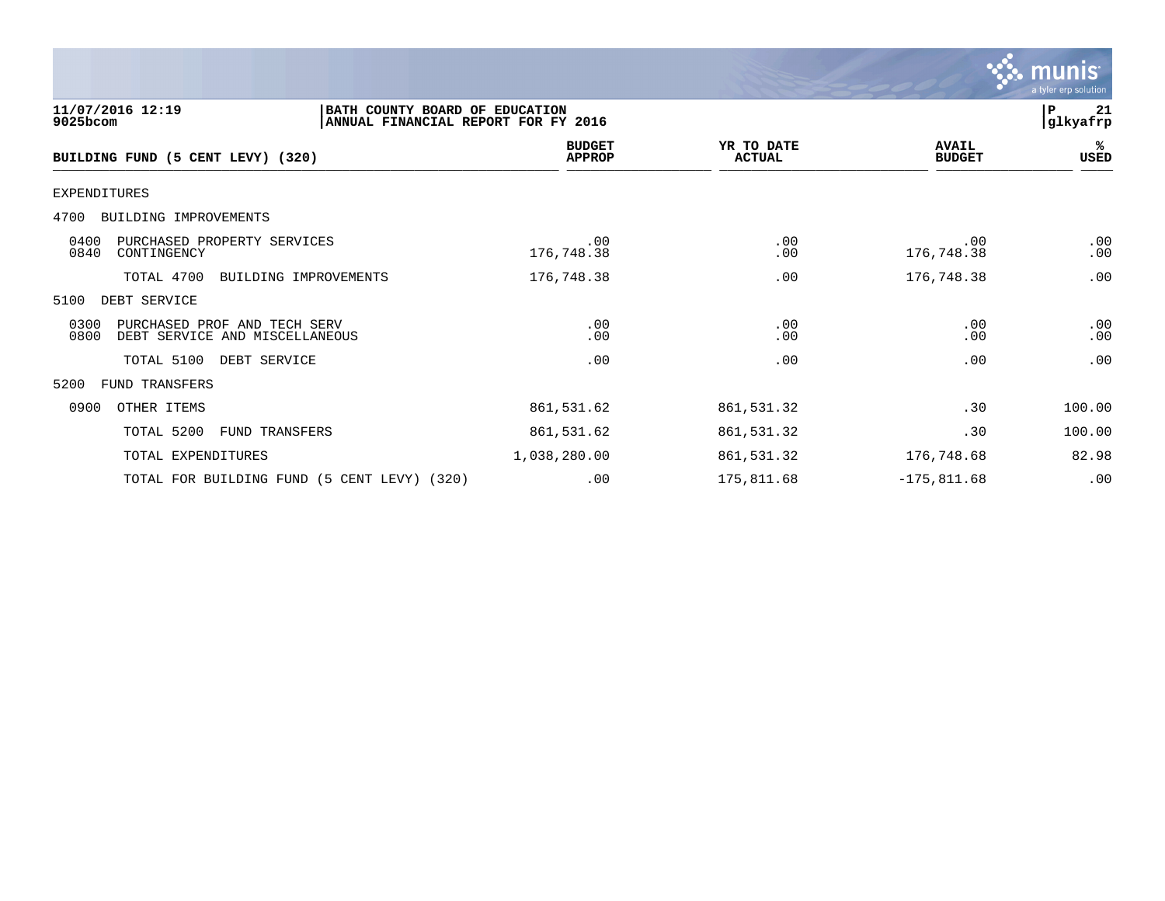|                                                                                                       |                                |                             |                               | munıs<br>a tyler erp solution |
|-------------------------------------------------------------------------------------------------------|--------------------------------|-----------------------------|-------------------------------|-------------------------------|
| 11/07/2016 12:19<br>BATH COUNTY BOARD OF EDUCATION<br>9025bcom<br>ANNUAL FINANCIAL REPORT FOR FY 2016 |                                |                             |                               |                               |
| BUILDING FUND (5 CENT LEVY) (320)                                                                     | <b>BUDGET</b><br><b>APPROP</b> | YR TO DATE<br><b>ACTUAL</b> | <b>AVAIL</b><br><b>BUDGET</b> | ℁<br><b>USED</b>              |
| <b>EXPENDITURES</b>                                                                                   |                                |                             |                               |                               |
| BUILDING IMPROVEMENTS<br>4700                                                                         |                                |                             |                               |                               |
| 0400<br>PURCHASED PROPERTY SERVICES<br>0840<br>CONTINGENCY                                            | .00<br>176,748.38              | .00<br>.00                  | .00<br>176,748.38             | .00<br>.00                    |
| TOTAL 4700<br>BUILDING IMPROVEMENTS                                                                   | 176,748.38                     | .00                         | 176,748.38                    | .00                           |
| DEBT SERVICE<br>5100                                                                                  |                                |                             |                               |                               |
| 0300<br>PURCHASED PROF AND TECH SERV<br>0800<br>DEBT SERVICE AND MISCELLANEOUS                        | .00<br>.00                     | .00<br>.00                  | .00<br>.00                    | .00<br>.00                    |
| TOTAL 5100<br>DEBT SERVICE                                                                            | .00                            | .00                         | .00                           | .00                           |
| FUND TRANSFERS<br>5200                                                                                |                                |                             |                               |                               |
| 0900<br>OTHER ITEMS                                                                                   | 861,531.62                     | 861,531.32                  | .30                           | 100.00                        |
| TOTAL 5200<br>FUND TRANSFERS                                                                          | 861,531.62                     | 861,531.32                  | .30                           | 100.00                        |
| TOTAL EXPENDITURES                                                                                    | 1,038,280.00                   | 861,531.32                  | 176,748.68                    | 82.98                         |
| TOTAL FOR BUILDING FUND (5 CENT LEVY) (320)                                                           | .00                            | 175,811.68                  | $-175,811.68$                 | .00                           |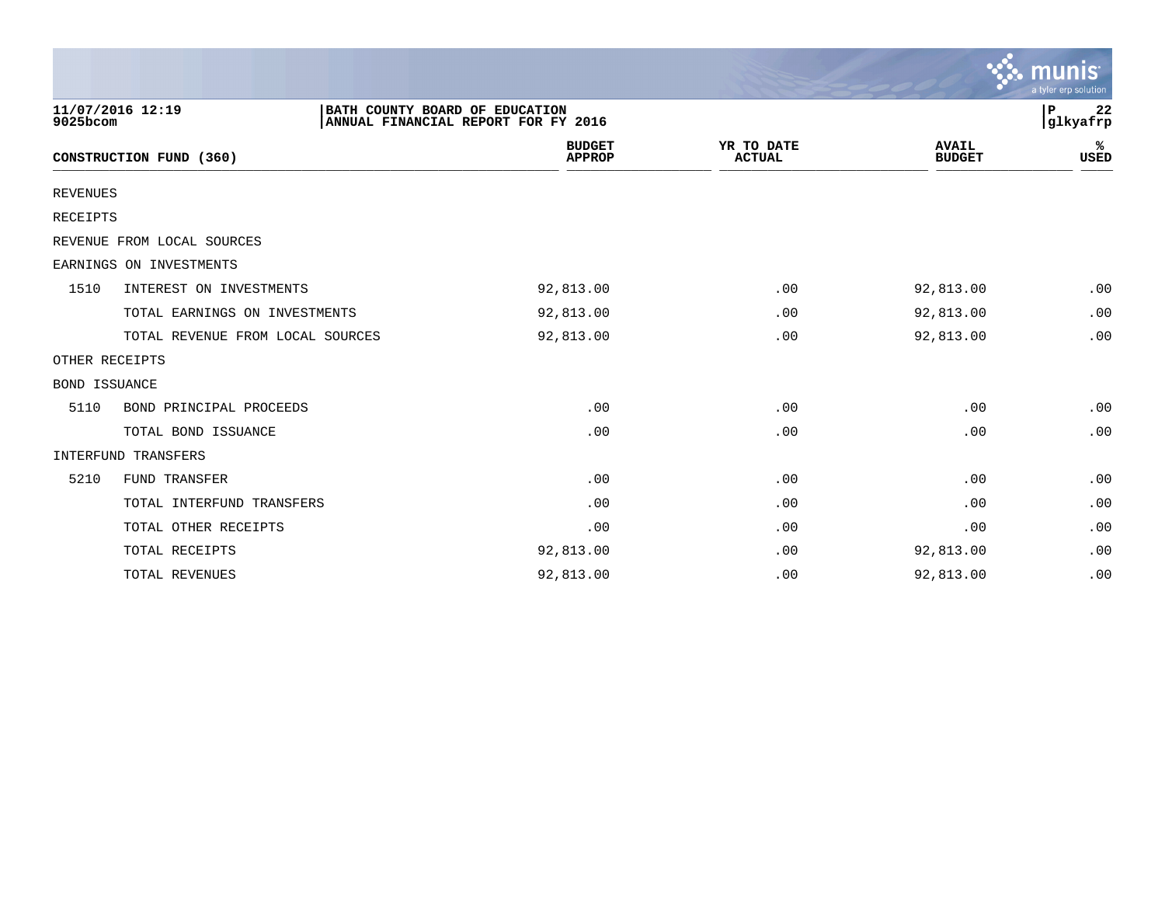|                 |                                  |                                                                       |                                |                             |                               | $\sim$ munis<br>a tyler erp solution |
|-----------------|----------------------------------|-----------------------------------------------------------------------|--------------------------------|-----------------------------|-------------------------------|--------------------------------------|
| 9025bcom        | 11/07/2016 12:19                 | BATH COUNTY BOARD OF EDUCATION<br>ANNUAL FINANCIAL REPORT FOR FY 2016 |                                |                             |                               | ∣P<br>22<br>glkyafrp                 |
|                 | CONSTRUCTION FUND (360)          |                                                                       | <b>BUDGET</b><br><b>APPROP</b> | YR TO DATE<br><b>ACTUAL</b> | <b>AVAIL</b><br><b>BUDGET</b> | ℁<br><b>USED</b>                     |
| <b>REVENUES</b> |                                  |                                                                       |                                |                             |                               |                                      |
| <b>RECEIPTS</b> |                                  |                                                                       |                                |                             |                               |                                      |
|                 | REVENUE FROM LOCAL SOURCES       |                                                                       |                                |                             |                               |                                      |
|                 | EARNINGS ON INVESTMENTS          |                                                                       |                                |                             |                               |                                      |
| 1510            | INTEREST ON INVESTMENTS          |                                                                       | 92,813.00                      | .00                         | 92,813.00                     | .00                                  |
|                 | TOTAL EARNINGS ON INVESTMENTS    |                                                                       | 92,813.00                      | .00                         | 92,813.00                     | .00                                  |
|                 | TOTAL REVENUE FROM LOCAL SOURCES |                                                                       | 92,813.00                      | .00                         | 92,813.00                     | .00                                  |
| OTHER RECEIPTS  |                                  |                                                                       |                                |                             |                               |                                      |
| BOND ISSUANCE   |                                  |                                                                       |                                |                             |                               |                                      |
| 5110            | BOND PRINCIPAL PROCEEDS          |                                                                       | .00                            | .00                         | .00                           | .00                                  |
|                 | TOTAL BOND ISSUANCE              |                                                                       | .00                            | .00                         | .00                           | .00                                  |
|                 | INTERFUND TRANSFERS              |                                                                       |                                |                             |                               |                                      |
| 5210            | FUND TRANSFER                    |                                                                       | .00                            | .00                         | .00                           | .00                                  |
|                 | TOTAL INTERFUND TRANSFERS        |                                                                       | .00                            | .00                         | .00                           | .00                                  |
|                 | TOTAL OTHER RECEIPTS             |                                                                       | .00                            | .00                         | .00                           | .00                                  |
|                 | TOTAL RECEIPTS                   |                                                                       | 92,813.00                      | .00                         | 92,813.00                     | .00                                  |
|                 | TOTAL REVENUES                   |                                                                       | 92,813.00                      | .00                         | 92,813.00                     | .00                                  |

the contract of the contract of the contract of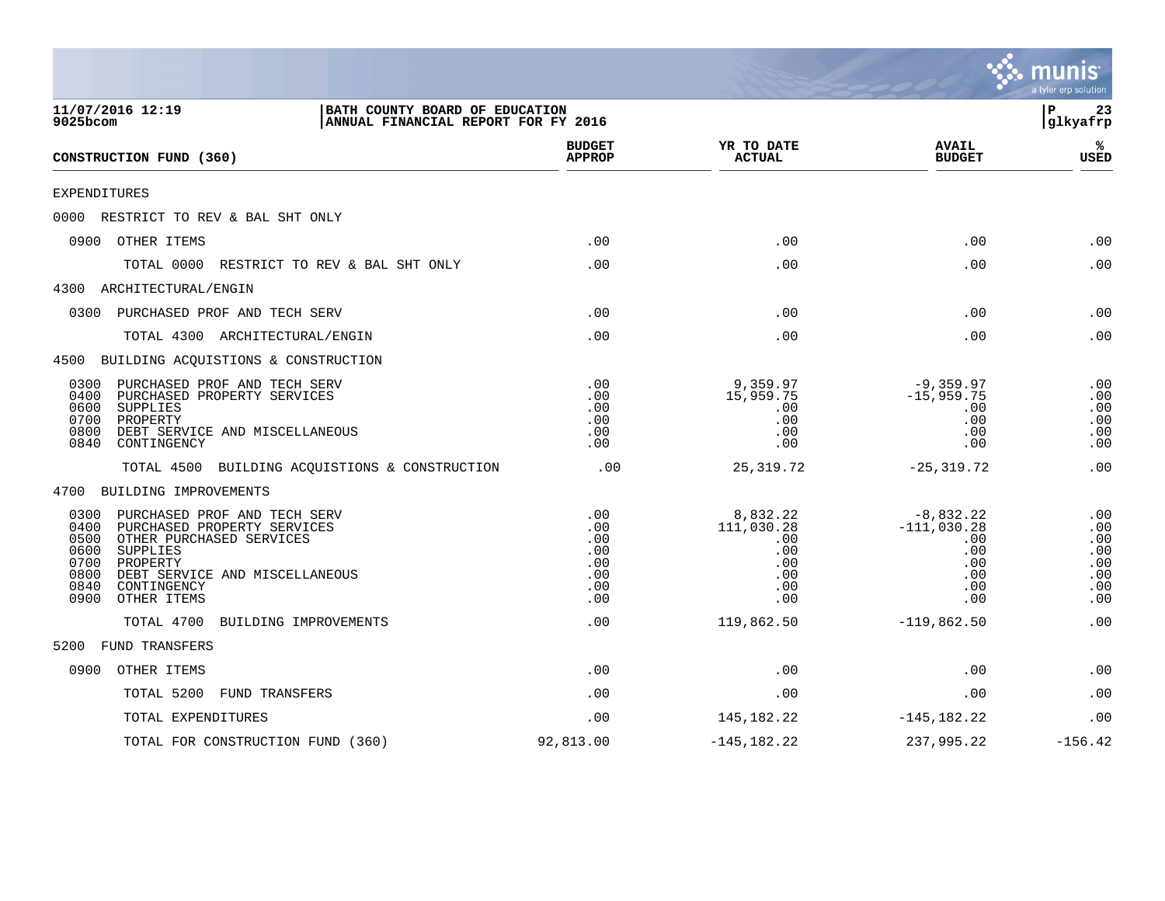|                                                                                                                                                                                                                                                 |                                                      |                                                                  |                                                                        | a tyler erp solution                                 |
|-------------------------------------------------------------------------------------------------------------------------------------------------------------------------------------------------------------------------------------------------|------------------------------------------------------|------------------------------------------------------------------|------------------------------------------------------------------------|------------------------------------------------------|
| 11/07/2016 12:19<br>BATH COUNTY BOARD OF EDUCATION<br>9025bcom<br>ANNUAL FINANCIAL REPORT FOR FY 2016                                                                                                                                           |                                                      |                                                                  |                                                                        | Þ<br>23<br> glkyafrp                                 |
| CONSTRUCTION FUND (360)                                                                                                                                                                                                                         | <b>BUDGET</b><br><b>APPROP</b>                       | YR TO DATE<br><b>ACTUAL</b>                                      | <b>AVAIL</b><br><b>BUDGET</b>                                          | ℁<br><b>USED</b>                                     |
| EXPENDITURES                                                                                                                                                                                                                                    |                                                      |                                                                  |                                                                        |                                                      |
| 0000 RESTRICT TO REV & BAL SHT ONLY                                                                                                                                                                                                             |                                                      |                                                                  |                                                                        |                                                      |
| 0900<br>OTHER ITEMS                                                                                                                                                                                                                             | .00                                                  | .00                                                              | .00                                                                    | .00                                                  |
| TOTAL 0000<br>RESTRICT TO REV & BAL SHT ONLY                                                                                                                                                                                                    | .00                                                  | .00                                                              | .00                                                                    | .00                                                  |
| 4300 ARCHITECTURAL/ENGIN                                                                                                                                                                                                                        |                                                      |                                                                  |                                                                        |                                                      |
| 0300<br>PURCHASED PROF AND TECH SERV                                                                                                                                                                                                            | .00                                                  | .00                                                              | .00                                                                    | .00                                                  |
| TOTAL 4300 ARCHITECTURAL/ENGIN                                                                                                                                                                                                                  | .00                                                  | .00                                                              | .00                                                                    | .00                                                  |
| 4500 BUILDING ACQUISTIONS & CONSTRUCTION                                                                                                                                                                                                        |                                                      |                                                                  |                                                                        |                                                      |
| 0300<br>PURCHASED PROF AND TECH SERV<br>0400<br>PURCHASED PROPERTY SERVICES<br>0600<br>SUPPLIES<br>0700<br>PROPERTY<br>0800<br>DEBT SERVICE AND MISCELLANEOUS<br>0840<br>CONTINGENCY                                                            | .00<br>.00<br>.00<br>.00<br>.00<br>.00               | 9,359.97<br>15,959.75<br>.00<br>.00<br>.00<br>.00                | $-9,359.97$<br>$-15,959.75$<br>.00<br>.00<br>.00<br>.00                | .00<br>.00<br>.00<br>.00<br>.00<br>.00               |
| BUILDING ACQUISTIONS & CONSTRUCTION<br>TOTAL 4500                                                                                                                                                                                               | .00                                                  | 25, 319.72                                                       | $-25, 319.72$                                                          | .00                                                  |
| 4700 BUILDING IMPROVEMENTS                                                                                                                                                                                                                      |                                                      |                                                                  |                                                                        |                                                      |
| 0300<br>PURCHASED PROF AND TECH SERV<br>0400<br>PURCHASED PROPERTY SERVICES<br>0500<br>OTHER PURCHASED SERVICES<br>0600<br>SUPPLIES<br>0700<br>PROPERTY<br>0800<br>DEBT SERVICE AND MISCELLANEOUS<br>0840<br>CONTINGENCY<br>0900<br>OTHER ITEMS | .00<br>.00<br>.00<br>.00<br>.00<br>.00<br>.00<br>.00 | 8,832.22<br>111,030.28<br>.00<br>.00<br>.00<br>.00<br>.00<br>.00 | $-8,832.22$<br>$-111,030.28$<br>.00<br>.00<br>.00<br>.00<br>.00<br>.00 | .00<br>.00<br>.00<br>.00<br>.00<br>.00<br>.00<br>.00 |
| TOTAL 4700<br>BUILDING IMPROVEMENTS                                                                                                                                                                                                             | .00                                                  | 119,862.50                                                       | $-119,862.50$                                                          | .00                                                  |
| <b>FUND TRANSFERS</b><br>5200                                                                                                                                                                                                                   |                                                      |                                                                  |                                                                        |                                                      |
| 0900<br>OTHER ITEMS                                                                                                                                                                                                                             | .00                                                  | .00                                                              | .00                                                                    | .00                                                  |
| TOTAL 5200<br><b>FUND TRANSFERS</b>                                                                                                                                                                                                             | .00                                                  | .00                                                              | .00                                                                    | .00                                                  |
| TOTAL EXPENDITURES                                                                                                                                                                                                                              | .00                                                  | 145, 182. 22                                                     | $-145, 182.22$                                                         | .00                                                  |
| TOTAL FOR CONSTRUCTION FUND (360)                                                                                                                                                                                                               | 92,813.00                                            | $-145, 182.22$                                                   | 237,995.22                                                             | $-156.42$                                            |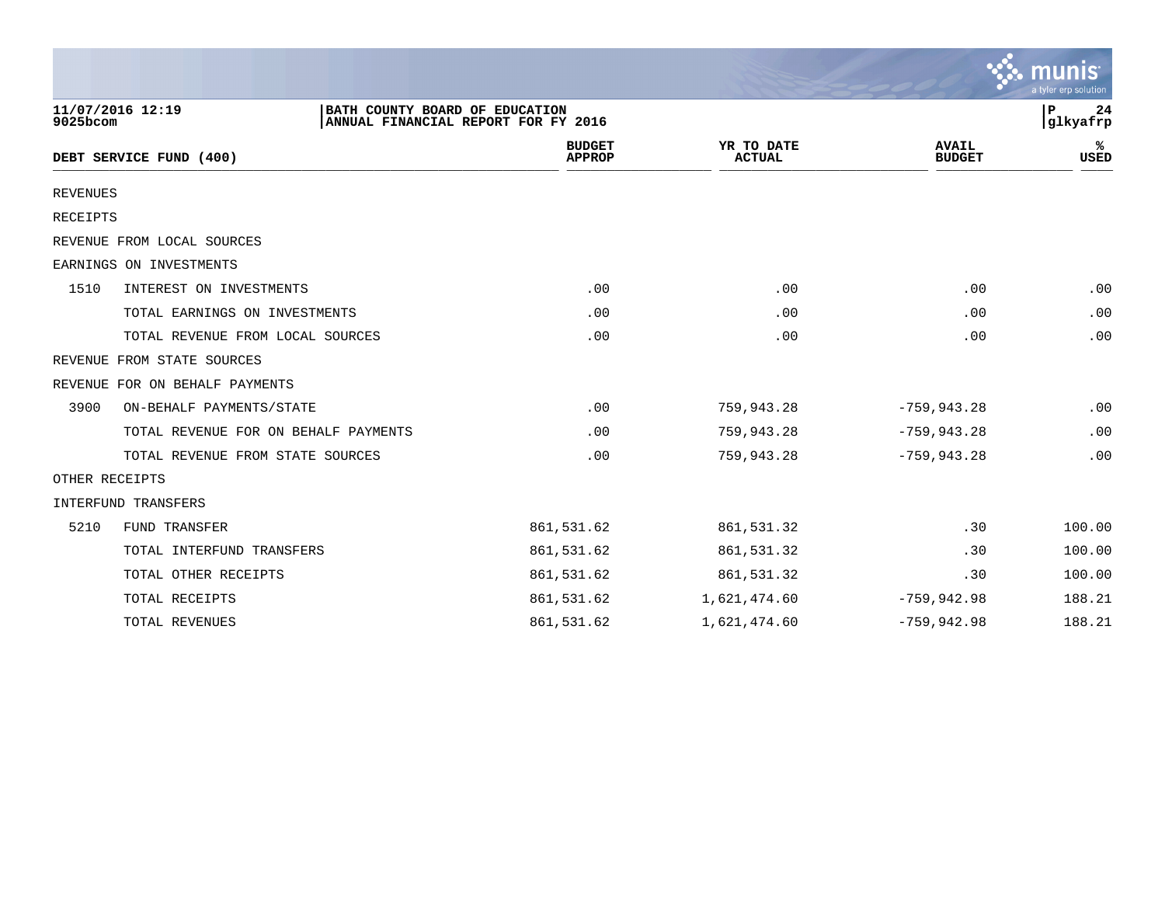|                 |                                                                                           |                                |                             |                               | munis<br>a tyler erp solution |
|-----------------|-------------------------------------------------------------------------------------------|--------------------------------|-----------------------------|-------------------------------|-------------------------------|
| 9025bcom        | 11/07/2016 12:19<br>BATH COUNTY BOARD OF EDUCATION<br>ANNUAL FINANCIAL REPORT FOR FY 2016 |                                |                             |                               | P<br>24<br>glkyafrp           |
|                 | DEBT SERVICE FUND (400)                                                                   | <b>BUDGET</b><br><b>APPROP</b> | YR TO DATE<br><b>ACTUAL</b> | <b>AVAIL</b><br><b>BUDGET</b> | ℁<br><b>USED</b>              |
| <b>REVENUES</b> |                                                                                           |                                |                             |                               |                               |
| RECEIPTS        |                                                                                           |                                |                             |                               |                               |
|                 | REVENUE FROM LOCAL SOURCES                                                                |                                |                             |                               |                               |
|                 | EARNINGS ON INVESTMENTS                                                                   |                                |                             |                               |                               |
| 1510            | INTEREST ON INVESTMENTS                                                                   | .00                            | .00                         | .00                           | .00                           |
|                 | TOTAL EARNINGS ON INVESTMENTS                                                             | .00                            | .00                         | .00                           | .00                           |
|                 | TOTAL REVENUE FROM LOCAL SOURCES                                                          | .00                            | .00                         | .00                           | .00                           |
|                 | REVENUE FROM STATE SOURCES                                                                |                                |                             |                               |                               |
|                 | REVENUE FOR ON BEHALF PAYMENTS                                                            |                                |                             |                               |                               |
| 3900            | ON-BEHALF PAYMENTS/STATE                                                                  | .00                            | 759,943.28                  | $-759, 943.28$                | .00                           |
|                 | TOTAL REVENUE FOR ON BEHALF PAYMENTS                                                      | .00                            | 759,943.28                  | $-759, 943.28$                | .00                           |
|                 | TOTAL REVENUE FROM STATE SOURCES                                                          | .00                            | 759,943.28                  | $-759, 943.28$                | .00                           |
|                 | OTHER RECEIPTS                                                                            |                                |                             |                               |                               |
|                 | INTERFUND TRANSFERS                                                                       |                                |                             |                               |                               |
| 5210            | FUND TRANSFER                                                                             | 861,531.62                     | 861,531.32                  | .30                           | 100.00                        |
|                 | TOTAL INTERFUND TRANSFERS                                                                 | 861,531.62                     | 861,531.32                  | .30                           | 100.00                        |
|                 | TOTAL OTHER RECEIPTS                                                                      | 861,531.62                     | 861,531.32                  | .30                           | 100.00                        |
|                 | TOTAL RECEIPTS                                                                            | 861,531.62                     | 1,621,474.60                | $-759,942.98$                 | 188.21                        |
|                 | TOTAL REVENUES                                                                            | 861,531.62                     | 1,621,474.60                | $-759, 942.98$                | 188.21                        |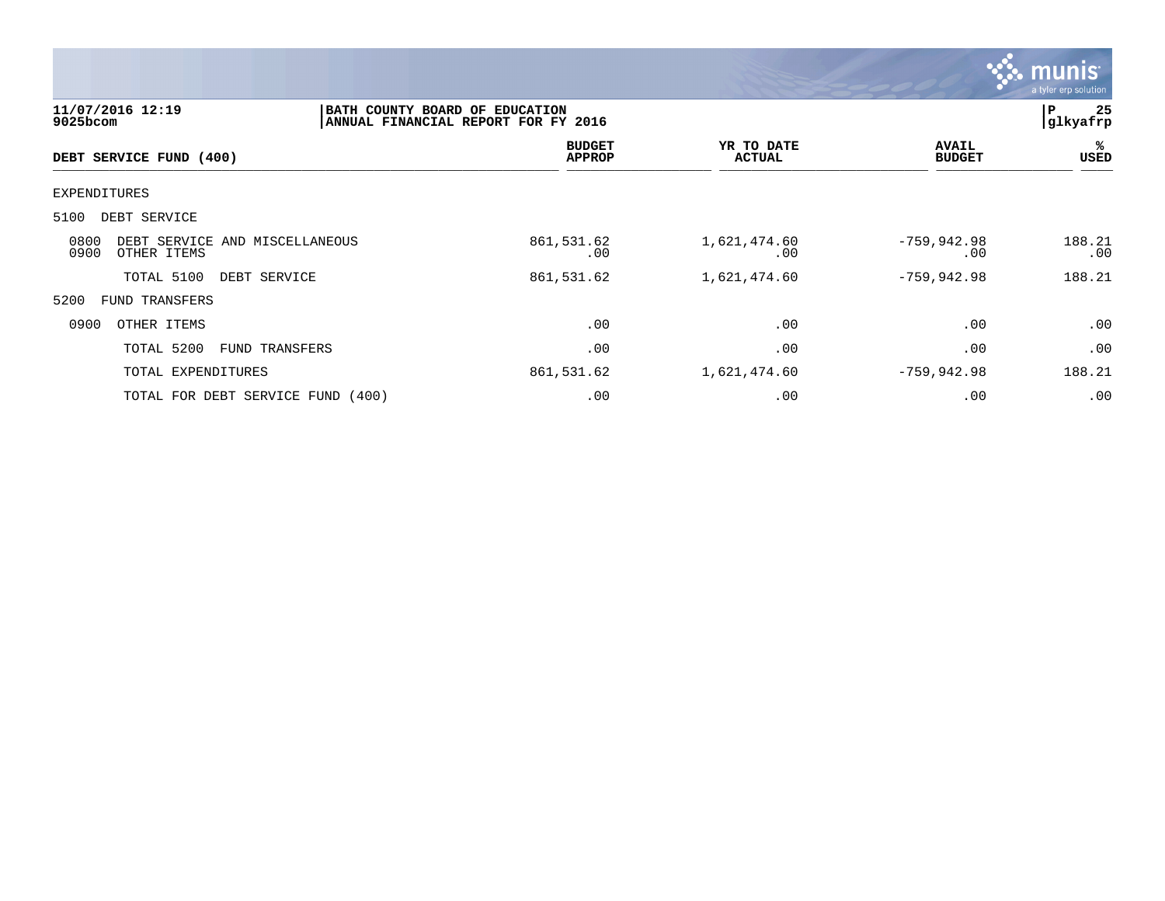

| $9025$ bcom  | 11/07/2016 12:19        |                                   | BATH COUNTY BOARD OF EDUCATION<br>ANNUAL FINANCIAL REPORT FOR FY 2016 |                             |                               | 25<br>P<br>glkyafrp |
|--------------|-------------------------|-----------------------------------|-----------------------------------------------------------------------|-----------------------------|-------------------------------|---------------------|
|              | DEBT SERVICE FUND (400) |                                   | <b>BUDGET</b><br><b>APPROP</b>                                        | YR TO DATE<br><b>ACTUAL</b> | <b>AVAIL</b><br><b>BUDGET</b> | ℁<br><b>USED</b>    |
| EXPENDITURES |                         |                                   |                                                                       |                             |                               |                     |
| 5100         | DEBT SERVICE            |                                   |                                                                       |                             |                               |                     |
| 0800<br>0900 | OTHER ITEMS             | DEBT SERVICE AND MISCELLANEOUS    | 861,531.62<br>.00                                                     | 1,621,474.60<br>.00         | $-759,942.98$<br>.00          | 188.21<br>.00       |
|              | TOTAL 5100              | DEBT SERVICE                      | 861,531.62                                                            | 1,621,474.60                | $-759, 942.98$                | 188.21              |
| 5200         | FUND TRANSFERS          |                                   |                                                                       |                             |                               |                     |
| 0900         | OTHER ITEMS             |                                   | .00                                                                   | .00                         | .00                           | .00                 |
|              | TOTAL 5200              | FUND TRANSFERS                    | .00                                                                   | .00                         | .00                           | .00                 |
|              | TOTAL EXPENDITURES      |                                   | 861,531.62                                                            | 1,621,474.60                | $-759, 942.98$                | 188.21              |
|              |                         | TOTAL FOR DEBT SERVICE FUND (400) | .00                                                                   | .00                         | .00                           | .00                 |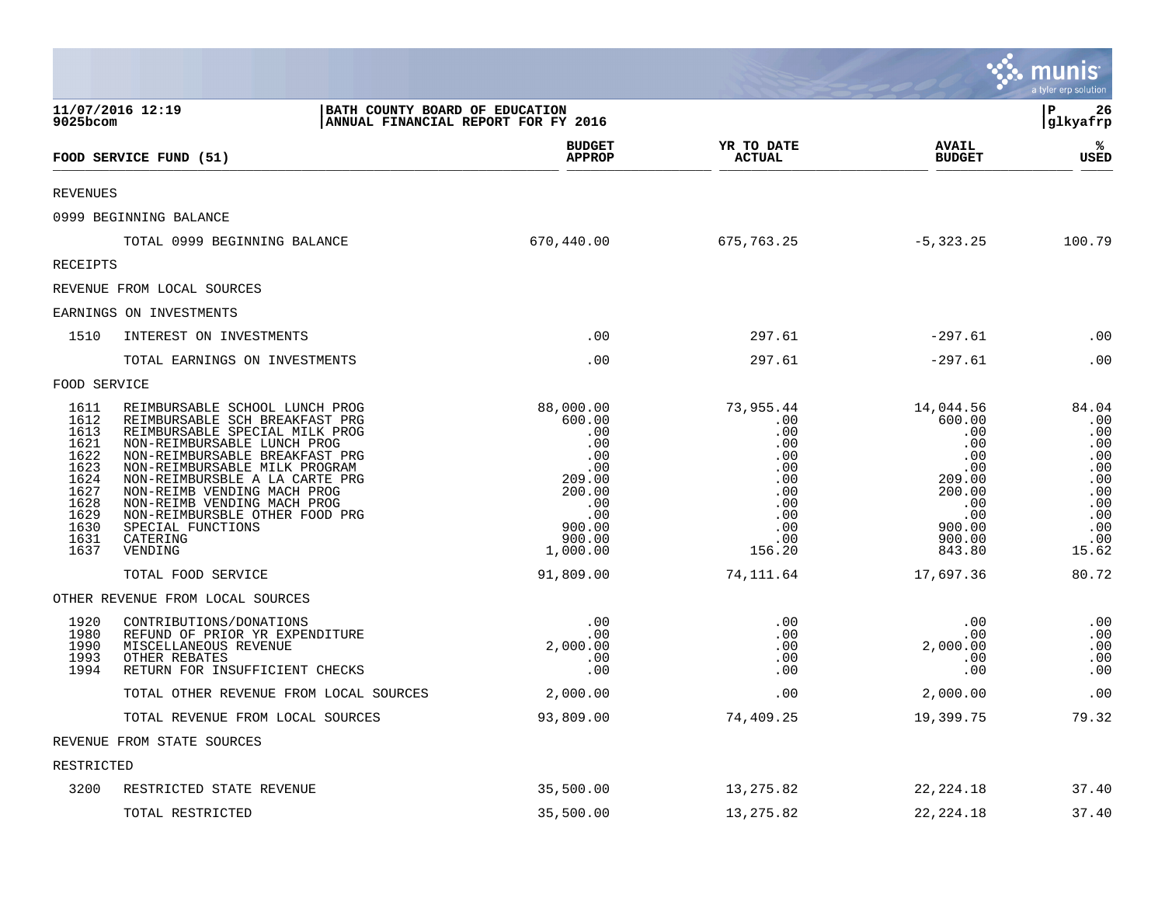|                                                                                                      |                                                                                                                                                                                                                                                                                                                                                                                    |                                                                                                                   |                                                                                                  |                                                                                                                    | munis<br>a tyler erp solution                                                               |
|------------------------------------------------------------------------------------------------------|------------------------------------------------------------------------------------------------------------------------------------------------------------------------------------------------------------------------------------------------------------------------------------------------------------------------------------------------------------------------------------|-------------------------------------------------------------------------------------------------------------------|--------------------------------------------------------------------------------------------------|--------------------------------------------------------------------------------------------------------------------|---------------------------------------------------------------------------------------------|
| 9025bcom                                                                                             | 11/07/2016 12:19<br>BATH COUNTY BOARD OF EDUCATION<br>ANNUAL FINANCIAL REPORT FOR FY 2016                                                                                                                                                                                                                                                                                          |                                                                                                                   |                                                                                                  |                                                                                                                    | l P<br>26<br> glkyafrp                                                                      |
|                                                                                                      | FOOD SERVICE FUND (51)                                                                                                                                                                                                                                                                                                                                                             | <b>BUDGET</b><br><b>APPROP</b>                                                                                    | YR TO DATE<br><b>ACTUAL</b>                                                                      | <b>AVAIL</b><br><b>BUDGET</b>                                                                                      | %<br><b>USED</b>                                                                            |
| <b>REVENUES</b>                                                                                      |                                                                                                                                                                                                                                                                                                                                                                                    |                                                                                                                   |                                                                                                  |                                                                                                                    |                                                                                             |
|                                                                                                      | 0999 BEGINNING BALANCE                                                                                                                                                                                                                                                                                                                                                             |                                                                                                                   |                                                                                                  |                                                                                                                    |                                                                                             |
|                                                                                                      | TOTAL 0999 BEGINNING BALANCE                                                                                                                                                                                                                                                                                                                                                       | 670,440.00                                                                                                        | 675,763.25                                                                                       | -5,323.25                                                                                                          | 100.79                                                                                      |
| <b>RECEIPTS</b>                                                                                      |                                                                                                                                                                                                                                                                                                                                                                                    |                                                                                                                   |                                                                                                  |                                                                                                                    |                                                                                             |
|                                                                                                      | REVENUE FROM LOCAL SOURCES                                                                                                                                                                                                                                                                                                                                                         |                                                                                                                   |                                                                                                  |                                                                                                                    |                                                                                             |
|                                                                                                      | EARNINGS ON INVESTMENTS                                                                                                                                                                                                                                                                                                                                                            |                                                                                                                   |                                                                                                  |                                                                                                                    |                                                                                             |
| 1510                                                                                                 | INTEREST ON INVESTMENTS                                                                                                                                                                                                                                                                                                                                                            | .00                                                                                                               | 297.61                                                                                           | $-297.61$                                                                                                          | .00                                                                                         |
|                                                                                                      | TOTAL EARNINGS ON INVESTMENTS                                                                                                                                                                                                                                                                                                                                                      | .00                                                                                                               | 297.61                                                                                           | $-297.61$                                                                                                          | .00                                                                                         |
| FOOD SERVICE                                                                                         |                                                                                                                                                                                                                                                                                                                                                                                    |                                                                                                                   |                                                                                                  |                                                                                                                    |                                                                                             |
| 1611<br>1612<br>1613<br>1621<br>1622<br>1623<br>1624<br>1627<br>1628<br>1629<br>1630<br>1631<br>1637 | REIMBURSABLE SCHOOL LUNCH PROG<br>REIMBURSABLE SCH BREAKFAST PRG<br>REIMBURSABLE SPECIAL MILK PROG<br>NON-REIMBURSABLE LUNCH PROG<br>NON-REIMBURSABLE BREAKFAST PRG<br>NON-REIMBURSABLE MILK PROGRAM<br>NON-REIMBURSBLE A LA CARTE PRG<br>NON-REIMB VENDING MACH PROG<br>NON-REIMB VENDING MACH PROG<br>NON-REIMBURSBLE OTHER FOOD PRG<br>SPECIAL FUNCTIONS<br>CATERING<br>VENDING | 88,000.00<br>600.00<br>.00<br>.00<br>.00<br>.00<br>209.00<br>200.00<br>.00<br>.00<br>900.00<br>900.00<br>1,000.00 | 73,955.44<br>.00<br>.00<br>.00<br>.00<br>.00<br>.00<br>.00<br>.00<br>.00<br>.00<br>.00<br>156.20 | 14,044.56<br>600.00<br>.00<br>.00<br>.00<br>.00<br>209.00<br>200.00<br>.00<br>$00.00$<br>00.00<br>900.00<br>843.80 | 84.04<br>.00<br>.00<br>.00<br>.00<br>.00<br>.00<br>.00<br>.00<br>.00<br>.00<br>.00<br>15.62 |
|                                                                                                      | TOTAL FOOD SERVICE                                                                                                                                                                                                                                                                                                                                                                 | 91,809.00                                                                                                         | 74,111.64                                                                                        | 17,697.36                                                                                                          | 80.72                                                                                       |
|                                                                                                      | OTHER REVENUE FROM LOCAL SOURCES                                                                                                                                                                                                                                                                                                                                                   |                                                                                                                   |                                                                                                  |                                                                                                                    |                                                                                             |
| 1920<br>1980<br>1990<br>1993<br>1994                                                                 | CONTRIBUTIONS/DONATIONS<br>REFUND OF PRIOR YR EXPENDITURE<br>MISCELLANEOUS REVENUE<br>OTHER REBATES<br>RETURN FOR INSUFFICIENT CHECKS                                                                                                                                                                                                                                              | .00<br>.00<br>2,000.00<br>.00<br>.00                                                                              | .00<br>.00<br>.00<br>.00<br>.00                                                                  | .00<br>.00<br>2,000.00<br>.00<br>.00                                                                               | .00<br>.00<br>.00<br>.00<br>.00                                                             |
|                                                                                                      | TOTAL OTHER REVENUE FROM LOCAL SOURCES                                                                                                                                                                                                                                                                                                                                             | 2,000.00                                                                                                          | .00                                                                                              | 2,000.00                                                                                                           | .00                                                                                         |
|                                                                                                      | TOTAL REVENUE FROM LOCAL SOURCES                                                                                                                                                                                                                                                                                                                                                   | 93,809.00                                                                                                         | 74,409.25                                                                                        | 19,399.75                                                                                                          | 79.32                                                                                       |
|                                                                                                      | REVENUE FROM STATE SOURCES                                                                                                                                                                                                                                                                                                                                                         |                                                                                                                   |                                                                                                  |                                                                                                                    |                                                                                             |
| RESTRICTED                                                                                           |                                                                                                                                                                                                                                                                                                                                                                                    |                                                                                                                   |                                                                                                  |                                                                                                                    |                                                                                             |
| 3200                                                                                                 | RESTRICTED STATE REVENUE                                                                                                                                                                                                                                                                                                                                                           | 35,500.00                                                                                                         | 13,275.82                                                                                        | 22, 224. 18                                                                                                        | 37.40                                                                                       |
|                                                                                                      | TOTAL RESTRICTED                                                                                                                                                                                                                                                                                                                                                                   | 35,500.00                                                                                                         | 13,275.82                                                                                        | 22, 224. 18                                                                                                        | 37.40                                                                                       |

**Tara**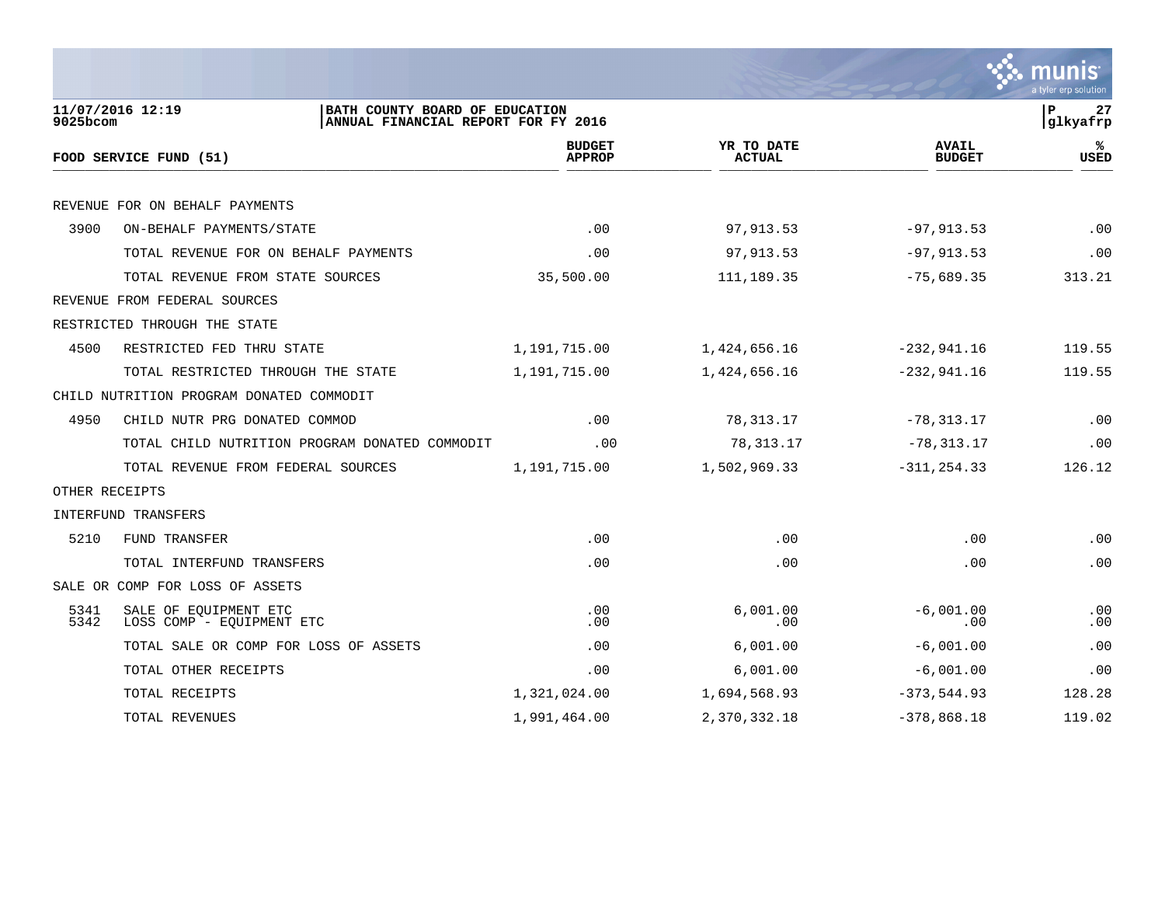|                |                                                                                           |                                |                             |                               | a tyler erp solution           |
|----------------|-------------------------------------------------------------------------------------------|--------------------------------|-----------------------------|-------------------------------|--------------------------------|
| 9025bcom       | 11/07/2016 12:19<br>BATH COUNTY BOARD OF EDUCATION<br>ANNUAL FINANCIAL REPORT FOR FY 2016 |                                |                             |                               | $\mathbf{P}$<br>27<br>glkyafrp |
|                | FOOD SERVICE FUND (51)                                                                    | <b>BUDGET</b><br><b>APPROP</b> | YR TO DATE<br><b>ACTUAL</b> | <b>AVAIL</b><br><b>BUDGET</b> | ℁<br><b>USED</b>               |
|                | REVENUE FOR ON BEHALF PAYMENTS                                                            |                                |                             |                               |                                |
| 3900           | ON-BEHALF PAYMENTS/STATE                                                                  | .00                            | 97,913.53                   | $-97, 913.53$                 | .00                            |
|                | TOTAL REVENUE FOR ON BEHALF PAYMENTS                                                      | .00                            | 97,913.53                   | $-97, 913.53$                 | .00                            |
|                | TOTAL REVENUE FROM STATE SOURCES                                                          | 35,500.00                      | 111, 189. 35                | $-75,689.35$                  | 313.21                         |
|                | REVENUE FROM FEDERAL SOURCES                                                              |                                |                             |                               |                                |
|                | RESTRICTED THROUGH THE STATE                                                              |                                |                             |                               |                                |
| 4500           | RESTRICTED FED THRU STATE                                                                 | 1,191,715.00                   | 1,424,656.16                | $-232,941.16$                 | 119.55                         |
|                | TOTAL RESTRICTED THROUGH THE STATE                                                        | 1,191,715.00                   | 1,424,656.16                | $-232,941.16$                 | 119.55                         |
|                | CHILD NUTRITION PROGRAM DONATED COMMODIT                                                  |                                |                             |                               |                                |
| 4950           | CHILD NUTR PRG DONATED COMMOD                                                             | .00                            | 78, 313.17                  | $-78, 313.17$                 | .00                            |
|                | TOTAL CHILD NUTRITION PROGRAM DONATED COMMODIT                                            | .00                            | 78,313.17                   | $-78, 313.17$                 | .00                            |
|                | TOTAL REVENUE FROM FEDERAL SOURCES                                                        | 1,191,715.00                   | 1,502,969.33                | $-311, 254.33$                | 126.12                         |
| OTHER RECEIPTS |                                                                                           |                                |                             |                               |                                |
|                | INTERFUND TRANSFERS                                                                       |                                |                             |                               |                                |
| 5210           | FUND TRANSFER                                                                             | .00                            | .00                         | .00                           | .00                            |
|                | TOTAL INTERFUND TRANSFERS                                                                 | .00                            | .00                         | .00                           | .00                            |
|                | SALE OR COMP FOR LOSS OF ASSETS                                                           |                                |                             |                               |                                |
| 5341<br>5342   | SALE OF EOUIPMENT ETC<br>LOSS COMP - EQUIPMENT ETC                                        | .00<br>.00                     | 6.001.00<br>.00             | $-6,001.00$<br>.00            | .00<br>.00                     |
|                | TOTAL SALE OR COMP FOR LOSS OF ASSETS                                                     | .00                            | 6,001.00                    | $-6,001.00$                   | .00                            |
|                | TOTAL OTHER RECEIPTS                                                                      | .00                            | 6,001.00                    | $-6,001.00$                   | .00                            |
|                | TOTAL RECEIPTS                                                                            | 1,321,024.00                   | 1,694,568.93                | $-373,544.93$                 | 128.28                         |
|                | <b>TOTAL REVENUES</b>                                                                     | 1,991,464.00                   | 2,370,332.18                | $-378,868.18$                 | 119.02                         |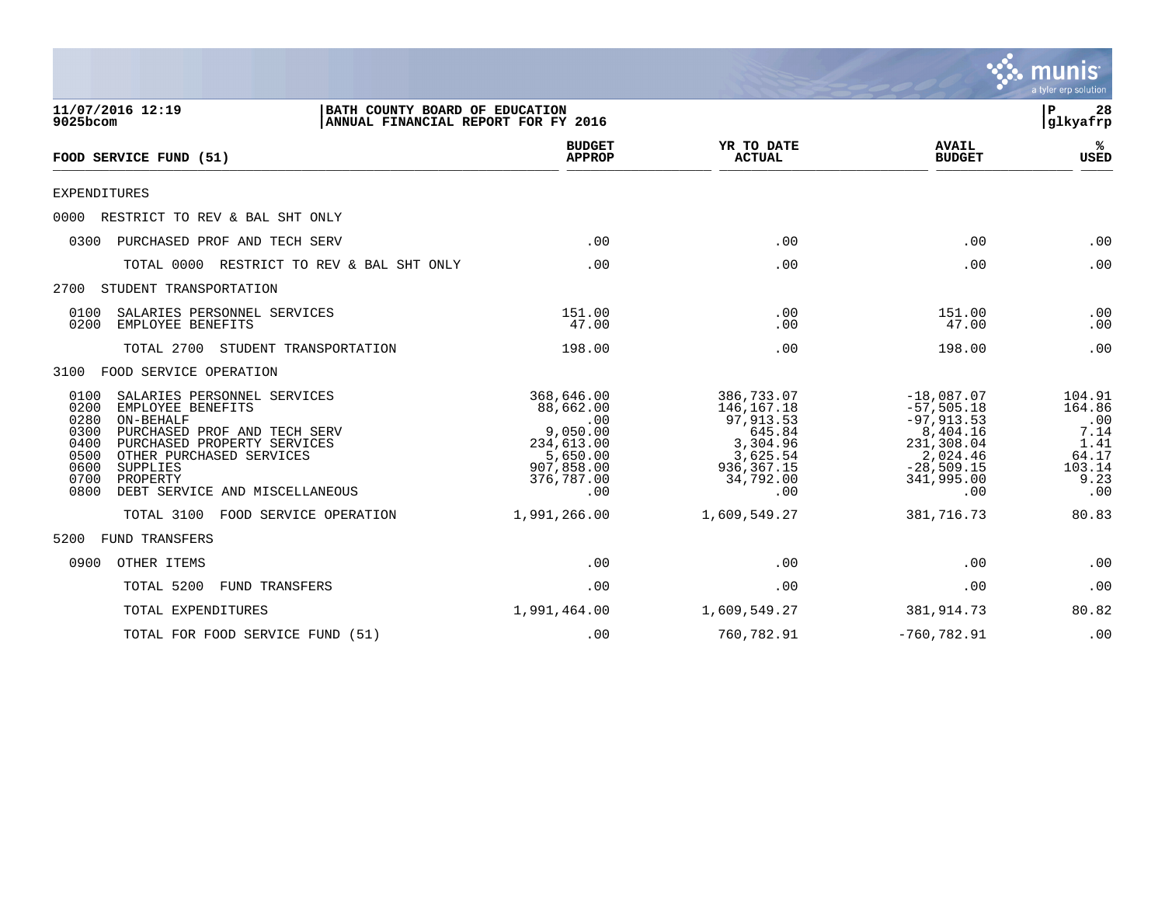

| 11/07/2016 12:19<br>BATH COUNTY BOARD OF EDUCATION<br>9025bcom<br>ANNUAL FINANCIAL REPORT FOR FY 2016                                                                                                                                                                                      |                                                                                                         |                                                                                                              |                                                                                                                           | 28<br>${\bf P}$<br>glkyafrp                                               |
|--------------------------------------------------------------------------------------------------------------------------------------------------------------------------------------------------------------------------------------------------------------------------------------------|---------------------------------------------------------------------------------------------------------|--------------------------------------------------------------------------------------------------------------|---------------------------------------------------------------------------------------------------------------------------|---------------------------------------------------------------------------|
| FOOD SERVICE FUND (51)                                                                                                                                                                                                                                                                     | <b>BUDGET</b><br><b>APPROP</b>                                                                          | YR TO DATE<br><b>ACTUAL</b>                                                                                  | <b>AVAIL</b><br><b>BUDGET</b>                                                                                             | ℁<br><b>USED</b>                                                          |
| <b>EXPENDITURES</b>                                                                                                                                                                                                                                                                        |                                                                                                         |                                                                                                              |                                                                                                                           |                                                                           |
| RESTRICT TO REV & BAL SHT ONLY<br>0000                                                                                                                                                                                                                                                     |                                                                                                         |                                                                                                              |                                                                                                                           |                                                                           |
| PURCHASED PROF AND TECH SERV<br>0300                                                                                                                                                                                                                                                       | .00                                                                                                     | .00                                                                                                          | .00                                                                                                                       | .00                                                                       |
| TOTAL 0000<br>RESTRICT TO REV & BAL SHT ONLY                                                                                                                                                                                                                                               | .00                                                                                                     | .00                                                                                                          | .00                                                                                                                       | .00                                                                       |
| 2700<br>STUDENT TRANSPORTATION                                                                                                                                                                                                                                                             |                                                                                                         |                                                                                                              |                                                                                                                           |                                                                           |
| 0100<br>SALARIES PERSONNEL SERVICES<br>0200<br>EMPLOYEE BENEFITS                                                                                                                                                                                                                           | 151.00<br>47.00                                                                                         | .00<br>.00                                                                                                   | 151.00<br>47.00                                                                                                           | .00<br>.00                                                                |
| TOTAL 2700<br>STUDENT TRANSPORTATION                                                                                                                                                                                                                                                       | 198.00                                                                                                  | .00                                                                                                          | 198.00                                                                                                                    | .00                                                                       |
| FOOD SERVICE OPERATION<br>3100                                                                                                                                                                                                                                                             |                                                                                                         |                                                                                                              |                                                                                                                           |                                                                           |
| SALARIES PERSONNEL SERVICES<br>0100<br>0200<br>EMPLOYEE BENEFITS<br>0280<br>ON-BEHALF<br>0300<br>PURCHASED PROF AND TECH SERV<br>0400<br>PURCHASED PROPERTY SERVICES<br>0500<br>OTHER PURCHASED SERVICES<br>0600<br>SUPPLIES<br>0700<br>PROPERTY<br>0800<br>DEBT SERVICE AND MISCELLANEOUS | 368,646.00<br>88,662.00<br>.00<br>9,050.00<br>234,613.00<br>5,650.00<br>907,858.00<br>376,787.00<br>.00 | 386,733.07<br>146,167.18<br>97, 913.53<br>645.84<br>3,304.96<br>3,625.54<br>936, 367. 15<br>34,792.00<br>.00 | $-18,087.07$<br>$-57, 505.18$<br>$-97, 913.53$<br>8,404.16<br>231,308.04<br>2,024.46<br>$-28,509.15$<br>341,995.00<br>.00 | 104.91<br>164.86<br>.00<br>7.14<br>1.41<br>64.17<br>103.14<br>9.23<br>.00 |
| TOTAL 3100<br>FOOD SERVICE OPERATION                                                                                                                                                                                                                                                       | 1,991,266.00                                                                                            | 1,609,549.27                                                                                                 | 381,716.73                                                                                                                | 80.83                                                                     |
| 5200<br><b>FUND TRANSFERS</b>                                                                                                                                                                                                                                                              |                                                                                                         |                                                                                                              |                                                                                                                           |                                                                           |
| 0900<br>OTHER ITEMS                                                                                                                                                                                                                                                                        | .00                                                                                                     | .00                                                                                                          | .00                                                                                                                       | .00                                                                       |
| TOTAL 5200<br>FUND TRANSFERS                                                                                                                                                                                                                                                               | .00                                                                                                     | .00                                                                                                          | .00                                                                                                                       | .00                                                                       |
| TOTAL EXPENDITURES                                                                                                                                                                                                                                                                         | 1,991,464.00                                                                                            | 1,609,549.27                                                                                                 | 381, 914. 73                                                                                                              | 80.82                                                                     |
| TOTAL FOR FOOD SERVICE FUND (51)                                                                                                                                                                                                                                                           | .00                                                                                                     | 760,782.91                                                                                                   | $-760, 782.91$                                                                                                            | .00                                                                       |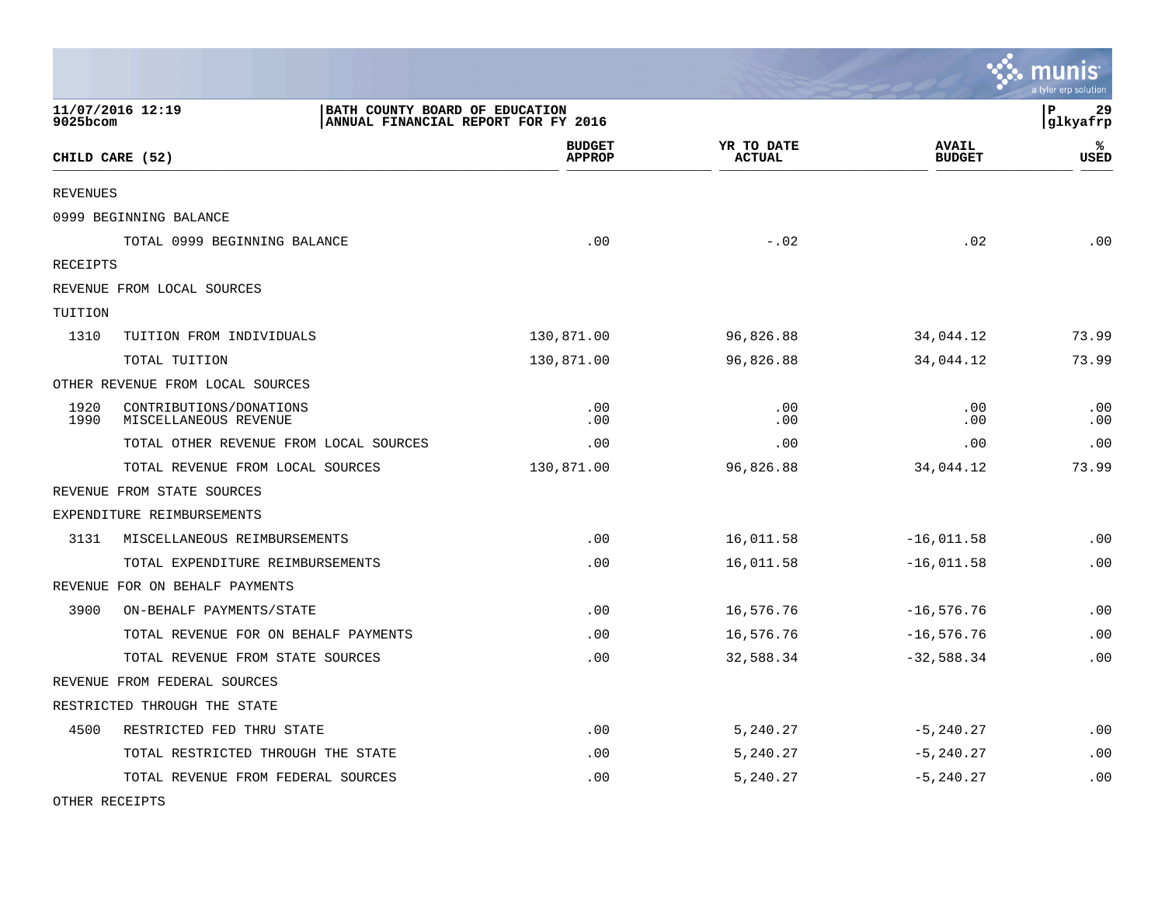|                 |                                                  |                                                                       |                             |                               | se munis<br>a tyler erp solution |
|-----------------|--------------------------------------------------|-----------------------------------------------------------------------|-----------------------------|-------------------------------|----------------------------------|
| 9025bcom        | 11/07/2016 12:19                                 | BATH COUNTY BOARD OF EDUCATION<br>ANNUAL FINANCIAL REPORT FOR FY 2016 |                             |                               | lР<br>29<br>glkyafrp             |
|                 | CHILD CARE (52)                                  | <b>BUDGET</b><br><b>APPROP</b>                                        | YR TO DATE<br><b>ACTUAL</b> | <b>AVAIL</b><br><b>BUDGET</b> | ℁<br><b>USED</b>                 |
| <b>REVENUES</b> |                                                  |                                                                       |                             |                               |                                  |
|                 | 0999 BEGINNING BALANCE                           |                                                                       |                             |                               |                                  |
|                 | TOTAL 0999 BEGINNING BALANCE                     | .00                                                                   | $-.02$                      | .02                           | .00                              |
| <b>RECEIPTS</b> |                                                  |                                                                       |                             |                               |                                  |
|                 | REVENUE FROM LOCAL SOURCES                       |                                                                       |                             |                               |                                  |
| TUITION         |                                                  |                                                                       |                             |                               |                                  |
| 1310            | TUITION FROM INDIVIDUALS                         | 130,871.00                                                            | 96,826.88                   | 34,044.12                     | 73.99                            |
|                 | TOTAL TUITION                                    | 130,871.00                                                            | 96,826.88                   | 34,044.12                     | 73.99                            |
|                 | OTHER REVENUE FROM LOCAL SOURCES                 |                                                                       |                             |                               |                                  |
| 1920<br>1990    | CONTRIBUTIONS/DONATIONS<br>MISCELLANEOUS REVENUE | .00<br>.00                                                            | .00<br>.00                  | .00<br>.00                    | .00<br>.00                       |
|                 | TOTAL OTHER REVENUE FROM LOCAL SOURCES           | .00                                                                   | .00                         | .00                           | .00                              |
|                 | TOTAL REVENUE FROM LOCAL SOURCES                 | 130,871.00                                                            | 96,826.88                   | 34,044.12                     | 73.99                            |
|                 | REVENUE FROM STATE SOURCES                       |                                                                       |                             |                               |                                  |
|                 | EXPENDITURE REIMBURSEMENTS                       |                                                                       |                             |                               |                                  |
| 3131            | MISCELLANEOUS REIMBURSEMENTS                     | .00                                                                   | 16,011.58                   | $-16,011.58$                  | .00                              |
|                 | TOTAL EXPENDITURE REIMBURSEMENTS                 | .00                                                                   | 16,011.58                   | $-16,011.58$                  | .00                              |
|                 | REVENUE FOR ON BEHALF PAYMENTS                   |                                                                       |                             |                               |                                  |
| 3900            | ON-BEHALF PAYMENTS/STATE                         | .00                                                                   | 16,576.76                   | $-16, 576.76$                 | .00                              |
|                 | TOTAL REVENUE FOR ON BEHALF PAYMENTS             | .00                                                                   | 16,576.76                   | $-16,576.76$                  | .00                              |
|                 | TOTAL REVENUE FROM STATE SOURCES                 | .00                                                                   | 32,588.34                   | $-32,588.34$                  | .00                              |
|                 | REVENUE FROM FEDERAL SOURCES                     |                                                                       |                             |                               |                                  |
|                 | RESTRICTED THROUGH THE STATE                     |                                                                       |                             |                               |                                  |
| 4500            | RESTRICTED FED THRU STATE                        | .00                                                                   | 5,240.27                    | $-5, 240.27$                  | .00                              |
|                 | TOTAL RESTRICTED THROUGH THE STATE               | .00                                                                   | 5,240.27                    | $-5, 240.27$                  | .00                              |
|                 | TOTAL REVENUE FROM FEDERAL SOURCES               | .00                                                                   | 5,240.27                    | $-5, 240.27$                  | .00                              |

 $\mathcal{L}$ 

OTHER RECEIPTS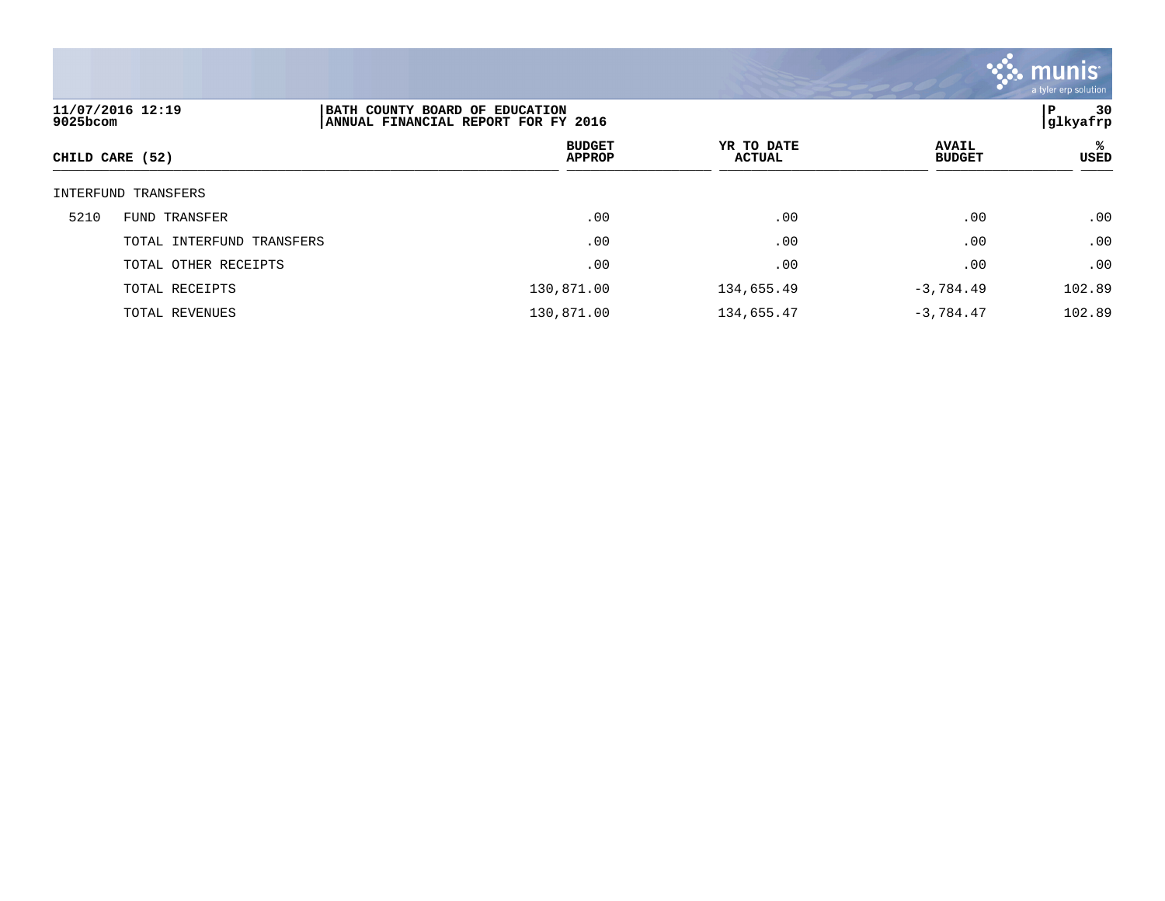

| 9025bcom        | 11/07/2016 12:19          | BATH COUNTY BOARD OF EDUCATION<br>ANNUAL FINANCIAL REPORT FOR FY 2016 |                      |                               | 30<br>P<br> glkyafrp |
|-----------------|---------------------------|-----------------------------------------------------------------------|----------------------|-------------------------------|----------------------|
| CHILD CARE (52) |                           | <b>BUDGET</b><br><b>APPROP</b>                                        | YR TO DATE<br>ACTUAL | <b>AVAIL</b><br><b>BUDGET</b> | %ะ<br><b>USED</b>    |
|                 | INTERFUND TRANSFERS       |                                                                       |                      |                               |                      |
| 5210            | FUND TRANSFER             | .00                                                                   | .00                  | .00                           | .00                  |
|                 | TOTAL INTERFUND TRANSFERS | .00                                                                   | .00                  | .00                           | .00                  |
|                 | TOTAL OTHER RECEIPTS      | .00                                                                   | .00                  | .00                           | .00                  |
|                 | TOTAL RECEIPTS            | 130,871.00                                                            | 134,655.49           | $-3,784.49$                   | 102.89               |
|                 | TOTAL REVENUES            | 130,871.00                                                            | 134,655.47           | $-3,784.47$                   | 102.89               |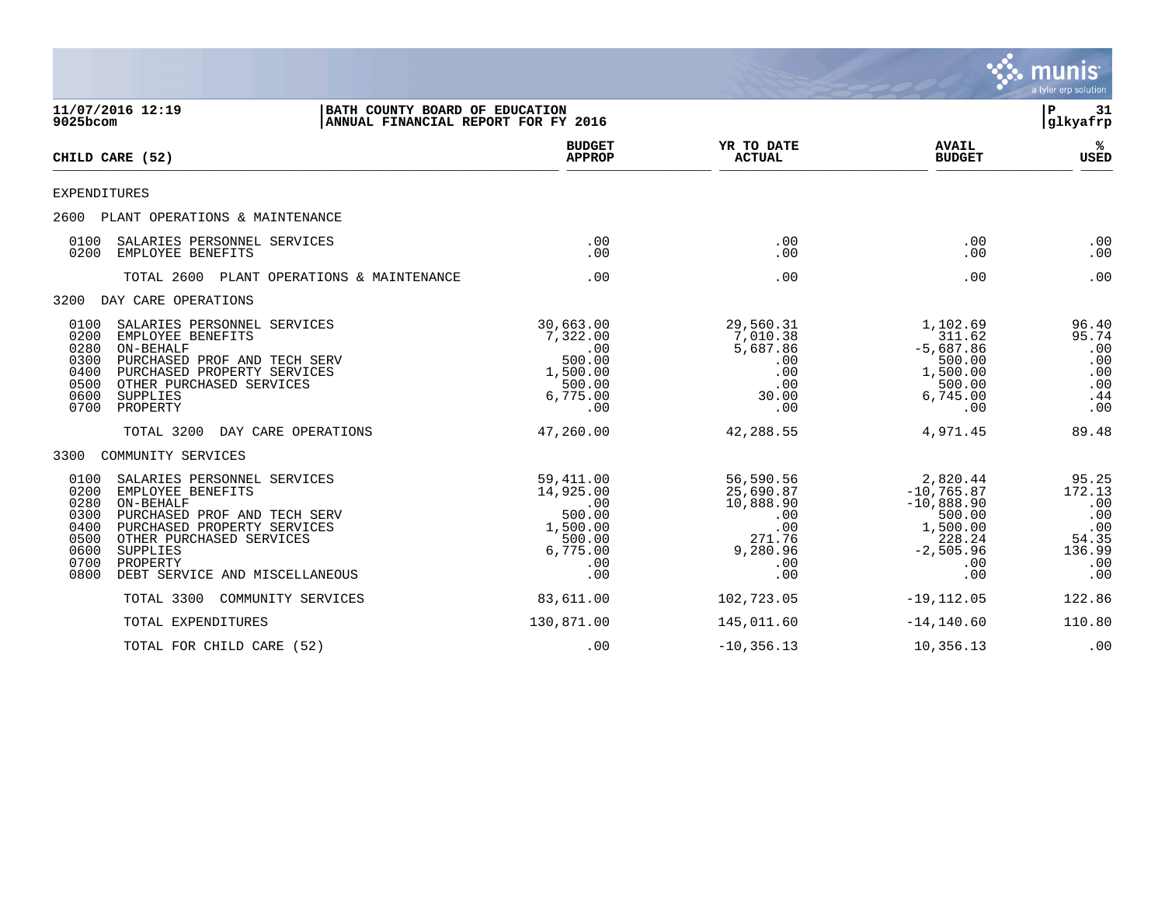|                                                                      |                                                                                                                                                                                                                    |                                                                       |                                                                                           |                                                                                       |                                                                                                        | <b>munis</b><br>a tyler erp solution                                  |
|----------------------------------------------------------------------|--------------------------------------------------------------------------------------------------------------------------------------------------------------------------------------------------------------------|-----------------------------------------------------------------------|-------------------------------------------------------------------------------------------|---------------------------------------------------------------------------------------|--------------------------------------------------------------------------------------------------------|-----------------------------------------------------------------------|
| 9025bcom                                                             | 11/07/2016 12:19                                                                                                                                                                                                   | BATH COUNTY BOARD OF EDUCATION<br>ANNUAL FINANCIAL REPORT FOR FY 2016 |                                                                                           |                                                                                       |                                                                                                        | l P<br>31<br> glkyafrp                                                |
| CHILD CARE (52)                                                      |                                                                                                                                                                                                                    |                                                                       | <b>BUDGET</b><br><b>APPROP</b>                                                            | YR TO DATE<br><b>ACTUAL</b>                                                           | <b>AVAIL</b><br><b>BUDGET</b>                                                                          | ℁<br><b>USED</b>                                                      |
| <b>EXPENDITURES</b>                                                  |                                                                                                                                                                                                                    |                                                                       |                                                                                           |                                                                                       |                                                                                                        |                                                                       |
|                                                                      | 2600 PLANT OPERATIONS & MAINTENANCE                                                                                                                                                                                |                                                                       |                                                                                           |                                                                                       |                                                                                                        |                                                                       |
| 0100<br>0200                                                         | SALARIES PERSONNEL SERVICES<br>EMPLOYEE BENEFITS                                                                                                                                                                   |                                                                       | .00<br>.00                                                                                | .00<br>.00                                                                            | .00<br>.00                                                                                             | .00<br>.00                                                            |
|                                                                      | TOTAL 2600 PLANT OPERATIONS & MAINTENANCE                                                                                                                                                                          |                                                                       | .00                                                                                       | .00                                                                                   | .00                                                                                                    | .00                                                                   |
| 3200                                                                 | DAY CARE OPERATIONS                                                                                                                                                                                                |                                                                       |                                                                                           |                                                                                       |                                                                                                        |                                                                       |
| 0100<br>0200<br>0280<br>0300<br>0400<br>0500<br>0600<br>0700         | SALARIES PERSONNEL SERVICES<br>EMPLOYEE BENEFITS<br>ON-BEHALF<br>PURCHASED PROF AND TECH SERV<br>PURCHASED PROPERTY SERVICES<br>OTHER PURCHASED SERVICES<br>SUPPLIES<br>PROPERTY                                   |                                                                       | 30,663.00<br>7,322.00<br>.00<br>500.00<br>1,500.00<br>500.00<br>6,775.00<br>.00           | 29,560.31<br>7,010.38<br>5,687.86<br>.00<br>.00<br>.00<br>30.00<br>.00                | 1,102.69<br>311.62<br>$-5,687.86$<br>500.00<br>1,500.00<br>500.00<br>6,745.00<br>.00                   | 96.40<br>95.74<br>.00<br>.00<br>.00<br>.00<br>.44<br>.00              |
|                                                                      | TOTAL 3200<br>DAY CARE OPERATIONS                                                                                                                                                                                  |                                                                       | 47,260.00                                                                                 | 42,288.55                                                                             | 4,971.45                                                                                               | 89.48                                                                 |
| 3300                                                                 | COMMUNITY SERVICES                                                                                                                                                                                                 |                                                                       |                                                                                           |                                                                                       |                                                                                                        |                                                                       |
| 0100<br>0200<br>0280<br>0300<br>0400<br>0500<br>0600<br>0700<br>0800 | SALARIES PERSONNEL SERVICES<br>EMPLOYEE BENEFITS<br>ON-BEHALF<br>PURCHASED PROF AND TECH SERV<br>PURCHASED PROPERTY SERVICES<br>OTHER PURCHASED SERVICES<br>SUPPLIES<br>PROPERTY<br>DEBT SERVICE AND MISCELLANEOUS |                                                                       | 59, 411, 00<br>14,925.00<br>.00<br>500.00<br>1,500.00<br>500.00<br>6,775.00<br>.00<br>.00 | 56,590.56<br>25,690.87<br>10,888.90<br>.00<br>.00<br>271.76<br>9,280.96<br>.00<br>.00 | 2,820.44<br>$-10, 765.87$<br>$-10,888.90$<br>500.00<br>1,500.00<br>228.24<br>$-2,505.96$<br>.00<br>.00 | 95.25<br>172.13<br>.00<br>.00<br>.00<br>54.35<br>136.99<br>.00<br>.00 |
|                                                                      | TOTAL 3300<br>COMMUNITY SERVICES                                                                                                                                                                                   |                                                                       | 83,611.00                                                                                 | 102,723.05                                                                            | $-19, 112.05$                                                                                          | 122.86                                                                |
|                                                                      | TOTAL EXPENDITURES                                                                                                                                                                                                 |                                                                       | 130,871.00                                                                                | 145,011.60                                                                            | $-14, 140.60$                                                                                          | 110.80                                                                |
|                                                                      | TOTAL FOR CHILD CARE (52)                                                                                                                                                                                          |                                                                       | .00                                                                                       | $-10, 356.13$                                                                         | 10,356.13                                                                                              | .00                                                                   |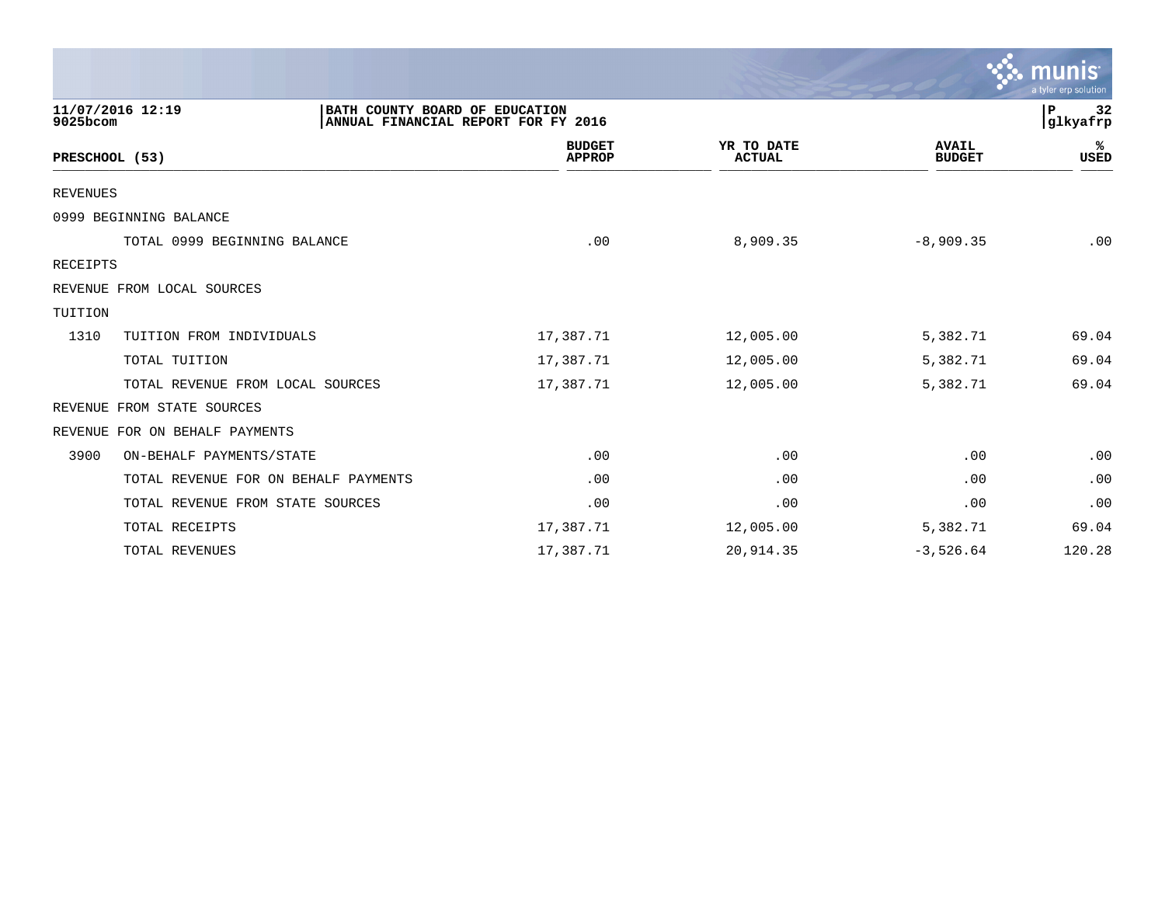|                                                                |                                     |                             |                               | $\mathbb{C}\mathbb{S}$ munis $\mathbb{S}^1$<br>a tyler erp solution |
|----------------------------------------------------------------|-------------------------------------|-----------------------------|-------------------------------|---------------------------------------------------------------------|
| 11/07/2016 12:19<br>BATH COUNTY BOARD OF EDUCATION<br>9025bcom | ANNUAL FINANCIAL REPORT FOR FY 2016 |                             |                               | 32<br>P<br>glkyafrp                                                 |
| PRESCHOOL (53)                                                 | <b>BUDGET</b><br><b>APPROP</b>      | YR TO DATE<br><b>ACTUAL</b> | <b>AVAIL</b><br><b>BUDGET</b> | %ะ<br>USED                                                          |
| REVENUES                                                       |                                     |                             |                               |                                                                     |
| 0999 BEGINNING BALANCE                                         |                                     |                             |                               |                                                                     |
| TOTAL 0999 BEGINNING BALANCE                                   | .00                                 | 8,909.35                    | $-8,909.35$                   | .00                                                                 |
| RECEIPTS                                                       |                                     |                             |                               |                                                                     |
| REVENUE FROM LOCAL SOURCES                                     |                                     |                             |                               |                                                                     |
| TUITION                                                        |                                     |                             |                               |                                                                     |
| 1310<br>TUITION FROM INDIVIDUALS                               | 17,387.71                           | 12,005.00                   | 5,382.71                      | 69.04                                                               |
| TOTAL TUITION                                                  | 17,387.71                           | 12,005.00                   | 5,382.71                      | 69.04                                                               |
| TOTAL REVENUE FROM LOCAL SOURCES                               | 17,387.71                           | 12,005.00                   | 5,382.71                      | 69.04                                                               |
| FROM STATE SOURCES<br>REVENUE                                  |                                     |                             |                               |                                                                     |
| REVENUE FOR ON BEHALF PAYMENTS                                 |                                     |                             |                               |                                                                     |
| 3900<br>ON-BEHALF PAYMENTS/STATE                               | .00                                 | .00                         | .00                           | .00                                                                 |
| TOTAL REVENUE FOR ON BEHALF PAYMENTS                           | .00                                 | .00                         | .00                           | .00                                                                 |
| TOTAL REVENUE FROM STATE SOURCES                               | .00                                 | .00                         | .00                           | .00                                                                 |
| TOTAL RECEIPTS                                                 | 17,387.71                           | 12,005.00                   | 5,382.71                      | 69.04                                                               |
| TOTAL REVENUES                                                 | 17,387.71                           | 20,914.35                   | $-3,526.64$                   | 120.28                                                              |

and the contract of the contract of the contract of the contract of the contract of the contract of the contract of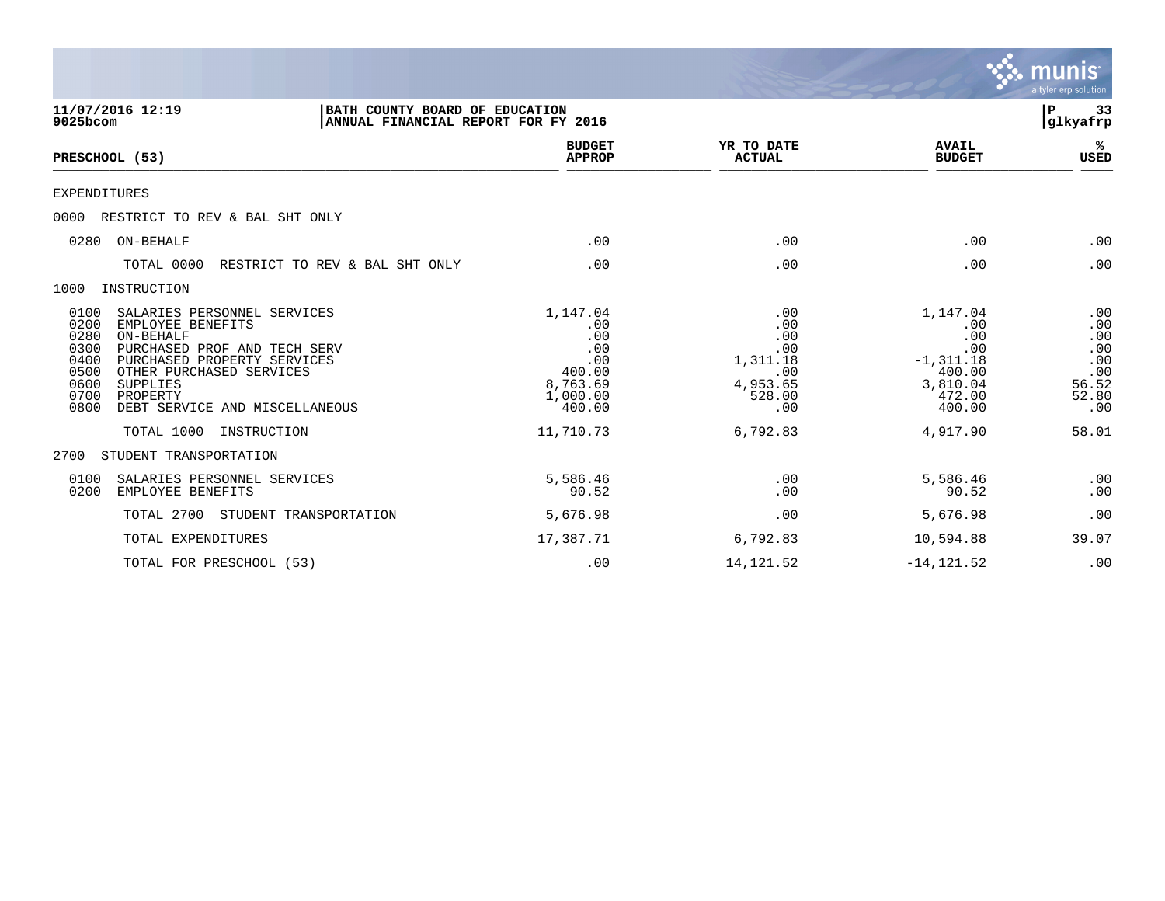|                                                                                                                                                                                                                                                                                                                         |                                                                                               |                                                                                      |                                                                                                     | munis<br>a tyler erp solution                                            |
|-------------------------------------------------------------------------------------------------------------------------------------------------------------------------------------------------------------------------------------------------------------------------------------------------------------------------|-----------------------------------------------------------------------------------------------|--------------------------------------------------------------------------------------|-----------------------------------------------------------------------------------------------------|--------------------------------------------------------------------------|
| 11/07/2016 12:19<br>BATH COUNTY BOARD OF EDUCATION<br>9025bcom<br>ANNUAL FINANCIAL REPORT FOR FY 2016                                                                                                                                                                                                                   |                                                                                               |                                                                                      |                                                                                                     | 33<br>P<br> glkyafrp                                                     |
| PRESCHOOL (53)                                                                                                                                                                                                                                                                                                          | <b>BUDGET</b><br><b>APPROP</b>                                                                | YR TO DATE<br><b>ACTUAL</b>                                                          | <b>AVAIL</b><br><b>BUDGET</b>                                                                       | ℁<br>USED                                                                |
| <b>EXPENDITURES</b>                                                                                                                                                                                                                                                                                                     |                                                                                               |                                                                                      |                                                                                                     |                                                                          |
| 0000<br>RESTRICT TO REV & BAL SHT ONLY                                                                                                                                                                                                                                                                                  |                                                                                               |                                                                                      |                                                                                                     |                                                                          |
| ON-BEHALF<br>0280                                                                                                                                                                                                                                                                                                       | .00                                                                                           | .00                                                                                  | .00                                                                                                 | .00                                                                      |
| RESTRICT TO REV & BAL SHT ONLY<br>TOTAL 0000                                                                                                                                                                                                                                                                            | .00                                                                                           | .00                                                                                  | .00                                                                                                 | .00                                                                      |
| 1000<br>INSTRUCTION                                                                                                                                                                                                                                                                                                     |                                                                                               |                                                                                      |                                                                                                     |                                                                          |
| 0100<br>SALARIES PERSONNEL SERVICES<br>0200<br>EMPLOYEE BENEFITS<br>0280<br>ON-BEHALF<br>0300<br>PURCHASED PROF AND TECH SERV<br>0400<br>PURCHASED PROPERTY SERVICES<br>OTHER PURCHASED SERVICES<br>0500<br>0600<br>SUPPLIES<br>0700<br>PROPERTY<br>0800<br>DEBT SERVICE AND MISCELLANEOUS<br>TOTAL 1000<br>INSTRUCTION | 1,147.04<br>.00<br>.00<br>.00<br>.00<br>400.00<br>8,763.69<br>1,000.00<br>400.00<br>11,710.73 | .00<br>.00<br>.00<br>.00<br>1,311.18<br>.00<br>4,953.65<br>528.00<br>.00<br>6,792.83 | 1,147.04<br>.00<br>.00<br>.00<br>$-1, 311.18$<br>400.00<br>3,810.04<br>472.00<br>400.00<br>4,917.90 | .00<br>.00<br>.00<br>.00<br>.00<br>.00<br>56.52<br>52.80<br>.00<br>58.01 |
| STUDENT TRANSPORTATION<br>2700                                                                                                                                                                                                                                                                                          |                                                                                               |                                                                                      |                                                                                                     |                                                                          |
| 0100<br>SALARIES PERSONNEL SERVICES<br>0200<br>EMPLOYEE BENEFITS                                                                                                                                                                                                                                                        | 5,586.46<br>90.52                                                                             | .00<br>.00                                                                           | 5,586.46<br>90.52                                                                                   | .00<br>.00                                                               |
| TOTAL 2700<br>STUDENT TRANSPORTATION                                                                                                                                                                                                                                                                                    | 5,676.98                                                                                      | .00                                                                                  | 5,676.98                                                                                            | .00                                                                      |
| TOTAL EXPENDITURES                                                                                                                                                                                                                                                                                                      | 17,387.71                                                                                     | 6,792.83                                                                             | 10,594.88                                                                                           | 39.07                                                                    |
| TOTAL FOR PRESCHOOL (53)                                                                                                                                                                                                                                                                                                | .00                                                                                           | 14, 121.52                                                                           | $-14, 121.52$                                                                                       | .00                                                                      |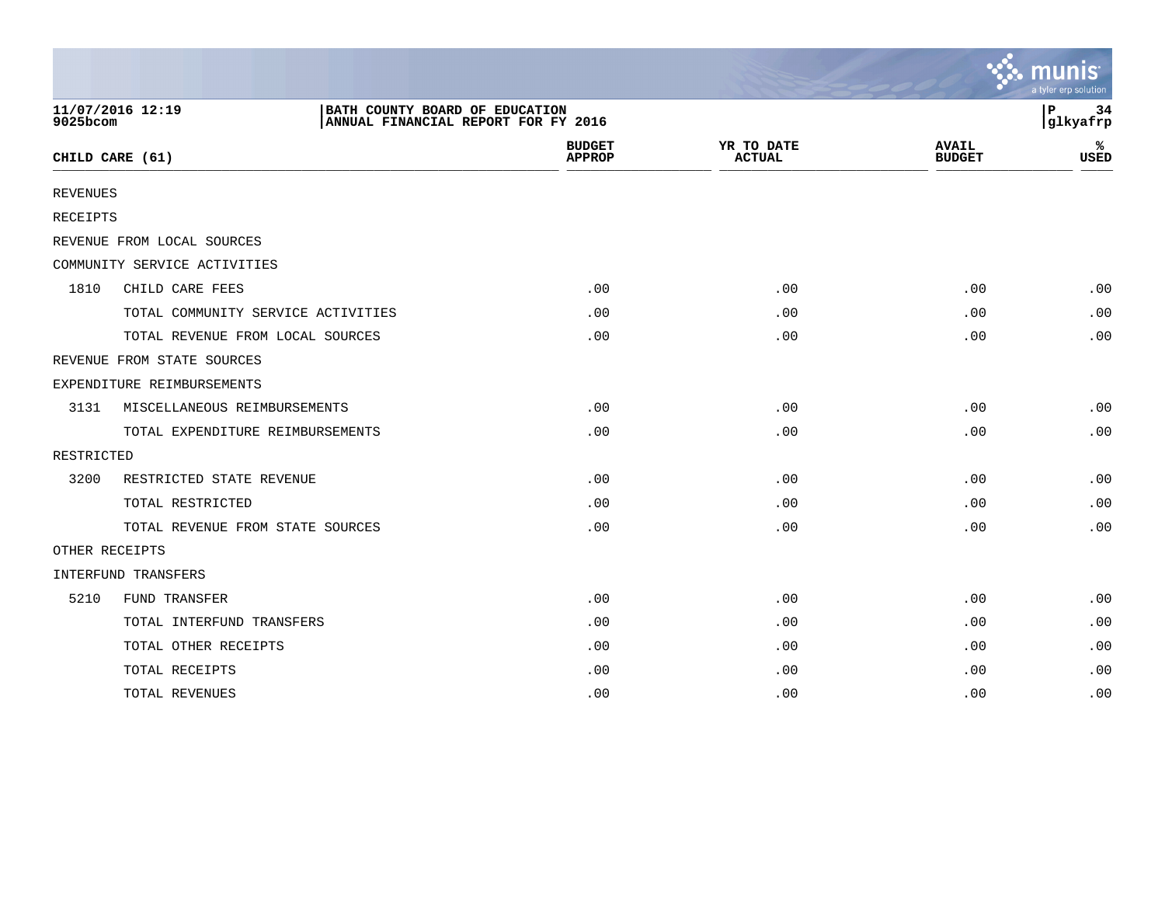|                 |                                    |                                                                       |                                |                             |                               | munis<br>a tyler erp solution |
|-----------------|------------------------------------|-----------------------------------------------------------------------|--------------------------------|-----------------------------|-------------------------------|-------------------------------|
| 9025bcom        | 11/07/2016 12:19                   | BATH COUNTY BOARD OF EDUCATION<br>ANNUAL FINANCIAL REPORT FOR FY 2016 |                                |                             |                               | ΙP<br>34<br>glkyafrp          |
|                 | CHILD CARE (61)                    |                                                                       | <b>BUDGET</b><br><b>APPROP</b> | YR TO DATE<br><b>ACTUAL</b> | <b>AVAIL</b><br><b>BUDGET</b> | ℁<br><b>USED</b>              |
| <b>REVENUES</b> |                                    |                                                                       |                                |                             |                               |                               |
| RECEIPTS        |                                    |                                                                       |                                |                             |                               |                               |
|                 | REVENUE FROM LOCAL SOURCES         |                                                                       |                                |                             |                               |                               |
|                 | COMMUNITY SERVICE ACTIVITIES       |                                                                       |                                |                             |                               |                               |
| 1810            | CHILD CARE FEES                    |                                                                       | .00                            | .00                         | .00                           | .00                           |
|                 | TOTAL COMMUNITY SERVICE ACTIVITIES |                                                                       | .00                            | .00                         | .00                           | .00                           |
|                 | TOTAL REVENUE FROM LOCAL SOURCES   |                                                                       | .00                            | .00                         | .00.                          | .00                           |
|                 | REVENUE FROM STATE SOURCES         |                                                                       |                                |                             |                               |                               |
|                 | EXPENDITURE REIMBURSEMENTS         |                                                                       |                                |                             |                               |                               |
| 3131            | MISCELLANEOUS REIMBURSEMENTS       |                                                                       | .00                            | .00                         | .00                           | .00                           |
|                 | TOTAL EXPENDITURE REIMBURSEMENTS   |                                                                       | .00                            | .00                         | .00                           | .00                           |
| RESTRICTED      |                                    |                                                                       |                                |                             |                               |                               |
| 3200            | RESTRICTED STATE REVENUE           |                                                                       | .00                            | .00                         | .00                           | .00                           |
|                 | TOTAL RESTRICTED                   |                                                                       | .00                            | .00                         | .00                           | .00                           |
|                 | TOTAL REVENUE FROM STATE SOURCES   |                                                                       | .00                            | .00                         | .00                           | .00                           |
| OTHER RECEIPTS  |                                    |                                                                       |                                |                             |                               |                               |
|                 | INTERFUND TRANSFERS                |                                                                       |                                |                             |                               |                               |
| 5210            | FUND TRANSFER                      |                                                                       | .00                            | .00                         | .00                           | .00                           |
|                 | TOTAL INTERFUND TRANSFERS          |                                                                       | .00                            | .00                         | .00                           | .00                           |
|                 | TOTAL OTHER RECEIPTS               |                                                                       | .00                            | .00                         | .00                           | .00                           |
|                 | TOTAL RECEIPTS                     |                                                                       | .00                            | .00                         | .00                           | .00                           |
|                 | TOTAL REVENUES                     |                                                                       | .00                            | .00                         | .00                           | .00                           |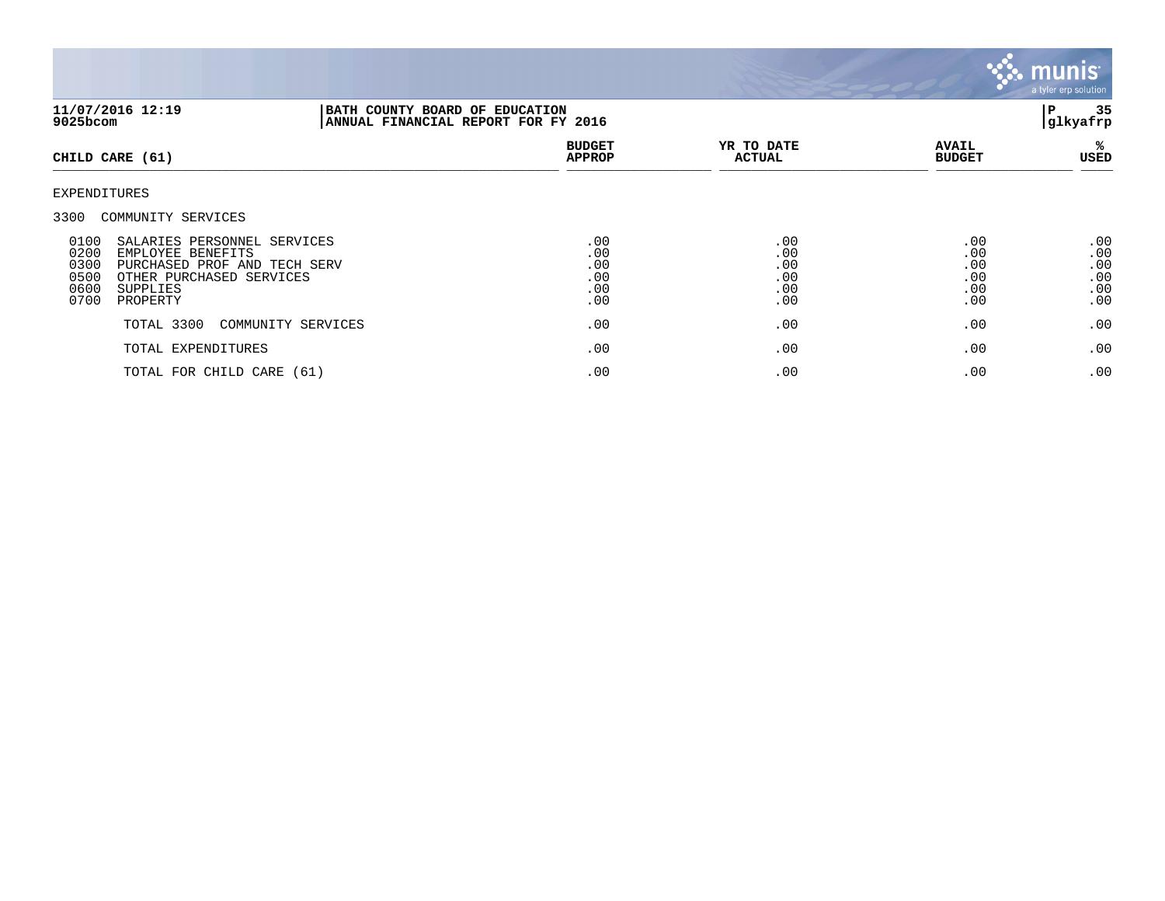

| 11/07/2016 12:19<br>$9025$ bcom                                                                                                                                                      | BATH COUNTY BOARD OF EDUCATION<br>ANNUAL FINANCIAL REPORT FOR FY 2016 |                                        |                                        |                                        | 35<br>ΙP<br>glkyafrp                        |
|--------------------------------------------------------------------------------------------------------------------------------------------------------------------------------------|-----------------------------------------------------------------------|----------------------------------------|----------------------------------------|----------------------------------------|---------------------------------------------|
| CHILD CARE (61)                                                                                                                                                                      |                                                                       | <b>BUDGET</b><br><b>APPROP</b>         | YR TO DATE<br><b>ACTUAL</b>            | <b>AVAIL</b><br><b>BUDGET</b>          | ℁<br>USED                                   |
| EXPENDITURES                                                                                                                                                                         |                                                                       |                                        |                                        |                                        |                                             |
| 3300<br>COMMUNITY SERVICES                                                                                                                                                           |                                                                       |                                        |                                        |                                        |                                             |
| 0100<br>SALARIES PERSONNEL SERVICES<br>0200<br>EMPLOYEE BENEFITS<br>0300<br>PURCHASED PROF AND TECH SERV<br>0500<br>OTHER PURCHASED SERVICES<br>0600<br>SUPPLIES<br>0700<br>PROPERTY |                                                                       | .00<br>.00<br>.00<br>.00<br>.00<br>.00 | .00<br>.00<br>.00<br>.00<br>.00<br>.00 | .00<br>.00<br>.00<br>.00<br>.00<br>.00 | $.00 \,$<br>.00<br>.00<br>.00<br>.00<br>.00 |
| TOTAL 3300                                                                                                                                                                           | COMMUNITY SERVICES                                                    | .00                                    | .00                                    | .00                                    | .00                                         |
| TOTAL EXPENDITURES                                                                                                                                                                   |                                                                       | .00                                    | .00                                    | .00                                    | .00                                         |
| TOTAL FOR CHILD CARE (61)                                                                                                                                                            |                                                                       | .00                                    | .00                                    | .00                                    | .00                                         |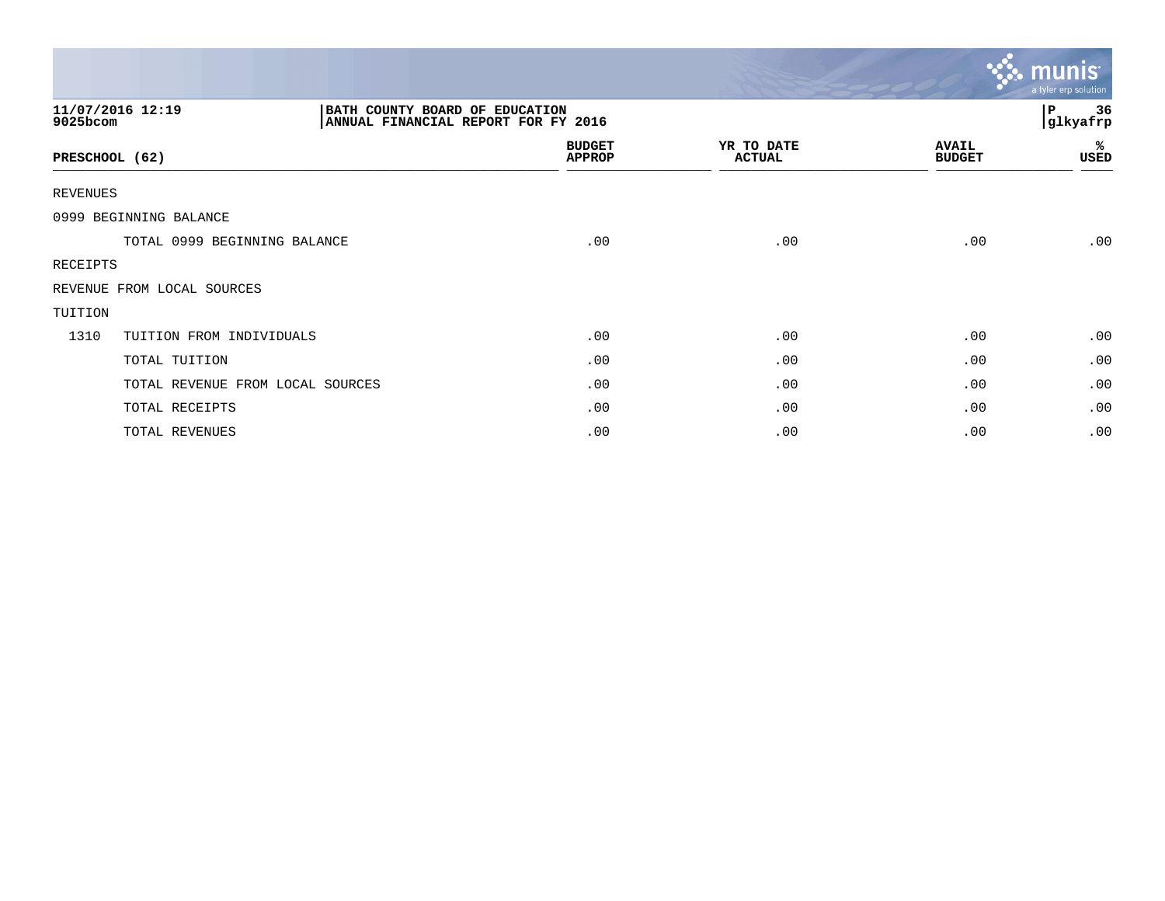|                              |                                                                       |                                |                             |                               | <u>ኛሉ munis</u><br>a tyler erp solution |
|------------------------------|-----------------------------------------------------------------------|--------------------------------|-----------------------------|-------------------------------|-----------------------------------------|
| 11/07/2016 12:19<br>9025bcom | BATH COUNTY BOARD OF EDUCATION<br>ANNUAL FINANCIAL REPORT FOR FY 2016 |                                |                             |                               | 36<br>P<br>glkyafrp                     |
| PRESCHOOL (62)               |                                                                       | <b>BUDGET</b><br><b>APPROP</b> | YR TO DATE<br><b>ACTUAL</b> | <b>AVAIL</b><br><b>BUDGET</b> | %<br>USED                               |
| <b>REVENUES</b>              |                                                                       |                                |                             |                               |                                         |
| 0999 BEGINNING BALANCE       |                                                                       |                                |                             |                               |                                         |
|                              | TOTAL 0999 BEGINNING BALANCE                                          | .00                            | .00                         | .00                           | .00                                     |
| RECEIPTS                     |                                                                       |                                |                             |                               |                                         |
| REVENUE FROM LOCAL SOURCES   |                                                                       |                                |                             |                               |                                         |
| TUITION                      |                                                                       |                                |                             |                               |                                         |
| 1310                         | TUITION FROM INDIVIDUALS                                              | .00                            | .00                         | .00                           | .00                                     |
|                              | TOTAL TUITION                                                         | .00                            | .00                         | .00                           | .00                                     |
|                              | TOTAL REVENUE FROM LOCAL SOURCES                                      | .00                            | .00                         | .00                           | .00                                     |
|                              | TOTAL RECEIPTS                                                        | .00                            | .00                         | .00                           | .00                                     |
|                              | TOTAL REVENUES                                                        | .00                            | .00                         | .00                           | .00                                     |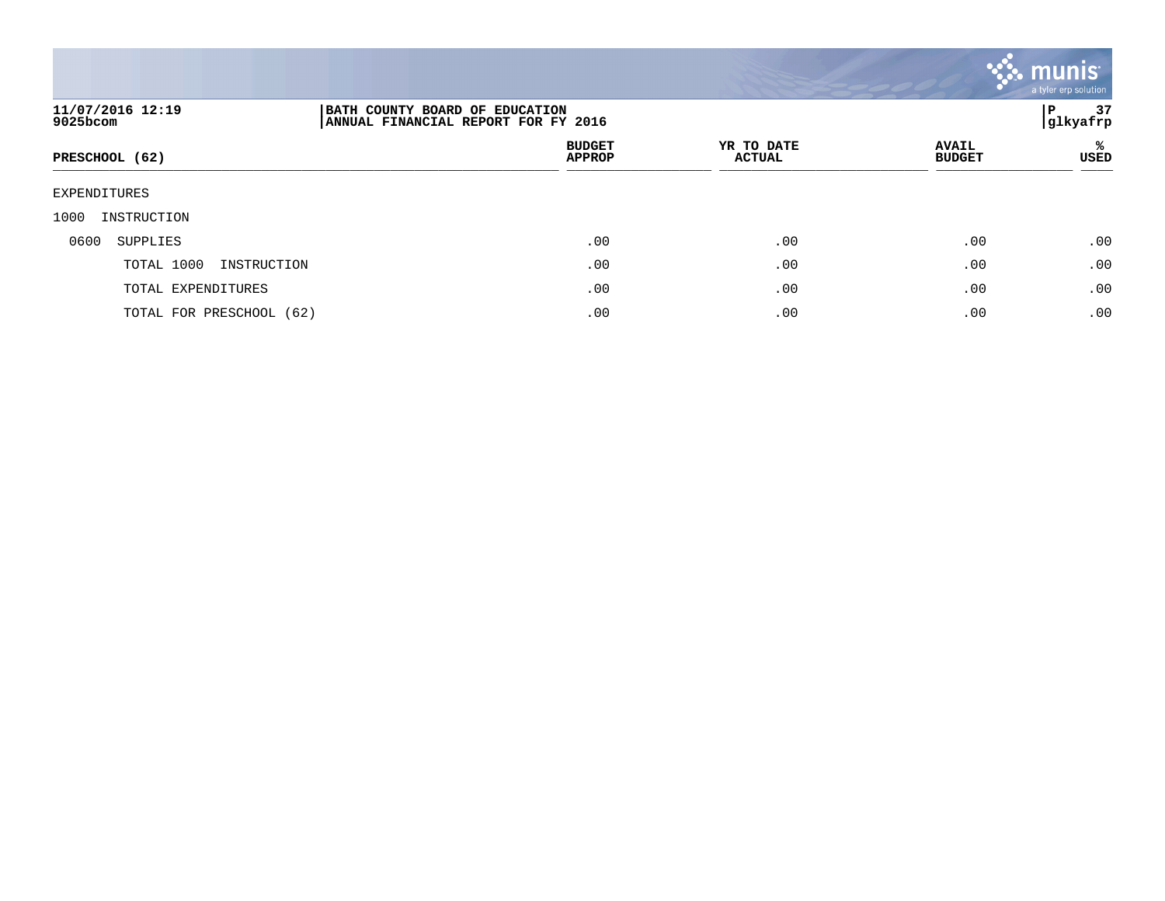

| 11/07/2016 12:19<br>9025bcom | BATH COUNTY BOARD OF EDUCATION<br>ANNUAL FINANCIAL REPORT FOR FY 2016 |                             |                               | 37<br>P<br> glkyafrp |
|------------------------------|-----------------------------------------------------------------------|-----------------------------|-------------------------------|----------------------|
| PRESCHOOL (62)               | <b>BUDGET</b><br><b>APPROP</b>                                        | YR TO DATE<br><b>ACTUAL</b> | <b>AVAIL</b><br><b>BUDGET</b> | ℁<br>USED            |
| EXPENDITURES                 |                                                                       |                             |                               |                      |
| 1000<br>INSTRUCTION          |                                                                       |                             |                               |                      |
| 0600<br>SUPPLIES             | .00                                                                   | .00                         | .00                           | .00                  |
| TOTAL 1000<br>INSTRUCTION    | .00                                                                   | .00                         | .00                           | .00                  |
| TOTAL EXPENDITURES           | .00                                                                   | .00                         | .00                           | .00                  |
| TOTAL FOR PRESCHOOL (62)     | .00                                                                   | .00                         | .00                           | .00                  |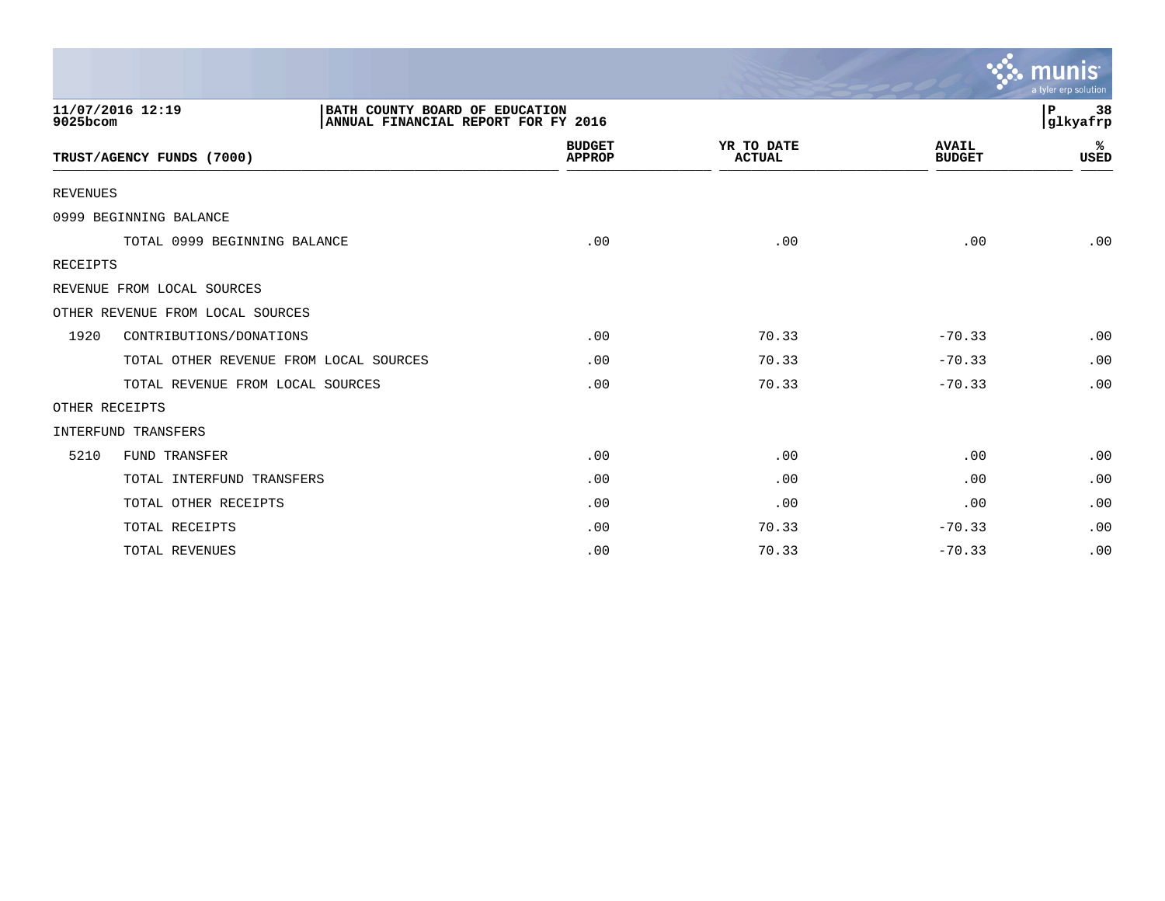|                 |                                                                                           |                                |                             |                               | a tyler erp solution |
|-----------------|-------------------------------------------------------------------------------------------|--------------------------------|-----------------------------|-------------------------------|----------------------|
| 9025bcom        | 11/07/2016 12:19<br>BATH COUNTY BOARD OF EDUCATION<br>ANNUAL FINANCIAL REPORT FOR FY 2016 |                                |                             |                               | 38<br>P<br>glkyafrp  |
|                 | TRUST/AGENCY FUNDS (7000)                                                                 | <b>BUDGET</b><br><b>APPROP</b> | YR TO DATE<br><b>ACTUAL</b> | <b>AVAIL</b><br><b>BUDGET</b> | ℁<br><b>USED</b>     |
| <b>REVENUES</b> |                                                                                           |                                |                             |                               |                      |
|                 | 0999 BEGINNING BALANCE                                                                    |                                |                             |                               |                      |
|                 | TOTAL 0999 BEGINNING BALANCE                                                              | .00                            | .00                         | .00                           | .00                  |
| RECEIPTS        |                                                                                           |                                |                             |                               |                      |
|                 | REVENUE FROM LOCAL SOURCES                                                                |                                |                             |                               |                      |
|                 | OTHER REVENUE FROM LOCAL SOURCES                                                          |                                |                             |                               |                      |
| 1920            | CONTRIBUTIONS/DONATIONS                                                                   | .00                            | 70.33                       | $-70.33$                      | .00                  |
|                 | TOTAL OTHER REVENUE FROM LOCAL SOURCES                                                    | .00                            | 70.33                       | $-70.33$                      | .00                  |
|                 | TOTAL REVENUE FROM LOCAL SOURCES                                                          | .00                            | 70.33                       | $-70.33$                      | .00                  |
|                 | OTHER RECEIPTS                                                                            |                                |                             |                               |                      |
|                 | INTERFUND TRANSFERS                                                                       |                                |                             |                               |                      |
| 5210            | FUND TRANSFER                                                                             | .00                            | .00                         | .00                           | .00                  |
|                 | TOTAL INTERFUND TRANSFERS                                                                 | .00                            | .00                         | .00                           | .00                  |
|                 | TOTAL OTHER RECEIPTS                                                                      | .00                            | .00                         | .00                           | .00                  |
|                 | TOTAL RECEIPTS                                                                            | .00                            | 70.33                       | $-70.33$                      | .00                  |
|                 | TOTAL REVENUES                                                                            | .00                            | 70.33                       | $-70.33$                      | .00                  |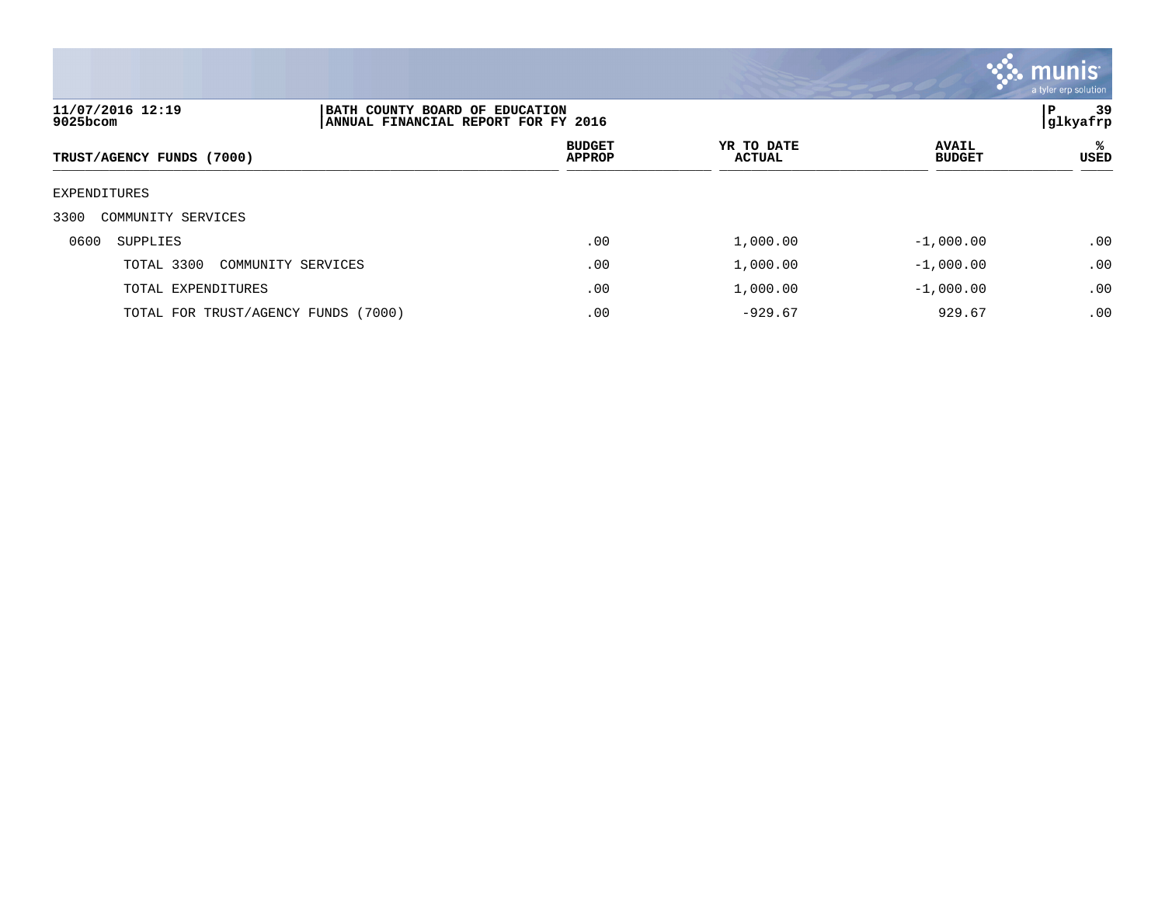

| 11/07/2016 12:19<br>9025bcom        | BATH COUNTY BOARD OF EDUCATION<br>ANNUAL FINANCIAL REPORT FOR FY 2016 |                                |                      |                               | 39<br>P<br>glkyafrp |
|-------------------------------------|-----------------------------------------------------------------------|--------------------------------|----------------------|-------------------------------|---------------------|
| TRUST/AGENCY FUNDS (7000)           |                                                                       | <b>BUDGET</b><br><b>APPROP</b> | YR TO DATE<br>ACTUAL | <b>AVAIL</b><br><b>BUDGET</b> | ℁<br>USED           |
| EXPENDITURES                        |                                                                       |                                |                      |                               |                     |
| 3300<br>COMMUNITY SERVICES          |                                                                       |                                |                      |                               |                     |
| 0600<br>SUPPLIES                    |                                                                       | .00                            | 1,000.00             | $-1,000.00$                   | .00                 |
| TOTAL 3300                          | COMMUNITY SERVICES                                                    | .00                            | 1,000.00             | $-1,000.00$                   | .00                 |
| TOTAL EXPENDITURES                  |                                                                       | .00                            | 1,000.00             | $-1,000.00$                   | .00                 |
| TOTAL FOR TRUST/AGENCY FUNDS (7000) |                                                                       | .00                            | $-929.67$            | 929.67                        | .00                 |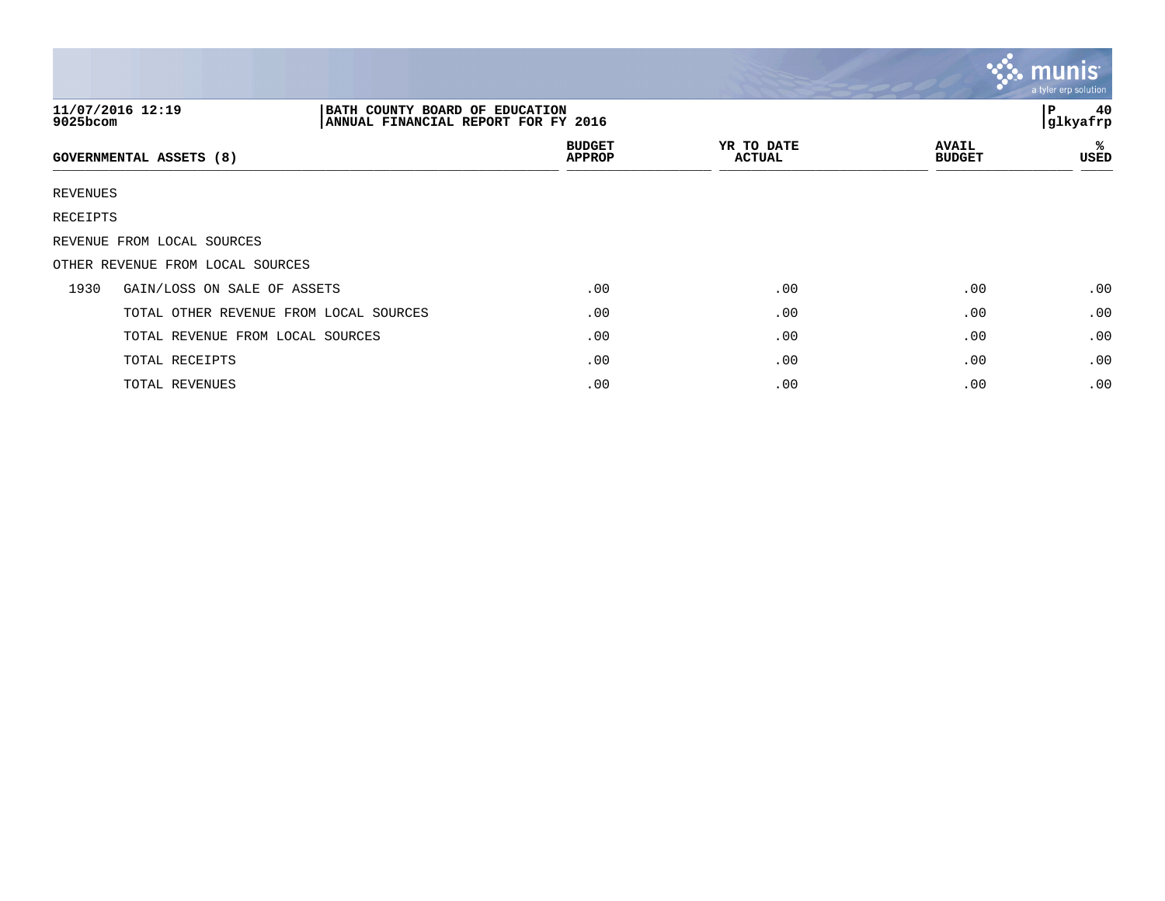|             |                                                                                           |                                |                             |                               | $\mathbf{C}$ munis<br>a tyler erp solution |
|-------------|-------------------------------------------------------------------------------------------|--------------------------------|-----------------------------|-------------------------------|--------------------------------------------|
| $9025$ bcom | 11/07/2016 12:19<br>BATH COUNTY BOARD OF EDUCATION<br>ANNUAL FINANCIAL REPORT FOR FY 2016 |                                |                             |                               | 40<br>l P<br>glkyafrp                      |
|             | GOVERNMENTAL ASSETS (8)                                                                   | <b>BUDGET</b><br><b>APPROP</b> | YR TO DATE<br><b>ACTUAL</b> | <b>AVAIL</b><br><b>BUDGET</b> | ℁<br>USED                                  |
| REVENUES    |                                                                                           |                                |                             |                               |                                            |
| RECEIPTS    |                                                                                           |                                |                             |                               |                                            |
|             | REVENUE FROM LOCAL SOURCES                                                                |                                |                             |                               |                                            |
|             | OTHER REVENUE FROM LOCAL SOURCES                                                          |                                |                             |                               |                                            |
| 1930        | GAIN/LOSS ON SALE OF ASSETS                                                               | .00                            | .00                         | .00                           | .00                                        |
|             | TOTAL OTHER REVENUE FROM LOCAL SOURCES                                                    | .00                            | .00                         | .00                           | .00                                        |
|             | TOTAL REVENUE FROM LOCAL SOURCES                                                          | .00                            | .00                         | .00                           | .00                                        |
|             | TOTAL RECEIPTS                                                                            | .00                            | .00                         | .00                           | .00                                        |
|             | TOTAL REVENUES                                                                            | .00                            | .00                         | .00                           | .00                                        |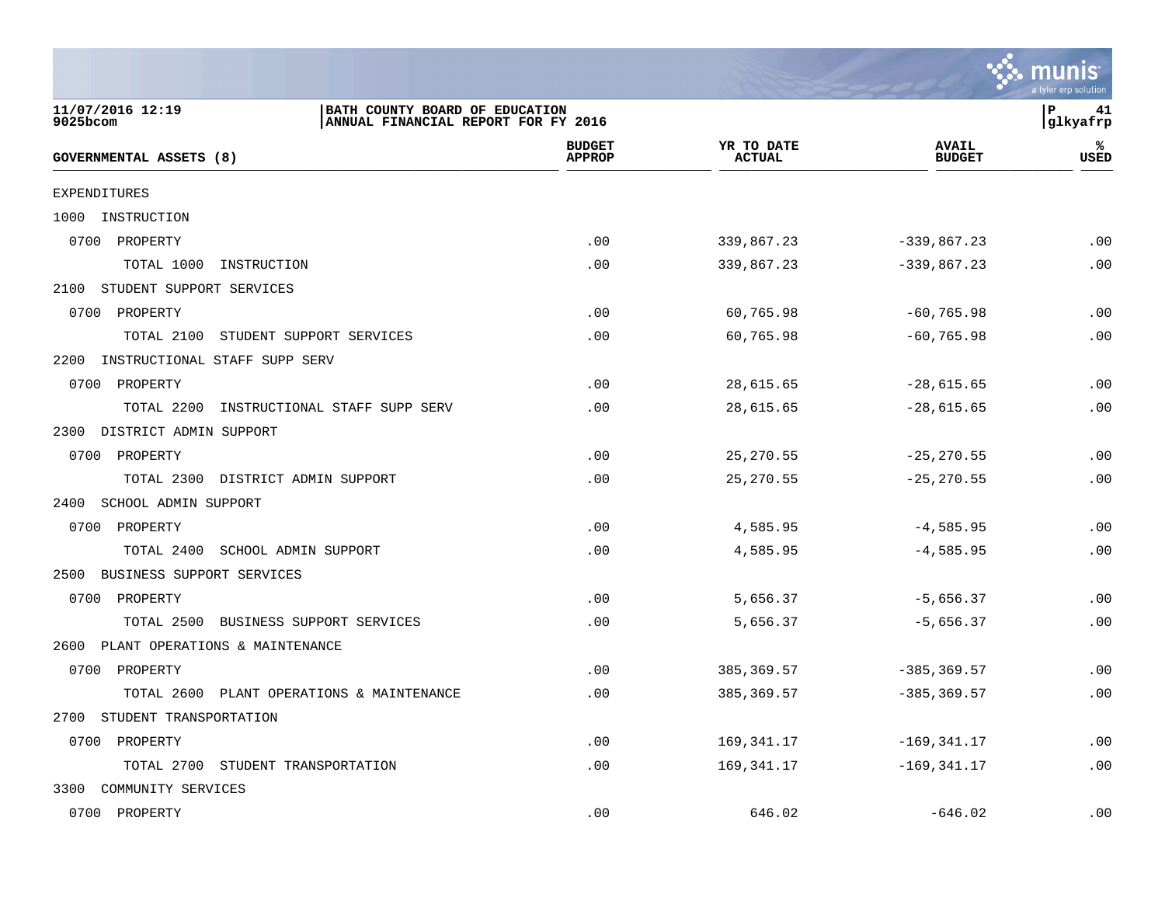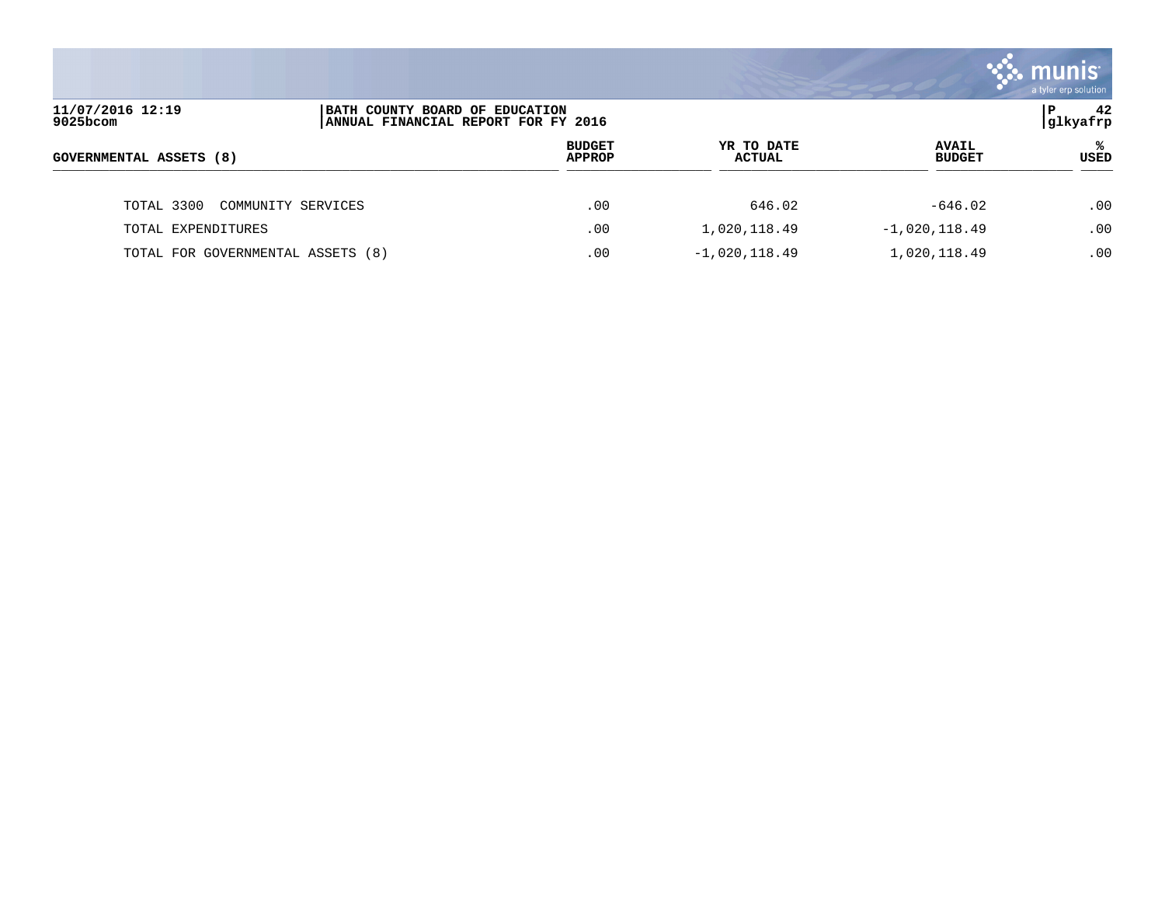

| 11/07/2016 12:19<br>$9025$ bcom   | BATH COUNTY BOARD OF EDUCATION | ANNUAL FINANCIAL REPORT FOR FY 2016 |                      |                               | 42<br>P<br> glkyafrp |  |
|-----------------------------------|--------------------------------|-------------------------------------|----------------------|-------------------------------|----------------------|--|
| <b>GOVERNMENTAL ASSETS (8)</b>    |                                | <b>BUDGET</b><br><b>APPROP</b>      | YR TO DATE<br>ACTUAL | <b>AVAIL</b><br><b>BUDGET</b> | ℁<br><b>USED</b>     |  |
| TOTAL 3300                        | COMMUNITY SERVICES             | .00                                 | 646.02               | $-646.02$                     | .00                  |  |
| TOTAL EXPENDITURES                |                                | .00                                 | 1,020,118.49         | $-1,020,118.49$               | .00                  |  |
| TOTAL FOR GOVERNMENTAL ASSETS (8) |                                | .00                                 | $-1,020,118.49$      | 1,020,118.49                  | .00                  |  |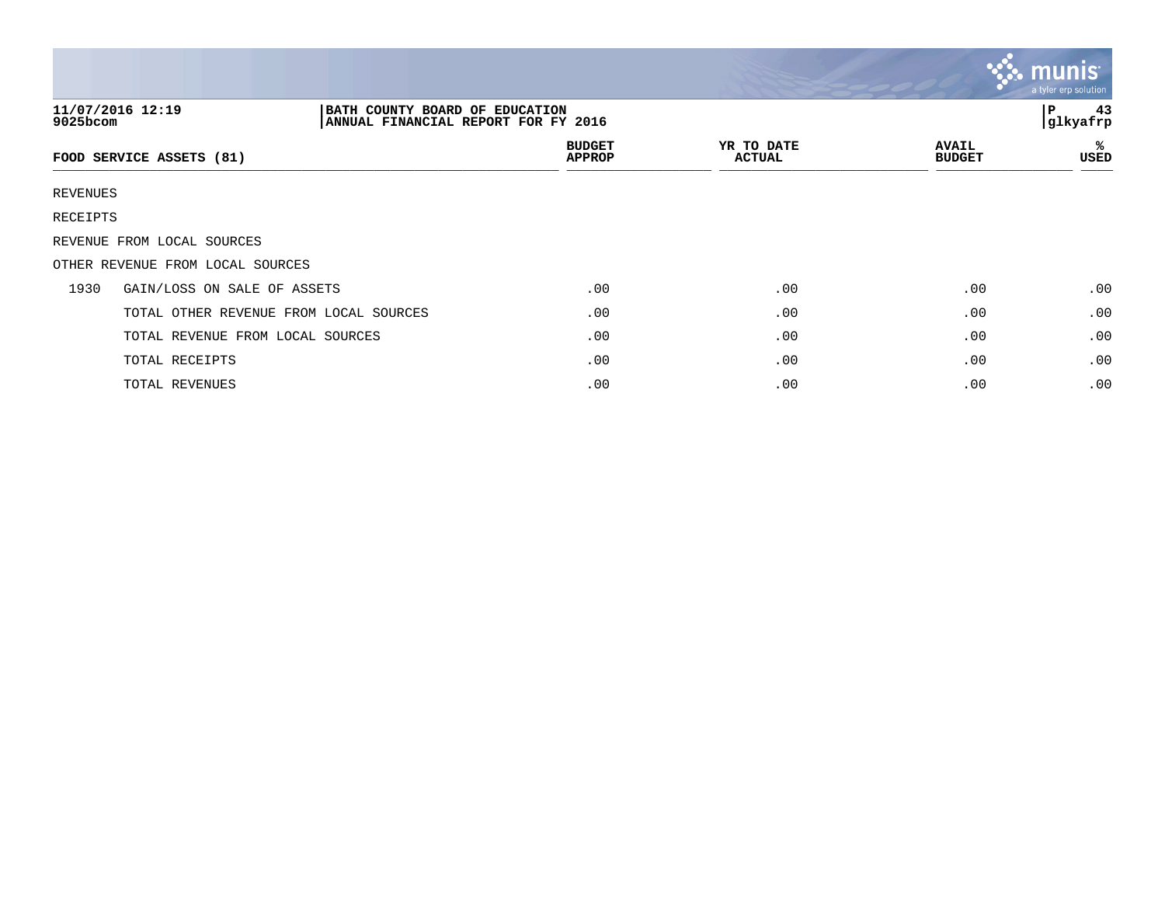|          |                                                                                           |                                |                             |                               | $\mathbf{C}$ munis<br>a tyler erp solution |
|----------|-------------------------------------------------------------------------------------------|--------------------------------|-----------------------------|-------------------------------|--------------------------------------------|
| 9025bcom | 11/07/2016 12:19<br>BATH COUNTY BOARD OF EDUCATION<br>ANNUAL FINANCIAL REPORT FOR FY 2016 |                                |                             |                               | 43<br>l P<br>glkyafrp                      |
|          | FOOD SERVICE ASSETS (81)                                                                  | <b>BUDGET</b><br><b>APPROP</b> | YR TO DATE<br><b>ACTUAL</b> | <b>AVAIL</b><br><b>BUDGET</b> | ℁<br>USED                                  |
| REVENUES |                                                                                           |                                |                             |                               |                                            |
| RECEIPTS |                                                                                           |                                |                             |                               |                                            |
|          | REVENUE FROM LOCAL SOURCES                                                                |                                |                             |                               |                                            |
|          | OTHER REVENUE FROM LOCAL SOURCES                                                          |                                |                             |                               |                                            |
| 1930     | GAIN/LOSS ON SALE OF ASSETS                                                               | .00                            | .00                         | .00                           | .00                                        |
|          | TOTAL OTHER REVENUE FROM LOCAL SOURCES                                                    | .00                            | .00                         | .00                           | .00                                        |
|          | TOTAL REVENUE FROM LOCAL SOURCES                                                          | .00                            | .00                         | .00                           | .00                                        |
|          | TOTAL RECEIPTS                                                                            | .00                            | .00                         | .00                           | .00                                        |
|          | TOTAL REVENUES                                                                            | .00                            | .00                         | .00                           | .00                                        |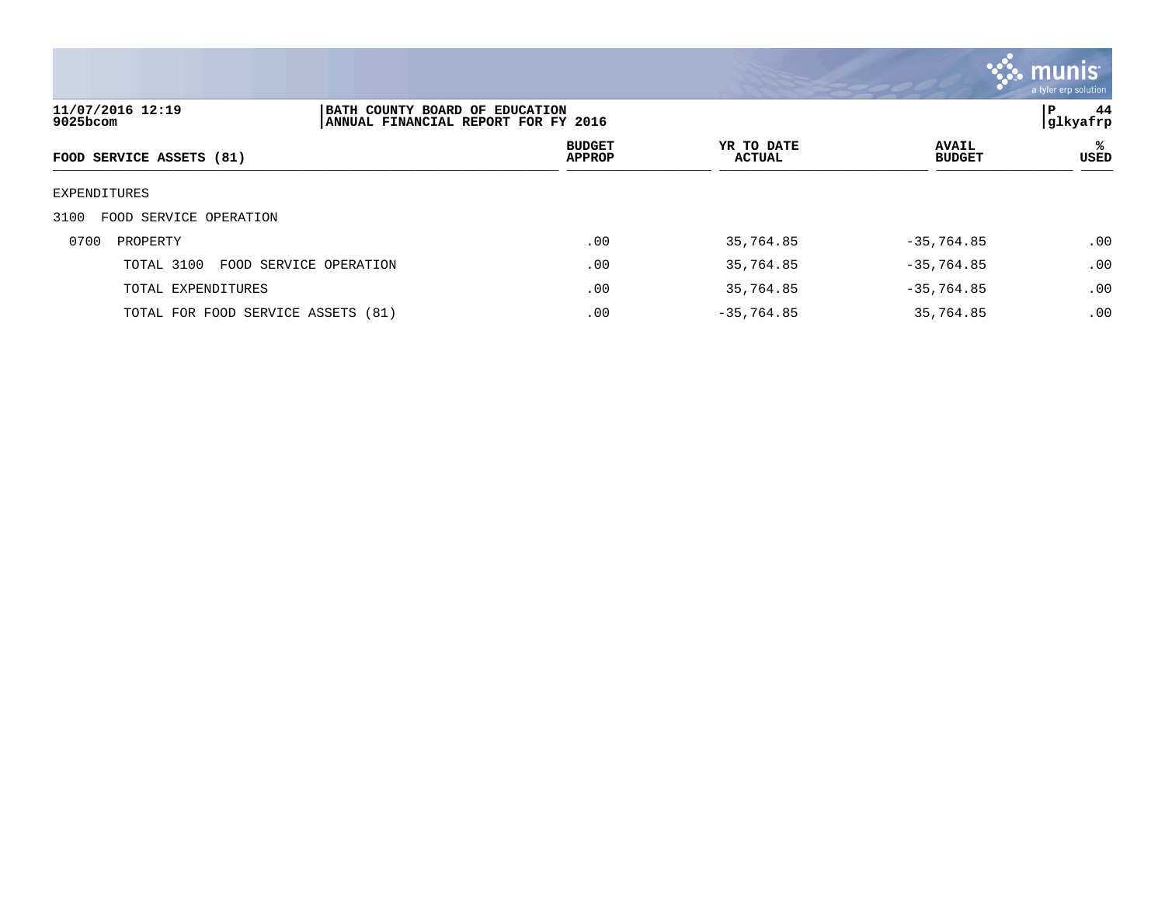

| 11/07/2016 12:19<br>9025bcom       | BATH COUNTY BOARD OF EDUCATION<br>ANNUAL FINANCIAL REPORT FOR FY 2016 |                                |                             |                               | 44<br>P<br> glkyafrp |
|------------------------------------|-----------------------------------------------------------------------|--------------------------------|-----------------------------|-------------------------------|----------------------|
| FOOD SERVICE ASSETS (81)           |                                                                       | <b>BUDGET</b><br><b>APPROP</b> | YR TO DATE<br><b>ACTUAL</b> | <b>AVAIL</b><br><b>BUDGET</b> | ℁<br>USED            |
| EXPENDITURES                       |                                                                       |                                |                             |                               |                      |
| FOOD SERVICE OPERATION<br>3100     |                                                                       |                                |                             |                               |                      |
| 0700<br>PROPERTY                   |                                                                       | .00                            | 35,764.85                   | $-35,764.85$                  | .00                  |
| TOTAL 3100                         | FOOD SERVICE OPERATION                                                | .00                            | 35,764.85                   | $-35,764.85$                  | .00                  |
| TOTAL EXPENDITURES                 |                                                                       | .00                            | 35,764.85                   | $-35,764.85$                  | .00                  |
| TOTAL FOR FOOD SERVICE ASSETS (81) |                                                                       | .00                            | $-35,764.85$                | 35,764.85                     | .00                  |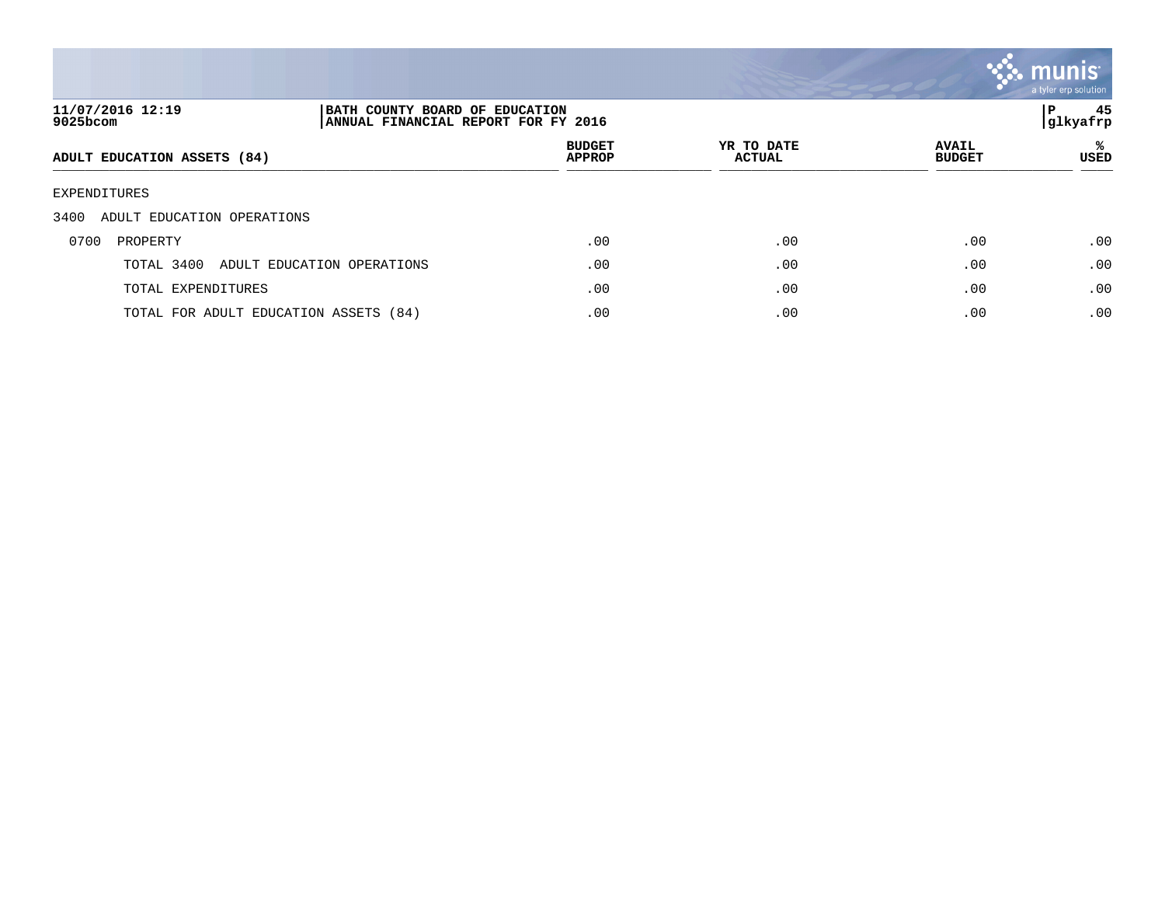

| 11/07/2016 12:19<br>9025bcom          | BATH COUNTY BOARD OF EDUCATION<br>ANNUAL FINANCIAL REPORT FOR FY 2016 |                                |                             |                               | 45<br>P<br> glkyafrp |
|---------------------------------------|-----------------------------------------------------------------------|--------------------------------|-----------------------------|-------------------------------|----------------------|
| ADULT EDUCATION ASSETS (84)           |                                                                       | <b>BUDGET</b><br><b>APPROP</b> | YR TO DATE<br><b>ACTUAL</b> | <b>AVAIL</b><br><b>BUDGET</b> | ℁<br><b>USED</b>     |
| EXPENDITURES                          |                                                                       |                                |                             |                               |                      |
| 3400<br>ADULT EDUCATION OPERATIONS    |                                                                       |                                |                             |                               |                      |
| 0700<br>PROPERTY                      |                                                                       | .00                            | .00                         | .00                           | .00                  |
| TOTAL 3400                            | ADULT EDUCATION OPERATIONS                                            | .00                            | .00                         | .00                           | .00                  |
| TOTAL EXPENDITURES                    |                                                                       | .00                            | .00                         | .00                           | .00                  |
| TOTAL FOR ADULT EDUCATION ASSETS (84) |                                                                       | .00                            | .00                         | .00                           | .00                  |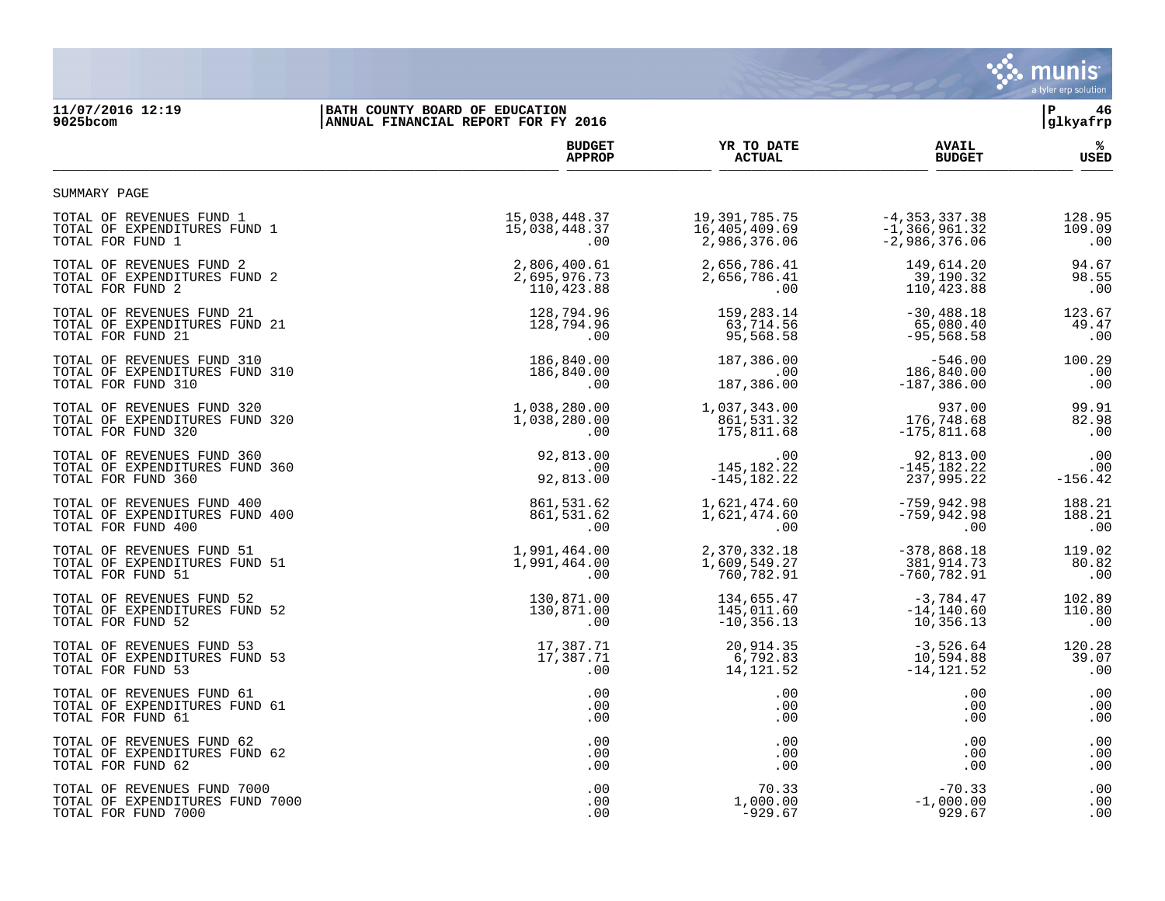

## **11/07/2016 12:19 |BATH COUNTY BOARD OF EDUCATION |P 46 9025bcom |ANNUAL FINANCIAL REPORT FOR FY 2016 |glkyafrp**

|                                 | <b>BUDGET</b> | YR TO DATE       | <b>AVAIL</b>      | ℁         |
|---------------------------------|---------------|------------------|-------------------|-----------|
|                                 | <b>APPROP</b> | <b>ACTUAL</b>    | <b>BUDGET</b>     | USED      |
| SUMMARY PAGE                    |               |                  |                   |           |
| TOTAL OF REVENUES FUND 1        | 15,038,448.37 | 19, 391, 785. 75 | $-4, 353, 337.38$ | 128.95    |
| TOTAL OF EXPENDITURES FUND 1    | 15,038,448.37 | 16,405,409.69    | $-1, 366, 961.32$ | 109.09    |
| TOTAL FOR FUND 1                | .00           | 2,986,376.06     | $-2,986,376.06$   | .00       |
| TOTAL OF REVENUES FUND 2        | 2,806,400.61  | 2,656,786.41     | 149,614.20        | 94.67     |
| TOTAL OF EXPENDITURES FUND 2    | 2,695,976.73  | 2,656,786.41     | 39,190.32         | 98.55     |
| TOTAL FOR FUND 2                | 110,423.88    | .00              | 110,423.88        | .00       |
| TOTAL OF REVENUES FUND 21       | 128,794.96    | 159, 283. 14     | $-30, 488.18$     | 123.67    |
| TOTAL OF EXPENDITURES FUND 21   | 128,794.96    | 63,714.56        | 65,080.40         | 49.47     |
| TOTAL FOR FUND 21               | .00           | 95,568.58        | $-95,568.58$      | .00       |
| TOTAL OF REVENUES FUND 310      | 186,840.00    | 187,386.00       | $-546.00$         | 100.29    |
| TOTAL OF EXPENDITURES FUND 310  | 186,840.00    | .00              | 186,840.00        | .00       |
| TOTAL FOR FUND 310              | .00           | 187,386.00       | $-187, 386.00$    | .00       |
| TOTAL OF REVENUES FUND 320      | 1,038,280.00  | 1,037,343.00     | 937.00            | 99.91     |
| TOTAL OF EXPENDITURES FUND 320  | 1,038,280.00  | 861,531.32       | 176,748.68        | 82.98     |
| TOTAL FOR FUND 320              | .00           | 175,811.68       | $-175,811.68$     | .00       |
| TOTAL OF REVENUES FUND 360      | 92,813.00     | $.00 \,$         | 92,813.00         | .00       |
| TOTAL OF EXPENDITURES FUND 360  | .00           | 145, 182. 22     | $-145, 182.22$    | .00       |
| TOTAL FOR FUND 360              | 92,813.00     | $-145, 182.22$   | 237,995.22        | $-156.42$ |
| TOTAL OF REVENUES FUND 400      | 861,531.62    | 1,621,474.60     | $-759, 942.98$    | 188.21    |
| TOTAL OF EXPENDITURES FUND 400  | 861,531.62    | 1,621,474.60     | $-759, 942.98$    | 188.21    |
| TOTAL FOR FUND 400              | .00           | $.00 \,$         | .00               | .00       |
| TOTAL OF REVENUES FUND 51       | 1,991,464.00  | 2,370,332.18     | $-378,868.18$     | 119.02    |
| TOTAL OF EXPENDITURES FUND 51   | 1,991,464.00  | 1,609,549.27     | 381,914.73        | 80.82     |
| TOTAL FOR FUND 51               | .00           | 760,782.91       | $-760, 782.91$    | .00       |
| TOTAL OF REVENUES FUND 52       | 130,871.00    | 134,655.47       | $-3,784.47$       | 102.89    |
| TOTAL OF EXPENDITURES FUND 52   | 130,871.00    | 145,011.60       | $-14, 140.60$     | 110.80    |
| TOTAL FOR FUND 52               | .00           | $-10, 356.13$    | 10,356.13         | .00       |
| TOTAL OF REVENUES FUND 53       | 17,387.71     | 20,914.35        | $-3,526.64$       | 120.28    |
| TOTAL OF EXPENDITURES FUND 53   | 17,387.71     | 6,792.83         | 10,594.88         | 39.07     |
| TOTAL FOR FUND 53               | .00           | 14,121.52        | $-14, 121.52$     | .00       |
| TOTAL OF REVENUES FUND 61       | .00           | $.00 \,$         | .00               | .00       |
| TOTAL OF EXPENDITURES FUND 61   | .00           | .00              | .00               | .00       |
| TOTAL FOR FUND 61               | .00           | $.00 \,$         | .00               | .00       |
| TOTAL OF REVENUES FUND 62       | .00           | .00              | .00               | .00       |
| TOTAL OF EXPENDITURES FUND 62   | .00           | .00              | .00               | .00       |
| TOTAL FOR FUND 62               | .00           | .00              | .00               | .00       |
| TOTAL OF REVENUES FUND 7000     | .00           | 70.33            | $-70.33$          | .00       |
| TOTAL OF EXPENDITURES FUND 7000 | .00           | 1,000.00         | $-1,000.00$       | .00       |
| TOTAL FOR FUND 7000             | .00           | $-929.67$        | 929.67            | .00       |